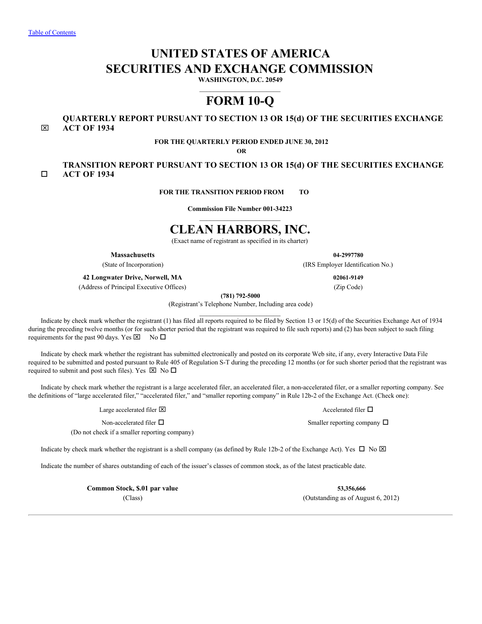o

# <span id="page-0-0"></span>**UNITED STATES OF AMERICA SECURITIES AND EXCHANGE COMMISSION**

**WASHINGTON, D.C. 20549**  $\mathcal{L}_\text{max}$ 

# **FORM 10-Q**

#### x **QUARTERLY REPORT PURSUANT TO SECTION 13 OR 15(d) OF THE SECURITIES EXCHANGE ACT OF 1934**

### **FOR THE QUARTERLY PERIOD ENDED JUNE 30, 2012**

**OR**

# **TRANSITION REPORT PURSUANT TO SECTION 13 OR 15(d) OF THE SECURITIES EXCHANGE ACT OF 1934**

### **FOR THE TRANSITION PERIOD FROM TO**

**Commission File Number 001-34223**

# **CLEAN HARBORS, INC.**

(Exact name of registrant as specified in its charter)

**Massachusetts 04-2997780**

**42 Longwater Drive, Norwell, MA 02061-9149**

(Address of Principal Executive Offices) (Zip Code)

**(781) 792-5000**

(Registrant's Telephone Number, Including area code)

Indicate by check mark whether the registrant (1) has filed all reports required to be filed by Section 13 or 15(d) of the Securities Exchange Act of 1934 during the preceding twelve months (or for such shorter period that the registrant was required to file such reports) and (2) has been subject to such filing requirements for the past 90 days. Yes  $\boxtimes$  No  $\square$ 

Indicate by check mark whether the registrant has submitted electronically and posted on its corporate Web site, if any, every Interactive Data File required to be submitted and posted pursuant to Rule 405 of Regulation S-T during the preceding 12 months (or for such shorter period that the registrant was required to submit and post such files). Yes  $\boxtimes$  No  $\square$ 

Indicate by check mark whether the registrant is a large accelerated filer, an accelerated filer, a non-accelerated filer, or a smaller reporting company. See the definitions of "large accelerated filer," "accelerated filer," and "smaller reporting company" in Rule 12b-2 of the Exchange Act. (Check one):

Large accelerated filer  $\boxtimes$ 

Non-accelerated filer  $\Box$ 

(Do not check if a smaller reporting company)

Indicate by check mark whether the registrant is a shell company (as defined by Rule 12b-2 of the Exchange Act). Yes  $\Box$  No  $\boxtimes$ 

Indicate the number of shares outstanding of each of the issuer's classes of common stock, as of the latest practicable date.

**Common Stock, \$.01 par value 53,356,666**

(Class) (Outstanding as of August 6, 2012)

(State of Incorporation) (IRS Employer Identification No.)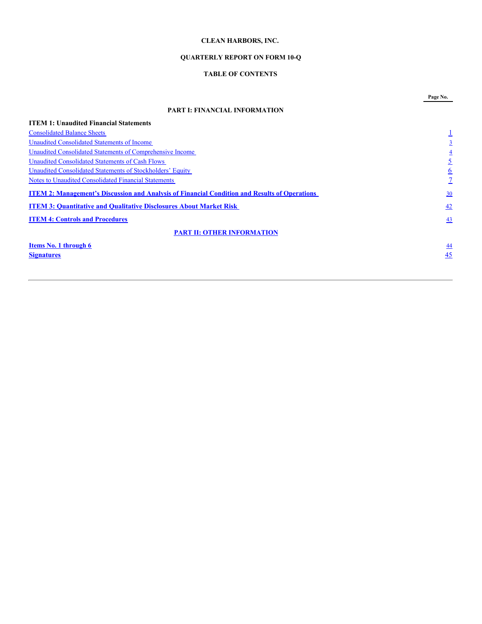# **CLEAN HARBORS, INC.**

# **QUARTERLY REPORT ON FORM 10-Q**

# **TABLE OF CONTENTS**

**Page No.**

# **PART I: FINANCIAL INFORMATION**

| <b>ITEM 1: Unaudited Financial Statements</b>                                                        |                  |
|------------------------------------------------------------------------------------------------------|------------------|
| <b>Consolidated Balance Sheets</b>                                                                   |                  |
| <b>Unaudited Consolidated Statements of Income</b>                                                   |                  |
| Unaudited Consolidated Statements of Comprehensive Income                                            |                  |
| <b>Unaudited Consolidated Statements of Cash Flows</b>                                               |                  |
| Unaudited Consolidated Statements of Stockholders' Equity                                            | $\overline{6}$   |
| <b>Notes to Unaudited Consolidated Financial Statements</b>                                          |                  |
| <b>ITEM 2: Management's Discussion and Analysis of Financial Condition and Results of Operations</b> | $\underline{30}$ |
| <b>ITEM 3: Quantitative and Qualitative Disclosures About Market Risk</b>                            | 42               |
| <b>ITEM 4: Controls and Procedures</b>                                                               | 43               |
| <b>PART II: OTHER INFORMATION</b>                                                                    |                  |
| <b>Items No. 1 through 6</b>                                                                         | <u>44</u>        |
| <b>Signatures</b>                                                                                    | <u>45</u>        |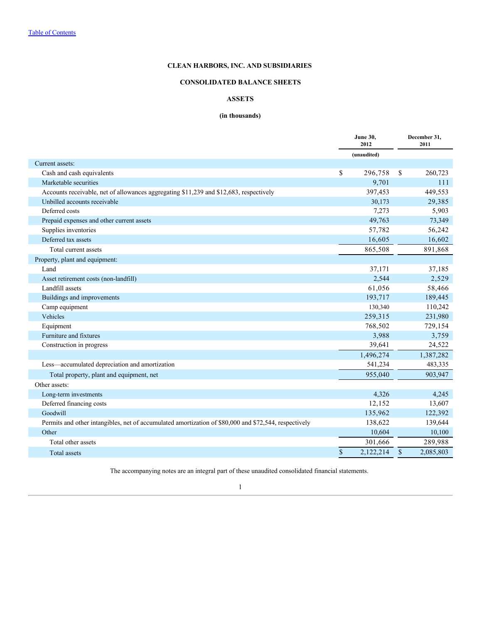# **CONSOLIDATED BALANCE SHEETS**

# **ASSETS**

# **(in thousands)**

<span id="page-2-0"></span>

|                                                                                                       |             | <b>June 30,</b><br>2012 |             | December 31,<br>2011 |
|-------------------------------------------------------------------------------------------------------|-------------|-------------------------|-------------|----------------------|
|                                                                                                       |             | (unaudited)             |             |                      |
| Current assets:                                                                                       |             |                         |             |                      |
| Cash and cash equivalents                                                                             | \$          | 296,758                 | \$          | 260,723              |
| Marketable securities                                                                                 |             | 9,701                   |             | 111                  |
| Accounts receivable, net of allowances aggregating \$11,239 and \$12,683, respectively                |             | 397,453                 |             | 449,553              |
| Unbilled accounts receivable                                                                          |             | 30,173                  |             | 29,385               |
| Deferred costs                                                                                        |             | 7,273                   |             | 5,903                |
| Prepaid expenses and other current assets                                                             |             | 49,763                  |             | 73,349               |
| Supplies inventories                                                                                  |             | 57,782                  |             | 56,242               |
| Deferred tax assets                                                                                   |             | 16,605                  |             | 16,602               |
| Total current assets                                                                                  |             | 865,508                 |             | 891,868              |
| Property, plant and equipment:                                                                        |             |                         |             |                      |
| Land                                                                                                  |             | 37,171                  |             | 37,185               |
| Asset retirement costs (non-landfill)                                                                 |             | 2,544                   |             | 2,529                |
| Landfill assets                                                                                       |             | 61,056                  |             | 58,466               |
| Buildings and improvements                                                                            |             | 193,717                 |             | 189,445              |
| Camp equipment                                                                                        |             | 130,340                 |             | 110,242              |
| Vehicles                                                                                              |             | 259,315                 |             | 231,980              |
| Equipment                                                                                             |             | 768,502                 |             | 729,154              |
| Furniture and fixtures                                                                                |             | 3,988                   |             | 3,759                |
| Construction in progress                                                                              |             | 39,641                  |             | 24,522               |
|                                                                                                       |             | 1,496,274               |             | 1,387,282            |
| Less-accumulated depreciation and amortization                                                        |             | 541,234                 |             | 483,335              |
| Total property, plant and equipment, net                                                              |             | 955,040                 |             | 903,947              |
| Other assets:                                                                                         |             |                         |             |                      |
| Long-term investments                                                                                 |             | 4,326                   |             | 4,245                |
| Deferred financing costs                                                                              |             | 12,152                  |             | 13,607               |
| Goodwill                                                                                              |             | 135,962                 |             | 122,392              |
| Permits and other intangibles, net of accumulated amortization of \$80,000 and \$72,544, respectively |             | 138,622                 |             | 139,644              |
| Other                                                                                                 |             | 10,604                  |             | 10,100               |
| Total other assets                                                                                    |             | 301,666                 |             | 289,988              |
| Total assets                                                                                          | $\mathbf S$ | 2,122,214               | $\mathbf S$ | 2.085.803            |

The accompanying notes are an integral part of these unaudited consolidated financial statements.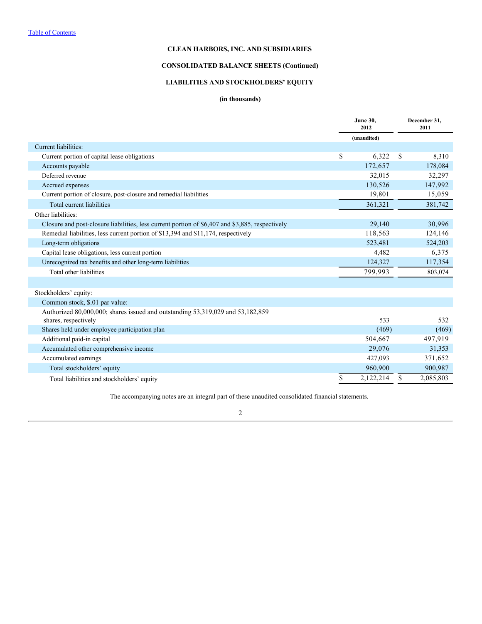# **CONSOLIDATED BALANCE SHEETS (Continued)**

# **LIABILITIES AND STOCKHOLDERS' EQUITY**

# **(in thousands)**

<span id="page-3-0"></span>

|                                                                                                 | <b>June 30,</b><br>2012 |             | December 31,<br>2011 |           |
|-------------------------------------------------------------------------------------------------|-------------------------|-------------|----------------------|-----------|
|                                                                                                 |                         | (unaudited) |                      |           |
| Current liabilities:                                                                            |                         |             |                      |           |
| Current portion of capital lease obligations                                                    | \$                      | 6,322       | S                    | 8,310     |
| Accounts payable                                                                                |                         | 172,657     |                      | 178,084   |
| Deferred revenue                                                                                |                         | 32,015      |                      | 32,297    |
| Accrued expenses                                                                                |                         | 130,526     |                      | 147,992   |
| Current portion of closure, post-closure and remedial liabilities                               |                         | 19,801      |                      | 15,059    |
| Total current liabilities                                                                       |                         | 361,321     |                      | 381,742   |
| Other liabilities:                                                                              |                         |             |                      |           |
| Closure and post-closure liabilities, less current portion of \$6,407 and \$3,885, respectively |                         | 29,140      |                      | 30,996    |
| Remedial liabilities, less current portion of \$13,394 and \$11,174, respectively               |                         | 118,563     |                      | 124,146   |
| Long-term obligations                                                                           |                         | 523,481     |                      | 524,203   |
| Capital lease obligations, less current portion                                                 |                         | 4,482       |                      | 6,375     |
| Unrecognized tax benefits and other long-term liabilities                                       |                         | 124,327     |                      | 117,354   |
| Total other liabilities                                                                         |                         | 799,993     |                      | 803,074   |
|                                                                                                 |                         |             |                      |           |
| Stockholders' equity:                                                                           |                         |             |                      |           |
| Common stock, \$.01 par value:                                                                  |                         |             |                      |           |
| Authorized 80,000,000; shares issued and outstanding 53,319,029 and 53,182,859                  |                         |             |                      |           |
| shares, respectively                                                                            |                         | 533         |                      | 532       |
| Shares held under employee participation plan                                                   |                         | (469)       |                      | (469)     |
| Additional paid-in capital                                                                      |                         | 504,667     |                      | 497,919   |
| Accumulated other comprehensive income                                                          |                         | 29,076      |                      | 31,353    |
| Accumulated earnings                                                                            |                         | 427,093     |                      | 371,652   |
| Total stockholders' equity                                                                      |                         | 960,900     |                      | 900,987   |
| Total liabilities and stockholders' equity                                                      | \$                      | 2,122,214   | \$                   | 2,085,803 |

The accompanying notes are an integral part of these unaudited consolidated financial statements.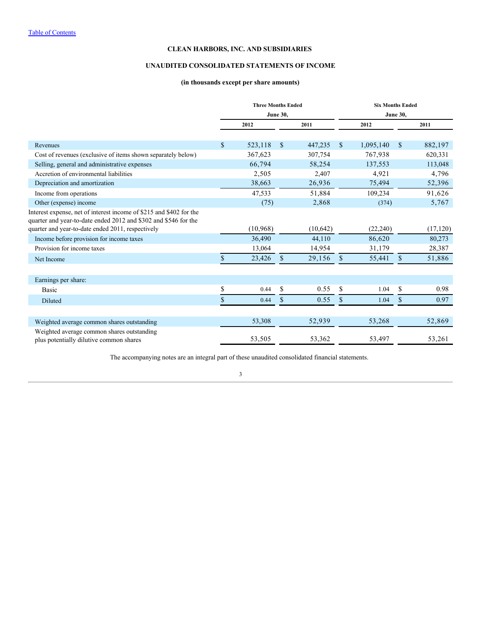# **UNAUDITED CONSOLIDATED STATEMENTS OF INCOME**

# **(in thousands except per share amounts)**

|                                                                                                                                        | <b>Three Months Ended</b> |          |               |          |              | <b>Six Months Ended</b><br><b>June 30,</b> |    |           |  |  |  |
|----------------------------------------------------------------------------------------------------------------------------------------|---------------------------|----------|---------------|----------|--------------|--------------------------------------------|----|-----------|--|--|--|
|                                                                                                                                        | <b>June 30,</b>           |          |               |          |              |                                            |    |           |  |  |  |
|                                                                                                                                        |                           | 2012     |               | 2011     |              | 2012                                       |    | 2011      |  |  |  |
|                                                                                                                                        |                           |          |               |          |              |                                            |    |           |  |  |  |
| Revenues                                                                                                                               | \$                        | 523,118  | <sup>\$</sup> | 447,235  | $\mathbb{S}$ | 1,095,140                                  | \$ | 882,197   |  |  |  |
| Cost of revenues (exclusive of items shown separately below)                                                                           |                           | 367,623  |               | 307,754  |              | 767,938                                    |    | 620,331   |  |  |  |
| Selling, general and administrative expenses                                                                                           |                           | 66,794   |               | 58,254   |              | 137,553                                    |    | 113,048   |  |  |  |
| Accretion of environmental liabilities                                                                                                 |                           | 2,505    |               | 2,407    |              | 4,921                                      |    | 4,796     |  |  |  |
| Depreciation and amortization                                                                                                          |                           | 38,663   |               | 26,936   |              | 75,494                                     |    | 52,396    |  |  |  |
| Income from operations                                                                                                                 |                           | 47,533   |               | 51,884   |              | 109,234                                    |    | 91,626    |  |  |  |
| Other (expense) income                                                                                                                 |                           | (75)     |               | 2,868    |              | (374)                                      |    | 5,767     |  |  |  |
| Interest expense, net of interest income of \$215 and \$402 for the<br>quarter and year-to-date ended 2012 and \$302 and \$546 for the |                           |          |               |          |              |                                            |    |           |  |  |  |
| quarter and year-to-date ended 2011, respectively                                                                                      |                           | (10,968) |               | (10,642) |              | (22, 240)                                  |    | (17, 120) |  |  |  |
| Income before provision for income taxes                                                                                               |                           | 36,490   |               | 44,110   |              | 86,620                                     |    | 80,273    |  |  |  |
| Provision for income taxes                                                                                                             |                           | 13,064   |               | 14,954   |              | 31,179                                     |    | 28,387    |  |  |  |
| Net Income                                                                                                                             | \$                        | 23,426   | $\mathbb{S}$  | 29,156   | \$           | 55,441                                     | \$ | 51,886    |  |  |  |
|                                                                                                                                        |                           |          |               |          |              |                                            |    |           |  |  |  |
| Earnings per share:                                                                                                                    |                           |          |               |          |              |                                            |    |           |  |  |  |
| Basic                                                                                                                                  | \$                        | 0.44     | \$            | 0.55     | \$           | 1.04                                       | \$ | 0.98      |  |  |  |
| Diluted                                                                                                                                | \$                        | 0.44     | <sup>\$</sup> | 0.55     | \$           | 1.04                                       | \$ | 0.97      |  |  |  |
|                                                                                                                                        |                           |          |               |          |              |                                            |    |           |  |  |  |
| Weighted average common shares outstanding                                                                                             |                           | 53,308   |               | 52,939   |              | 53,268                                     |    | 52,869    |  |  |  |
| Weighted average common shares outstanding<br>plus potentially dilutive common shares                                                  |                           | 53,505   |               | 53,362   |              | 53,497                                     |    | 53,261    |  |  |  |

The accompanying notes are an integral part of these unaudited consolidated financial statements.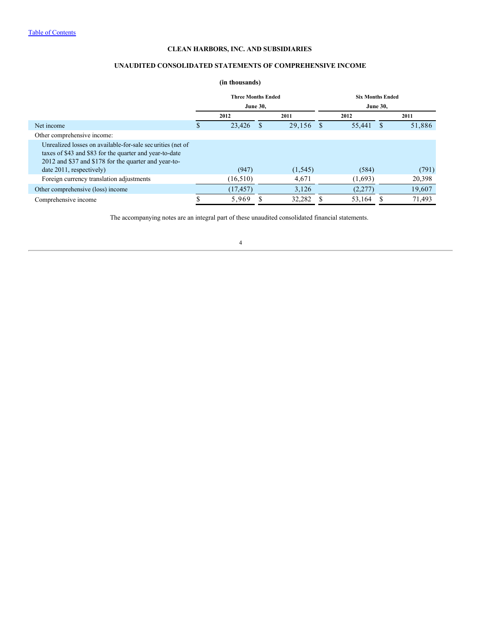# **UNAUDITED CONSOLIDATED STATEMENTS OF COMPREHENSIVE INCOME**

# **(in thousands)**

<span id="page-5-0"></span>

|                                                                                                                                                                               | <b>Three Months Ended</b><br><b>June 30,</b> |           |  |          |  | <b>Six Months Ended</b><br><b>June 30,</b> |  |        |  |  |  |
|-------------------------------------------------------------------------------------------------------------------------------------------------------------------------------|----------------------------------------------|-----------|--|----------|--|--------------------------------------------|--|--------|--|--|--|
|                                                                                                                                                                               |                                              | 2012      |  | 2011     |  | 2012                                       |  | 2011   |  |  |  |
| Net income                                                                                                                                                                    |                                              | 23,426    |  | 29,156   |  | 55,441                                     |  | 51,886 |  |  |  |
| Other comprehensive income:                                                                                                                                                   |                                              |           |  |          |  |                                            |  |        |  |  |  |
| Unrealized losses on available-for-sale securities (net of<br>taxes of \$43 and \$83 for the quarter and year-to-date<br>2012 and \$37 and \$178 for the quarter and year-to- |                                              |           |  |          |  |                                            |  |        |  |  |  |
| date 2011, respectively)                                                                                                                                                      |                                              | (947)     |  | (1, 545) |  | (584)                                      |  | (791)  |  |  |  |
| Foreign currency translation adjustments                                                                                                                                      |                                              | (16,510)  |  | 4,671    |  | (1,693)                                    |  | 20,398 |  |  |  |
| Other comprehensive (loss) income                                                                                                                                             |                                              | (17, 457) |  | 3,126    |  | (2,277)                                    |  | 19,607 |  |  |  |
| Comprehensive income                                                                                                                                                          |                                              | 5,969     |  | 32,282   |  | 53,164                                     |  | 71,493 |  |  |  |

The accompanying notes are an integral part of these unaudited consolidated financial statements.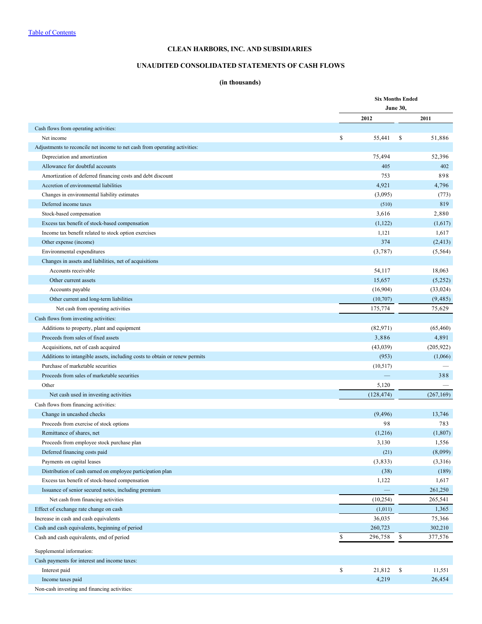# **UNAUDITED CONSOLIDATED STATEMENTS OF CASH FLOWS**

# **(in thousands)**

|                                                                            |               | <b>Six Months Ended</b> |
|----------------------------------------------------------------------------|---------------|-------------------------|
|                                                                            |               | June 30,                |
|                                                                            | 2012          | 2011                    |
| Cash flows from operating activities:                                      |               |                         |
| Net income                                                                 | \$<br>55,441  | \$<br>51,886            |
| Adjustments to reconcile net income to net cash from operating activities: |               |                         |
| Depreciation and amortization                                              | 75,494        | 52,396                  |
| Allowance for doubtful accounts                                            | 405           | 402                     |
| Amortization of deferred financing costs and debt discount                 | 753           | 898                     |
| Accretion of environmental liabilities                                     | 4,921         | 4,796                   |
| Changes in environmental liability estimates                               | (3,095)       | (773)                   |
| Deferred income taxes                                                      | (510)         | 819                     |
| Stock-based compensation                                                   | 3,616         | 2,880                   |
| Excess tax benefit of stock-based compensation                             | (1,122)       | (1,617)                 |
| Income tax benefit related to stock option exercises                       | 1,121         | 1,617                   |
| Other expense (income)                                                     | 374           | (2, 413)                |
| Environmental expenditures                                                 | (3,787)       | (5, 564)                |
| Changes in assets and liabilities, net of acquisitions                     |               |                         |
| Accounts receivable                                                        | 54,117        | 18,063                  |
| Other current assets                                                       | 15,657        | (5,252)                 |
| Accounts payable                                                           | (16,904)      | (33, 024)               |
| Other current and long-term liabilities                                    | (10,707)      | (9, 485)                |
| Net cash from operating activities                                         | 175,774       | 75,629                  |
| Cash flows from investing activities:                                      |               |                         |
| Additions to property, plant and equipment                                 | (82, 971)     | (65, 460)               |
| Proceeds from sales of fixed assets                                        | 3,886         | 4,891                   |
| Acquisitions, net of cash acquired                                         | (43, 039)     | (205, 922)              |
| Additions to intangible assets, including costs to obtain or renew permits | (953)         | (1,066)                 |
| Purchase of marketable securities                                          | (10,517)      |                         |
| Proceeds from sales of marketable securities                               |               | 388                     |
| Other                                                                      | 5,120         |                         |
| Net cash used in investing activities                                      | (128, 474)    | (267, 169)              |
| Cash flows from financing activities:                                      |               |                         |
| Change in uncashed checks                                                  | (9, 496)      | 13,746                  |
| Proceeds from exercise of stock options                                    | 98            | 783                     |
| Remittance of shares, net                                                  | (1,216)       | (1,807)                 |
| Proceeds from employee stock purchase plan                                 | 3,130         | 1,556                   |
| Deferred financing costs paid                                              | (21)          | (8,099)                 |
| Payments on capital leases                                                 | (3,833)       | (3,316)                 |
| Distribution of cash earned on employee participation plan                 | (38)          | (189)                   |
| Excess tax benefit of stock-based compensation                             | 1,122         | 1,617                   |
| Issuance of senior secured notes, including premium                        |               | 261,250                 |
| Net cash from financing activities                                         | (10, 254)     | 265,541                 |
| Effect of exchange rate change on cash                                     | (1,011)       | 1,365                   |
| Increase in cash and cash equivalents                                      | 36,035        | 75,366                  |
| Cash and cash equivalents, beginning of period                             | 260,723       | 302,210                 |
| Cash and cash equivalents, end of period                                   | \$<br>296,758 | \$<br>377,576           |
| Supplemental information:                                                  |               |                         |
| Cash payments for interest and income taxes:                               |               |                         |
| Interest paid                                                              | \$<br>21,812  | \$<br>11,551            |
| Income taxes paid                                                          | 4,219         | 26,454                  |
| Non-cash investing and financing activities:                               |               |                         |
|                                                                            |               |                         |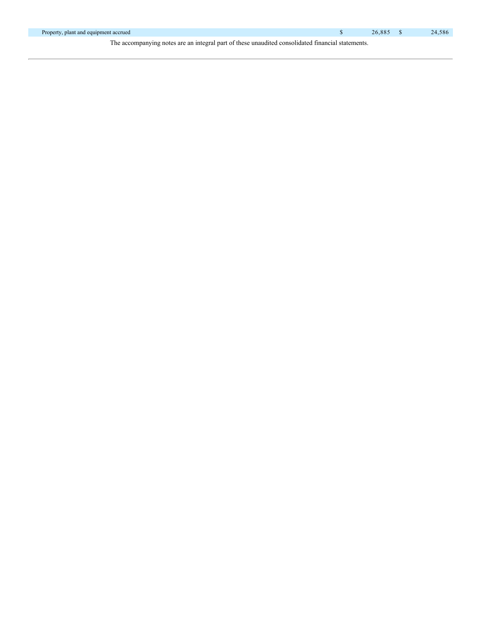| Property, plant and equipment accrued                                                             |  | 26.885 \$ |  | 24.586 |  |  |
|---------------------------------------------------------------------------------------------------|--|-----------|--|--------|--|--|
| The accompanying notes are an integral part of these unaudited consolidated financial statements. |  |           |  |        |  |  |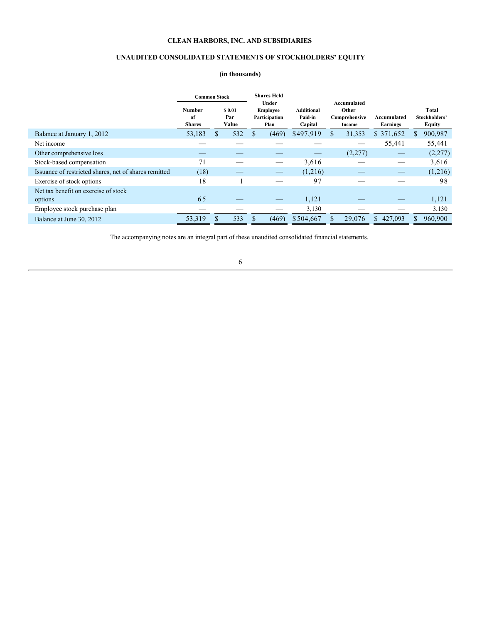# **UNAUDITED CONSOLIDATED STATEMENTS OF STOCKHOLDERS' EQUITY**

# **(in thousands)**

<span id="page-8-0"></span>

|                                                       | <b>Common Stock</b>                  |   |                        | <b>Shares Held</b> |                                          |                                         |    |                                  |                         | Under |                                         |  |  | Accumulated |  |  |  |
|-------------------------------------------------------|--------------------------------------|---|------------------------|--------------------|------------------------------------------|-----------------------------------------|----|----------------------------------|-------------------------|-------|-----------------------------------------|--|--|-------------|--|--|--|
|                                                       | <b>Number</b><br>of<br><b>Shares</b> |   | \$0.01<br>Par<br>Value |                    | <b>Employee</b><br>Participation<br>Plan | <b>Additional</b><br>Paid-in<br>Capital |    | Other<br>Comprehensive<br>Income | Accumulated<br>Earnings |       | Total<br>Stockholders'<br><b>Equity</b> |  |  |             |  |  |  |
| Balance at January 1, 2012                            | 53,183                               | S | 532                    | \$.                | (469)                                    | \$497,919                               | S. | 31,353                           | \$ 371,652              | S     | 900,987                                 |  |  |             |  |  |  |
| Net income                                            |                                      |   |                        |                    |                                          |                                         |    |                                  | 55,441                  |       | 55,441                                  |  |  |             |  |  |  |
| Other comprehensive loss                              |                                      |   |                        |                    |                                          |                                         |    | (2,277)                          |                         |       | (2,277)                                 |  |  |             |  |  |  |
| Stock-based compensation                              | 71                                   |   |                        |                    |                                          | 3,616                                   |    |                                  |                         |       | 3,616                                   |  |  |             |  |  |  |
| Issuance of restricted shares, net of shares remitted | (18)                                 |   |                        |                    |                                          | (1,216)                                 |    |                                  |                         |       | (1,216)                                 |  |  |             |  |  |  |
| Exercise of stock options                             | 18                                   |   |                        |                    |                                          | 97                                      |    |                                  |                         |       | 98                                      |  |  |             |  |  |  |
| Net tax benefit on exercise of stock                  |                                      |   |                        |                    |                                          |                                         |    |                                  |                         |       |                                         |  |  |             |  |  |  |
| options                                               | 65                                   |   |                        |                    |                                          | 1,121                                   |    |                                  |                         |       | 1,121                                   |  |  |             |  |  |  |
| Employee stock purchase plan                          |                                      |   |                        |                    |                                          | 3,130                                   |    |                                  |                         |       | 3,130                                   |  |  |             |  |  |  |
| Balance at June 30, 2012                              | 53,319                               | S | 533                    |                    | (469)                                    | \$504,667                               |    | 29,076                           | 427,093<br>S.           |       | 960,900                                 |  |  |             |  |  |  |

The accompanying notes are an integral part of these unaudited consolidated financial statements.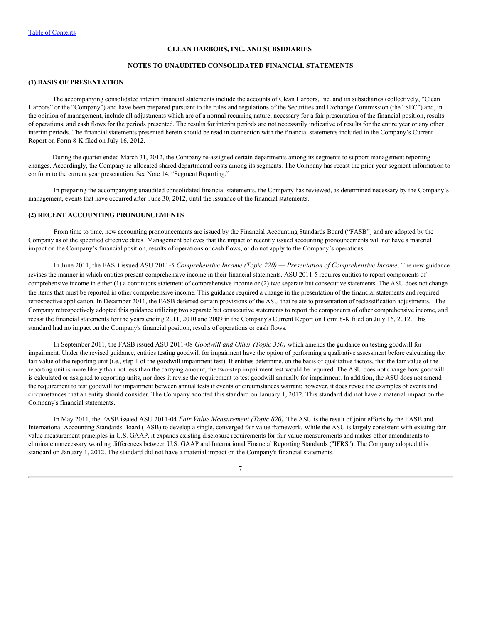### **NOTES TO UNAUDITED CONSOLIDATED FINANCIAL STATEMENTS**

### **(1) BASIS OF PRESENTATION**

The accompanying consolidated interim financial statements include the accounts of Clean Harbors, Inc. and its subsidiaries (collectively, "Clean Harbors" or the "Company") and have been prepared pursuant to the rules and regulations of the Securities and Exchange Commission (the "SEC") and, in the opinion of management, include all adjustments which are of a normal recurring nature, necessary for a fair presentation of the financial position, results of operations, and cash flows for the periods presented. The results for interim periods are not necessarily indicative of results for the entire year or any other interim periods. The financial statements presented herein should be read in connection with the financial statements included in the Company's Current Report on Form 8-K filed on July 16, 2012.

During the quarter ended March 31, 2012, the Company re-assigned certain departments among its segments to support management reporting changes. Accordingly, the Company re-allocated shared departmental costs among its segments. The Company has recast the prior year segment information to conform to the current year presentation. See Note 14, "Segment Reporting."

In preparing the accompanying unaudited consolidated financial statements, the Company has reviewed, as determined necessary by the Company's management, events that have occurred after June 30, 2012, until the issuance of the financial statements.

### **(2) RECENT ACCOUNTING PRONOUNCEMENTS**

From time to time, new accounting pronouncements are issued by the Financial Accounting Standards Board ("FASB") and are adopted by the Company as of the specified effective dates. Management believes that the impact of recently issued accounting pronouncements will not have a material impact on the Company's financial position, results of operations or cash flows, or do not apply to the Company's operations.

In June 2011, the FASB issued ASU 2011-5 *Comprehensive Income (Topic 220) — Presentation of Comprehensive Income*. The new guidance revises the manner in which entities present comprehensive income in their financial statements. ASU 2011-5 requires entities to report components of comprehensive income in either (1) a continuous statement of comprehensive income or (2) two separate but consecutive statements. The ASU does not change the items that must be reported in other comprehensive income. This guidance required a change in the presentation of the financial statements and required retrospective application. In December 2011, the FASB deferred certain provisions of the ASU that relate to presentation of reclassification adjustments. The Company retrospectively adopted this guidance utilizing two separate but consecutive statements to report the components of other comprehensive income, and recast the financial statements for the years ending 2011, 2010 and 2009 in the Company's Current Report on Form 8-K filed on July 16, 2012. This standard had no impact on the Company's financial position, results of operations or cash flows.

In September 2011, the FASB issued ASU 2011-08 *Goodwill and Other (Topic 350)* which amends the guidance on testing goodwill for impairment. Under the revised guidance, entities testing goodwill for impairment have the option of performing a qualitative assessment before calculating the fair value of the reporting unit (i.e., step 1 of the goodwill impairment test). If entities determine, on the basis of qualitative factors, that the fair value of the reporting unit is more likely than not less than the carrying amount, the two-step impairment test would be required. The ASU does not change how goodwill is calculated or assigned to reporting units, nor does it revise the requirement to test goodwill annually for impairment. In addition, the ASU does not amend the requirement to test goodwill for impairment between annual tests if events or circumstances warrant; however, it does revise the examples of events and circumstances that an entity should consider. The Company adopted this standard on January 1, 2012. This standard did not have a material impact on the Company's financial statements.

In May 2011, the FASB issued ASU 2011-04 *Fair Value Measurement (Topic 820)*. The ASU is the result of joint efforts by the FASB and International Accounting Standards Board (IASB) to develop a single, converged fair value framework. While the ASU is largely consistent with existing fair value measurement principles in U.S. GAAP, it expands existing disclosure requirements for fair value measurements and makes other amendments to eliminate unnecessary wording differences between U.S. GAAP and International Financial Reporting Standards ("IFRS"). The Company adopted this standard on January 1, 2012. The standard did not have a material impact on the Company's financial statements.

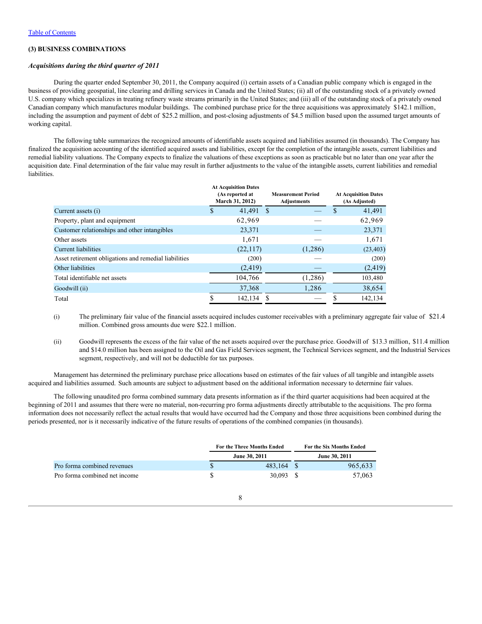#### **(3) BUSINESS COMBINATIONS**

#### *Acquisitions during the third quarter of 2011*

During the quarter ended September 30, 2011, the Company acquired (i) certain assets of a Canadian public company which is engaged in the business of providing geospatial, line clearing and drilling services in Canada and the United States; (ii) all of the outstanding stock of a privately owned U.S. company which specializes in treating refinery waste streams primarily in the United States; and (iii) all of the outstanding stock of a privately owned Canadian company which manufactures modular buildings. The combined purchase price for the three acquisitions was approximately \$142.1 million, including the assumption and payment of debt of \$25.2 million, and post-closing adjustments of \$4.5 million based upon the assumed target amounts of working capital.

The following table summarizes the recognized amounts of identifiable assets acquired and liabilities assumed (in thousands). The Company has finalized the acquisition accounting of the identified acquired assets and liabilities, except for the completion of the intangible assets, current liabilities and remedial liability valuations. The Company expects to finalize the valuations of these exceptions as soon as practicable but no later than one year after the acquisition date. Final determination of the fair value may result in further adjustments to the value of the intangible assets, current liabilities and remedial liabilities.

| <b>At Acquisition Dates</b><br>(As reported at<br>March 31, 2012) |           | <b>Adjustments</b> |                           | <b>At Acquisition Dates</b><br>(As Adjusted) |
|-------------------------------------------------------------------|-----------|--------------------|---------------------------|----------------------------------------------|
| S                                                                 |           |                    |                           | 41,491                                       |
|                                                                   | 62,969    |                    |                           | 62,969                                       |
|                                                                   | 23,371    |                    |                           | 23,371                                       |
|                                                                   | 1,671     |                    |                           | 1,671                                        |
|                                                                   | (22, 117) | (1,286)            |                           | (23, 403)                                    |
|                                                                   | (200)     |                    |                           | (200)                                        |
|                                                                   | (2, 419)  |                    |                           | (2, 419)                                     |
|                                                                   | 104,766   | (1,286)            |                           | 103,480                                      |
|                                                                   | 37,368    | 1,286              |                           | 38,654                                       |
|                                                                   | 142,134   |                    |                           | 142.134                                      |
|                                                                   |           | 41,491 \$          | <b>Measurement Period</b> |                                              |

(i) The preliminary fair value of the financial assets acquired includes customer receivables with a preliminary aggregate fair value of \$21.4 million. Combined gross amounts due were \$22.1 million.

(ii) Goodwill represents the excess of the fair value of the net assets acquired over the purchase price. Goodwill of \$13.3 million, \$11.4 million and \$14.0 million has been assigned to the Oil and Gas Field Services segment, the Technical Services segment, and the Industrial Services segment, respectively, and will not be deductible for tax purposes.

Management has determined the preliminary purchase price allocations based on estimates of the fair values of all tangible and intangible assets acquired and liabilities assumed. Such amounts are subject to adjustment based on the additional information necessary to determine fair values.

The following unaudited pro forma combined summary data presents information as if the third quarter acquisitions had been acquired at the beginning of 2011 and assumes that there were no material, non-recurring pro forma adjustments directly attributable to the acquisitions. The pro forma information does not necessarily reflect the actual results that would have occurred had the Company and those three acquisitions been combined during the periods presented, nor is it necessarily indicative of the future results of operations of the combined companies (in thousands).

|                               | <b>For the Three Months Ended</b> |  | For the Six Months Ended |
|-------------------------------|-----------------------------------|--|--------------------------|
|                               | <b>June 30, 2011</b>              |  | June 30, 2011            |
| Pro forma combined revenues   | 483.164                           |  | 965.633                  |
| Pro forma combined net income | $30.093$ \$                       |  | 57,063                   |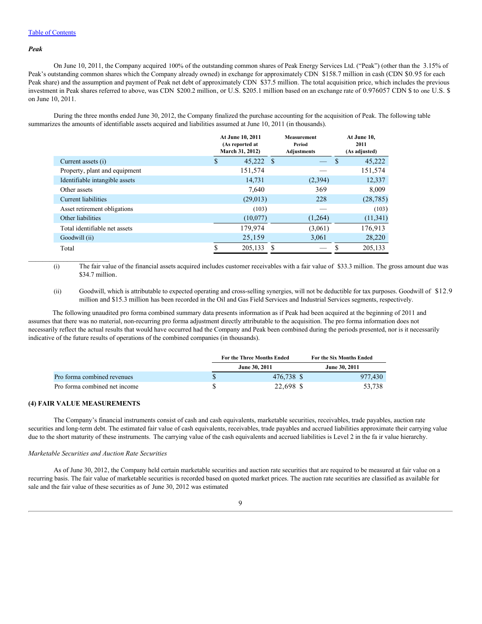#### *Peak*

On June 10, 2011, the Company acquired 100% of the outstanding common shares of Peak Energy Services Ltd. ("Peak") (other than the 3.15% of Peak's outstanding common shares which the Company already owned) in exchange for approximately CDN \$158.7 million in cash (CDN \$0.95 for each Peak share) and the assumption and payment of Peak net debt of approximately CDN \$37.5 million. The total acquisition price, which includes the previous investment in Peak shares referred to above, was CDN \$200.2 million, or U.S. \$205.1 million based on an exchange rate of 0.976057 CDN \$ to one U.S. \$ on June 10, 2011.

During the three months ended June 30, 2012, the Company finalized the purchase accounting for the acquisition of Peak. The following table summarizes the amounts of identifiable assets acquired and liabilities assumed at June 10, 2011 (in thousands).

|                                | At June 10, 2011<br>(As reported at<br>March 31, 2012) |      | <b>Measurement</b><br>Period<br><b>Adjustments</b> |   | At June 10,<br>2011<br>(As adjusted) |
|--------------------------------|--------------------------------------------------------|------|----------------------------------------------------|---|--------------------------------------|
| Current assets (i)             | \$<br>45,222                                           | - \$ |                                                    | S | 45,222                               |
| Property, plant and equipment  | 151,574                                                |      |                                                    |   | 151,574                              |
| Identifiable intangible assets | 14,731                                                 |      | (2,394)                                            |   | 12,337                               |
| Other assets                   | 7.640                                                  |      | 369                                                |   | 8.009                                |
| Current liabilities            | (29,013)                                               |      | 228                                                |   | (28, 785)                            |
| Asset retirement obligations   | (103)                                                  |      |                                                    |   | (103)                                |
| Other liabilities              | (10,077)                                               |      | (1,264)                                            |   | (11, 341)                            |
| Total identifiable net assets  | 179,974                                                |      | (3,061)                                            |   | 176,913                              |
| Goodwill (ii)                  | 25,159                                                 |      | 3,061                                              |   | 28,220                               |
| Total                          | \$<br>205.133                                          |      |                                                    |   | 205.133                              |

(i) The fair value of the financial assets acquired includes customer receivables with a fair value of \$33.3 million. The gross amount due was \$34.7 million.

The following unaudited pro forma combined summary data presents information as if Peak had been acquired at the beginning of 2011 and assumes that there was no material, non-recurring pro forma adjustment directly attributable to the acquisition. The pro forma information does not necessarily reflect the actual results that would have occurred had the Company and Peak been combined during the periods presented, nor is it necessarily indicative of the future results of operations of the combined companies (in thousands).

|                               | <b>For the Three Months Ended</b> | For the Six Months Ended |
|-------------------------------|-----------------------------------|--------------------------|
|                               | <b>June 30, 2011</b>              | <b>June 30, 2011</b>     |
| Pro forma combined revenues   | 476.738 \$                        | 977.430                  |
| Pro forma combined net income | 22.698 \$                         | 53.738                   |

### **(4) FAIR VALUE MEASUREMENTS**

 $\mathcal{L}_\text{max}$ 

The Company's financial instruments consist of cash and cash equivalents, marketable securities, receivables, trade payables, auction rate securities and long-term debt. The estimated fair value of cash equivalents, receivables, trade payables and accrued liabilities approximate their carrying value due to the short maturity of these instruments. The carrying value of the cash equivalents and accrued liabilities is Level 2 in the fa ir value hierarchy.

#### *Marketable Securities and Auction Rate Securities*

As of June 30, 2012, the Company held certain marketable securities and auction rate securities that are required to be measured at fair value on a recurring basis. The fair value of marketable securities is recorded based on quoted market prices. The auction rate securities are classified as available for sale and the fair value of these securities as of June 30, 2012 was estimated

<sup>(</sup>ii) Goodwill, which is attributable to expected operating and cross-selling synergies, will not be deductible for tax purposes. Goodwill of \$12.9 million and \$15.3 million has been recorded in the Oil and Gas Field Services and Industrial Services segments, respectively.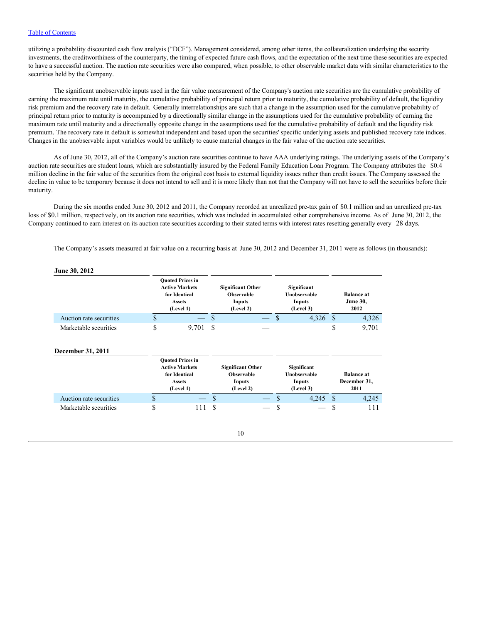utilizing a probability discounted cash flow analysis ("DCF"). Management considered, among other items, the collateralization underlying the security investments, the creditworthiness of the counterparty, the timing of expected future cash flows, and the expectation of the next time these securities are expected to have a successful auction. The auction rate securities were also compared, when possible, to other observable market data with similar characteristics to the securities held by the Company.

The significant unobservable inputs used in the fair value measurement of the Company's auction rate securities are the cumulative probability of earning the maximum rate until maturity, the cumulative probability of principal return prior to maturity, the cumulative probability of default, the liquidity risk premium and the recovery rate in default. Generally interrelationships are such that a change in the assumption used for the cumulative probability of principal return prior to maturity is accompanied by a directionally similar change in the assumptions used for the cumulative probability of earning the maximum rate until maturity and a directionally opposite change in the assumptions used for the cumulative probability of default and the liquidity risk premium. The recovery rate in default is somewhat independent and based upon the securities' specific underlying assets and published recovery rate indices. Changes in the unobservable input variables would be unlikely to cause material changes in the fair value of the auction rate securities.

As of June 30, 2012, all of the Company's auction rate securities continue to have AAA underlying ratings. The underlying assets of the Company's auction rate securities are student loans, which are substantially insured by the Federal Family Education Loan Program. The Company attributes the \$0.4 million decline in the fair value of the securities from the original cost basis to external liquidity issues rather than credit issues. The Company assessed the decline in value to be temporary because it does not intend to sell and it is more likely than not that the Company will not have to sell the securities before their maturity.

During the six months ended June 30, 2012 and 2011, the Company recorded an unrealized pre-tax gain of \$0.1 million and an unrealized pre-tax loss of \$0.1 million, respectively, on its auction rate securities, which was included in accumulated other comprehensive income. As of June 30, 2012, the Company continued to earn interest on its auction rate securities according to their stated terms with interest rates resetting generally every 28 days.

The Company's assets measured at fair value on a recurring basis at June 30, 2012 and December 31, 2011 were as follows (in thousands):

| June 30, 2012           |                                                                                                 |               |                                                                      |    |                                                           |               |                                              |
|-------------------------|-------------------------------------------------------------------------------------------------|---------------|----------------------------------------------------------------------|----|-----------------------------------------------------------|---------------|----------------------------------------------|
|                         | <b>Ouoted Prices in</b><br><b>Active Markets</b><br>for Identical<br><b>Assets</b><br>(Level 1) |               | <b>Significant Other</b><br><b>Observable</b><br>Inputs<br>(Level 2) |    | Significant<br>Unobservable<br><b>Inputs</b><br>(Level 3) |               | <b>Balance at</b><br><b>June 30,</b><br>2012 |
| Auction rate securities | \$                                                                                              | -S            |                                                                      | S  | 4,326                                                     | $\mathcal{S}$ | 4,326                                        |
| Marketable securities   | \$<br>9,701                                                                                     | <sup>\$</sup> |                                                                      |    |                                                           | \$            | 9,701                                        |
| December 31, 2011       |                                                                                                 |               |                                                                      |    |                                                           |               |                                              |
|                         | <b>Ouoted Prices in</b><br><b>Active Markets</b><br>for Identical<br><b>Assets</b><br>(Level 1) |               | <b>Significant Other</b><br><b>Observable</b><br>Inputs<br>(Level 2) |    | Significant<br>Unobservable<br><b>Inputs</b><br>(Level 3) |               | <b>Balance at</b><br>December 31,<br>2011    |
|                         |                                                                                                 |               |                                                                      |    |                                                           |               |                                              |
| Auction rate securities | \$                                                                                              | $\mathbf{s}$  |                                                                      | \$ | 4,245                                                     | $\mathcal{S}$ | 4,245                                        |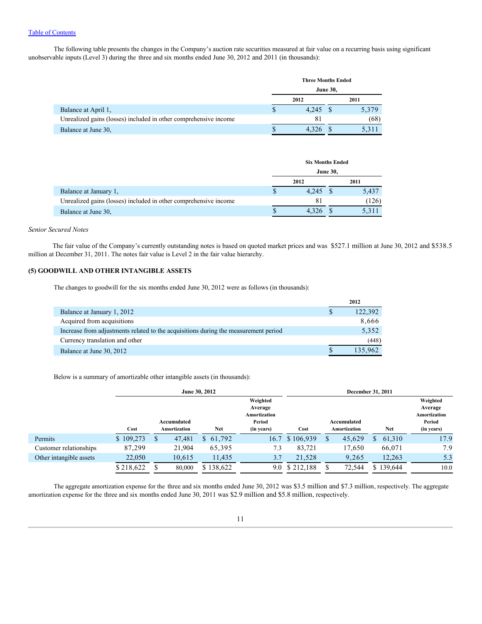The following table presents the changes in the Company's auction rate securities measured at fair value on a recurring basis using significant unobservable inputs (Level 3) during the three and six months ended June 30, 2012 and 2011 (in thousands):

|                                                                  | <b>Three Months Ended</b> |                 |  |       |  |  |  |
|------------------------------------------------------------------|---------------------------|-----------------|--|-------|--|--|--|
|                                                                  |                           | <b>June 30,</b> |  |       |  |  |  |
|                                                                  |                           | 2012            |  | 2011  |  |  |  |
| Balance at April 1,                                              |                           | $4,245$ \$      |  | 5,379 |  |  |  |
| Unrealized gains (losses) included in other comprehensive income |                           | 81              |  | (68)  |  |  |  |
| Balance at June 30,                                              | S                         | 4.326           |  | 5.311 |  |  |  |

|                                                                  | <b>Six Months Ended</b> |       |  |       |  |  |
|------------------------------------------------------------------|-------------------------|-------|--|-------|--|--|
|                                                                  | <b>June 30,</b>         |       |  |       |  |  |
|                                                                  |                         | 2012  |  | 2011  |  |  |
| Balance at January 1,                                            | S                       | 4,245 |  | 5,437 |  |  |
| Unrealized gains (losses) included in other comprehensive income |                         | 81    |  | (126) |  |  |
| Balance at June 30,                                              | S                       | 4.326 |  | 5,311 |  |  |

### *Senior Secured Notes*

The fair value of the Company's currently outstanding notes is based on quoted market prices and was \$527.1 million at June 30, 2012 and \$538.5 million at December 31, 2011. The notes fair value is Level 2 in the fair value hierarchy.

### **(5) GOODWILL AND OTHER INTANGIBLE ASSETS**

The changes to goodwill for the six months ended June 30, 2012 were as follows (in thousands):

|                                                                                     | 2012    |
|-------------------------------------------------------------------------------------|---------|
| Balance at January 1, 2012                                                          | 122,392 |
| Acquired from acquisitions                                                          | 8,666   |
| Increase from adjustments related to the acquisitions during the measurement period | 5.352   |
| Currency translation and other                                                      | (448)   |
| Balance at June 30, 2012                                                            | 135,962 |

Below is a summary of amortizable other intangible assets (in thousands):

|                         | June 30, 2012 |    |                             |            |           |                                                             |                |                             | December 31, 2011 |  |            |                                                                    |  |
|-------------------------|---------------|----|-----------------------------|------------|-----------|-------------------------------------------------------------|----------------|-----------------------------|-------------------|--|------------|--------------------------------------------------------------------|--|
|                         | Cost          |    | Accumulated<br>Amortization | <b>Net</b> |           | Weighted<br>Average<br>Amortization<br>Period<br>(in years) | Cost           | Accumulated<br>Amortization |                   |  | <b>Net</b> | Weighted<br>Average<br><b>Amortization</b><br>Period<br>(in years) |  |
| Permits                 | \$109,273     | \$ | 47,481                      |            | \$61,792  |                                                             | 16.7 \$106,939 | S                           | 45,629            |  | 61,310     | 17.9                                                               |  |
| Customer relationships  | 87,299        |    | 21,904                      |            | 65,395    | 7.3                                                         | 83.721         |                             | 17,650            |  | 66,071     | 7.9                                                                |  |
| Other intangible assets | 22,050        |    | 10,615                      |            | 11,435    | 3.7                                                         | 21,528         |                             | 9,265             |  | 12,263     | 5.3                                                                |  |
|                         | \$218,622     |    | 80,000                      |            | \$138,622 | 9.0                                                         | \$212.188      |                             | 72.544            |  | \$139,644  | 10.0                                                               |  |

The aggregate amortization expense for the three and six months ended June 30, 2012 was \$3.5 million and \$7.3 million, respectively. The aggregate amortization expense for the three and six months ended June 30, 2011 was \$2.9 million and \$5.8 million, respectively.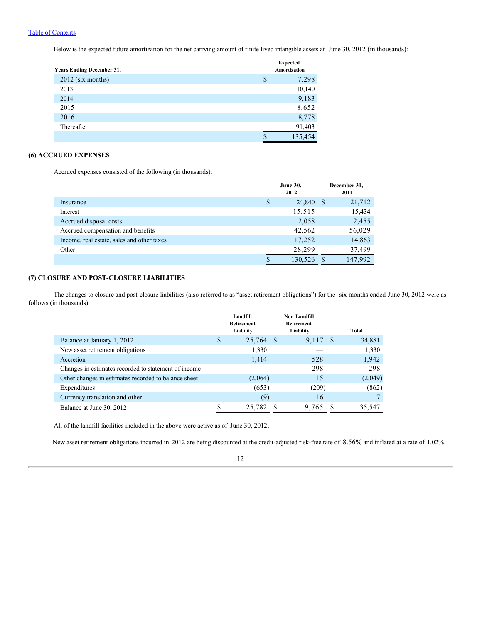Below is the expected future amortization for the net carrying amount of finite lived intangible assets at June 30, 2012 (in thousands):

| <b>Years Ending December 31,</b> | <b>Expected</b><br>Amortization |
|----------------------------------|---------------------------------|
| 2012 (six months)                | \$<br>7,298                     |
| 2013                             | 10,140                          |
| 2014                             | 9,183                           |
| 2015                             | 8,652                           |
| 2016                             | 8,778                           |
| Thereafter                       | 91,403                          |
|                                  | \$<br>135,454                   |

# **(6) ACCRUED EXPENSES**

Accrued expenses consisted of the following (in thousands):

|                                            |   | <b>June 30,</b><br>2012 |    | December 31,<br>2011 |
|--------------------------------------------|---|-------------------------|----|----------------------|
| Insurance                                  | S | 24,840                  | -S | 21,712               |
| Interest                                   |   | 15,515                  |    | 15,434               |
| Accrued disposal costs                     |   | 2,058                   |    | 2,455                |
| Accrued compensation and benefits          |   | 42,562                  |    | 56,029               |
| Income, real estate, sales and other taxes |   | 17,252                  |    | 14,863               |
| Other                                      |   | 28,299                  |    | 37,499               |
|                                            |   | 130,526                 |    | 147,992              |

# **(7) CLOSURE AND POST-CLOSURE LIABILITIES**

The changes to closure and post-closure liabilities (also referred to as "asset retirement obligations") for the six months ended June 30, 2012 were as follows (in thousands):

|                                                      |    | Landfill<br>Retirement<br>Liability | Total    |         |
|------------------------------------------------------|----|-------------------------------------|----------|---------|
| Balance at January 1, 2012                           | \$ | 25,764 \$                           | 9,117 \$ | 34,881  |
| New asset retirement obligations                     |    | 1,330                               |          | 1,330   |
| Accretion                                            |    | 1,414                               | 528      | 1,942   |
| Changes in estimates recorded to statement of income |    |                                     | 298      | 298     |
| Other changes in estimates recorded to balance sheet |    | (2,064)                             | 15       | (2,049) |
| Expenditures                                         |    | (653)                               | (209)    | (862)   |
| Currency translation and other                       |    | (9)                                 | 16       |         |
| Balance at June 30, 2012                             | S  | 25,782                              | 9.765    | 35,547  |

All of the landfill facilities included in the above were active as of June 30, 2012.

New asset retirement obligations incurred in 2012 are being discounted at the credit-adjusted risk-free rate of 8.56% and inflated at a rate of 1.02%.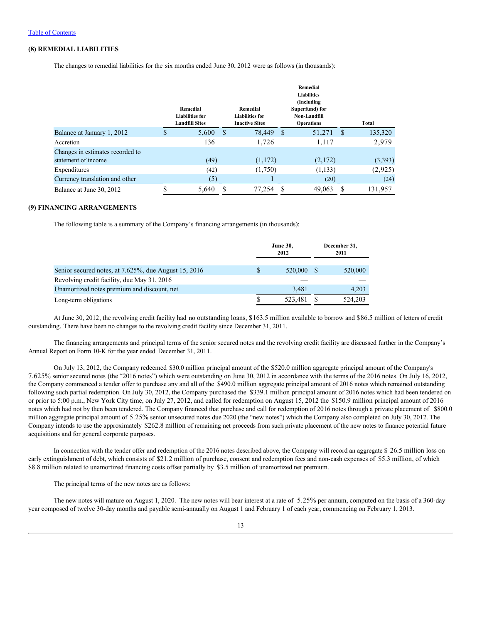### **(8) REMEDIAL LIABILITIES**

The changes to remedial liabilities for the six months ended June 30, 2012 were as follows (in thousands):

|                                  | Remedial<br><b>Liabilities for</b><br><b>Landfill Sites</b> |              | Remedial<br><b>Liabilities for</b><br><b>Inactive Sites</b> |      | Remedial<br><b>Liabilities</b><br>(Including<br>Superfund) for<br>Non-Landfill<br><b>Operations</b> |    | Total   |
|----------------------------------|-------------------------------------------------------------|--------------|-------------------------------------------------------------|------|-----------------------------------------------------------------------------------------------------|----|---------|
| Balance at January 1, 2012       | \$<br>5,600                                                 | <sup>S</sup> | 78,449                                                      | - \$ | 51,271                                                                                              | -S | 135,320 |
| Accretion                        | 136                                                         |              | 1,726                                                       |      | 1,117                                                                                               |    | 2,979   |
| Changes in estimates recorded to |                                                             |              |                                                             |      |                                                                                                     |    |         |
| statement of income              | (49)                                                        |              | (1,172)                                                     |      | (2,172)                                                                                             |    | (3,393) |
| Expenditures                     | (42)                                                        |              | (1,750)                                                     |      | (1, 133)                                                                                            |    | (2,925) |
| Currency translation and other   | (5)                                                         |              |                                                             |      | (20)                                                                                                |    | (24)    |
| Balance at June 30, 2012         | \$<br>5,640                                                 | S            | 77,254                                                      | S    | 49,063                                                                                              | S  | 131,957 |

# **(9) FINANCING ARRANGEMENTS**

The following table is a summary of the Company's financing arrangements (in thousands):

|                                                      | <b>June 30,</b><br>2012 | December 31,<br>2011 |         |
|------------------------------------------------------|-------------------------|----------------------|---------|
|                                                      |                         |                      |         |
| Senior secured notes, at 7.625%, due August 15, 2016 | S                       | 520,000 \$           | 520,000 |
| Revolving credit facility, due May 31, 2016          |                         |                      |         |
| Unamortized notes premium and discount, net          |                         | 3.481                | 4,203   |
| Long-term obligations                                | S                       | 523.481              | 524,203 |
|                                                      |                         |                      |         |

At June 30, 2012, the revolving credit facility had no outstanding loans, \$163.5 million available to borrow and \$86.5 million of letters of credit outstanding. There have been no changes to the revolving credit facility since December 31, 2011.

The financing arrangements and principal terms of the senior secured notes and the revolving credit facility are discussed further in the Company's Annual Report on Form 10-K for the year ended December 31, 2011.

On July 13, 2012, the Company redeemed \$30.0 million principal amount of the \$520.0 million aggregate principal amount of the Company's 7.625% senior secured notes (the "2016 notes") which were outstanding on June 30, 2012 in accordance with the terms of the 2016 notes. On July 16, 2012, the Company commenced a tender offer to purchase any and all of the \$490.0 million aggregate principal amount of 2016 notes which remained outstanding following such partial redemption. On July 30, 2012, the Company purchased the \$339.1 million principal amount of 2016 notes which had been tendered on or prior to 5:00 p.m., New York City time, on July 27, 2012, and called for redemption on August 15, 2012 the \$150.9 million principal amount of 2016 notes which had not by then been tendered. The Company financed that purchase and call for redemption of 2016 notes through a private placement of \$800.0 million aggregate principal amount of 5.25% senior unsecured notes due 2020 (the "new notes") which the Company also completed on July 30, 2012. The Company intends to use the approximately \$262.8 million of remaining net proceeds from such private placement of the new notes to finance potential future acquisitions and for general corporate purposes.

In connection with the tender offer and redemption of the 2016 notes described above, the Company will record an aggregate \$ 26.5 million loss on early extinguishment of debt, which consists of \$21.2 million of purchase, consent and redemption fees and non-cash expenses of \$5.3 million, of which \$8.8 million related to unamortized financing costs offset partially by \$3.5 million of unamortized net premium.

The principal terms of the new notes are as follows:

The new notes will mature on August 1, 2020. The new notes will bear interest at a rate of 5.25% per annum, computed on the basis of a 360-day year composed of twelve 30-day months and payable semi-annually on August 1 and February 1 of each year, commencing on February 1, 2013.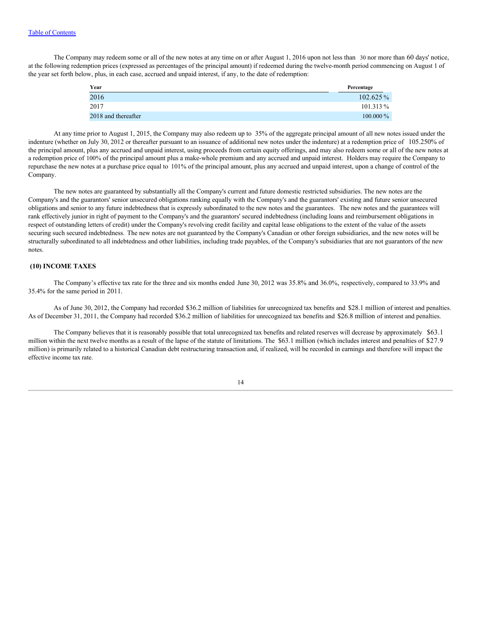The Company may redeem some or all of the new notes at any time on or after August 1, 2016 upon not less than 30 nor more than 60 days' notice, at the following redemption prices (expressed as percentages of the principal amount) if redeemed during the twelve-month period commencing on August 1 of the year set forth below, plus, in each case, accrued and unpaid interest, if any, to the date of redemption:

| Year                | Percentage  |
|---------------------|-------------|
| 2016                | $102.625\%$ |
| 2017                | $101.313\%$ |
| 2018 and thereafter | $100.000\%$ |

At any time prior to August 1, 2015, the Company may also redeem up to 35% of the aggregate principal amount of all new notes issued under the indenture (whether on July 30, 2012 or thereafter pursuant to an issuance of additional new notes under the indenture) at a redemption price of 105.250% of the principal amount, plus any accrued and unpaid interest, using proceeds from certain equity offerings, and may also redeem some or all of the new notes at a redemption price of 100% of the principal amount plus a make-whole premium and any accrued and unpaid interest. Holders may require the Company to repurchase the new notes at a purchase price equal to 101% of the principal amount, plus any accrued and unpaid interest, upon a change of control of the Company.

The new notes are guaranteed by substantially all the Company's current and future domestic restricted subsidiaries. The new notes are the Company's and the guarantors' senior unsecured obligations ranking equally with the Company's and the guarantors' existing and future senior unsecured obligations and senior to any future indebtedness that is expressly subordinated to the new notes and the guarantees. The new notes and the guarantees will rank effectively junior in right of payment to the Company's and the guarantors' secured indebtedness (including loans and reimbursement obligations in respect of outstanding letters of credit) under the Company's revolving credit facility and capital lease obligations to the extent of the value of the assets securing such secured indebtedness. The new notes are not guaranteed by the Company's Canadian or other foreign subsidiaries, and the new notes will be structurally subordinated to all indebtedness and other liabilities, including trade payables, of the Company's subsidiaries that are not guarantors of the new notes.

#### **(10) INCOME TAXES**

The Company's effective tax rate for the three and six months ended June 30, 2012 was 35.8% and 36.0%, respectively, compared to 33.9% and 35.4% for the same period in 2011.

As of June 30, 2012, the Company had recorded \$36.2 million of liabilities for unrecognized tax benefits and \$28.1 million of interest and penalties. As of December 31, 2011, the Company had recorded \$36.2 million of liabilities for unrecognized tax benefits and \$26.8 million of interest and penalties.

The Company believes that it is reasonably possible that total unrecognized tax benefits and related reserves will decrease by approximately \$63.1 million within the next twelve months as a result of the lapse of the statute of limitations. The \$63.1 million (which includes interest and penalties of \$27.9 million) is primarily related to a historical Canadian debt restructuring transaction and, if realized, will be recorded in earnings and therefore will impact the effective income tax rate.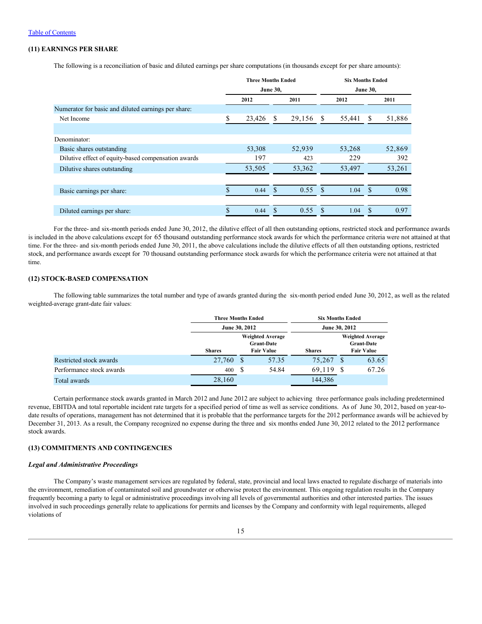### **(11) EARNINGS PER SHARE**

The following is a reconciliation of basic and diluted earnings per share computations (in thousands except for per share amounts):

|                                                     | <b>Three Months Ended</b><br><b>June 30,</b> |        |               |             |               |        | <b>Six Months Ended</b><br><b>June 30,</b> |        |  |  |  |  |  |  |  |  |  |  |  |  |  |  |  |  |  |  |  |  |  |  |  |  |  |  |  |  |  |  |  |  |  |  |  |  |  |  |      |  |  |  |  |  |  |
|-----------------------------------------------------|----------------------------------------------|--------|---------------|-------------|---------------|--------|--------------------------------------------|--------|--|--|--|--|--|--|--|--|--|--|--|--|--|--|--|--|--|--|--|--|--|--|--|--|--|--|--|--|--|--|--|--|--|--|--|--|--|--|------|--|--|--|--|--|--|
|                                                     |                                              | 2012   | 2011          |             |               |        |                                            |        |  |  |  |  |  |  |  |  |  |  |  |  |  |  |  |  |  |  |  |  |  |  |  |  |  |  |  |  |  |  |  |  |  |  |  |  |  |  | 2012 |  |  |  |  |  |  |
| Numerator for basic and diluted earnings per share: |                                              |        |               |             |               |        |                                            |        |  |  |  |  |  |  |  |  |  |  |  |  |  |  |  |  |  |  |  |  |  |  |  |  |  |  |  |  |  |  |  |  |  |  |  |  |  |  |      |  |  |  |  |  |  |
| Net Income                                          | \$                                           | 23,426 |               | 29,156<br>S |               | 55,441 | \$                                         | 51,886 |  |  |  |  |  |  |  |  |  |  |  |  |  |  |  |  |  |  |  |  |  |  |  |  |  |  |  |  |  |  |  |  |  |  |  |  |  |  |      |  |  |  |  |  |  |
|                                                     |                                              |        |               |             |               |        |                                            |        |  |  |  |  |  |  |  |  |  |  |  |  |  |  |  |  |  |  |  |  |  |  |  |  |  |  |  |  |  |  |  |  |  |  |  |  |  |  |      |  |  |  |  |  |  |
| Denominator:                                        |                                              |        |               |             |               |        |                                            |        |  |  |  |  |  |  |  |  |  |  |  |  |  |  |  |  |  |  |  |  |  |  |  |  |  |  |  |  |  |  |  |  |  |  |  |  |  |  |      |  |  |  |  |  |  |
| Basic shares outstanding                            |                                              | 53,308 |               | 52,939      |               | 53,268 |                                            | 52,869 |  |  |  |  |  |  |  |  |  |  |  |  |  |  |  |  |  |  |  |  |  |  |  |  |  |  |  |  |  |  |  |  |  |  |  |  |  |  |      |  |  |  |  |  |  |
| Dilutive effect of equity-based compensation awards |                                              | 197    |               | 423         |               | 229    |                                            | 392    |  |  |  |  |  |  |  |  |  |  |  |  |  |  |  |  |  |  |  |  |  |  |  |  |  |  |  |  |  |  |  |  |  |  |  |  |  |  |      |  |  |  |  |  |  |
| Dilutive shares outstanding                         |                                              | 53,505 |               | 53,362      |               | 53,497 |                                            | 53,261 |  |  |  |  |  |  |  |  |  |  |  |  |  |  |  |  |  |  |  |  |  |  |  |  |  |  |  |  |  |  |  |  |  |  |  |  |  |  |      |  |  |  |  |  |  |
|                                                     |                                              |        |               |             |               |        |                                            |        |  |  |  |  |  |  |  |  |  |  |  |  |  |  |  |  |  |  |  |  |  |  |  |  |  |  |  |  |  |  |  |  |  |  |  |  |  |  |      |  |  |  |  |  |  |
| Basic earnings per share:                           |                                              | 0.44   | <sup>\$</sup> | 0.55        | <sup>\$</sup> | 1.04   | <b>S</b>                                   | 0.98   |  |  |  |  |  |  |  |  |  |  |  |  |  |  |  |  |  |  |  |  |  |  |  |  |  |  |  |  |  |  |  |  |  |  |  |  |  |  |      |  |  |  |  |  |  |
|                                                     |                                              |        |               |             |               |        |                                            |        |  |  |  |  |  |  |  |  |  |  |  |  |  |  |  |  |  |  |  |  |  |  |  |  |  |  |  |  |  |  |  |  |  |  |  |  |  |  |      |  |  |  |  |  |  |
| Diluted earnings per share:                         | S                                            | 0.44   | \$.           | 0.55        | \$            | 1.04   | $\mathbf{\hat{S}}$                         | 0.97   |  |  |  |  |  |  |  |  |  |  |  |  |  |  |  |  |  |  |  |  |  |  |  |  |  |  |  |  |  |  |  |  |  |  |  |  |  |  |      |  |  |  |  |  |  |
|                                                     |                                              |        |               |             |               |        |                                            |        |  |  |  |  |  |  |  |  |  |  |  |  |  |  |  |  |  |  |  |  |  |  |  |  |  |  |  |  |  |  |  |  |  |  |  |  |  |  |      |  |  |  |  |  |  |

For the three- and six-month periods ended June 30, 2012, the dilutive effect of all then outstanding options, restricted stock and performance awards is included in the above calculations except for 65 thousand outstanding performance stock awards for which the performance criteria were not attained at that time. For the three- and six-month periods ended June 30, 2011, the above calculations include the dilutive effects of all then outstanding options, restricted stock, and performance awards except for 70 thousand outstanding performance stock awards for which the performance criteria were not attained at that time.

#### **(12) STOCK-BASED COMPENSATION**

The following table summarizes the total number and type of awards granted during the six-month period ended June 30, 2012, as well as the related weighted-average grant-date fair values:

|                          |               | <b>Three Months Ended</b>                    | <b>Six Months Ended</b> |                                              |  |
|--------------------------|---------------|----------------------------------------------|-------------------------|----------------------------------------------|--|
|                          |               | June 30, 2012                                | June 30, 2012           |                                              |  |
|                          |               | <b>Weighted Average</b><br><b>Grant-Date</b> |                         | <b>Weighted Average</b><br><b>Grant-Date</b> |  |
|                          | <b>Shares</b> | <b>Fair Value</b>                            | <b>Shares</b>           | <b>Fair Value</b>                            |  |
| Restricted stock awards  | 27,760        | 57.35<br>- S                                 | 75,267                  | 63.65                                        |  |
| Performance stock awards | 400           | -S<br>54.84                                  | 69.119                  | 67.26                                        |  |
| Total awards             | 28,160        |                                              | 144.386                 |                                              |  |

Certain performance stock awards granted in March 2012 and June 2012 are subject to achieving three performance goals including predetermined revenue, EBITDA and total reportable incident rate targets for a specified period of time as well as service conditions. As of June 30, 2012, based on year-todate results of operations, management has not determined that it is probable that the performance targets for the 2012 performance awards will be achieved by December 31, 2013. As a result, the Company recognized no expense during the three and six months ended June 30, 2012 related to the 2012 performance stock awards.

#### **(13) COMMITMENTS AND CONTINGENCIES**

#### *Legal and Administrative Proceedings*

The Company's waste management services are regulated by federal, state, provincial and local laws enacted to regulate discharge of materials into the environment, remediation of contaminated soil and groundwater or otherwise protect the environment. This ongoing regulation results in the Company frequently becoming a party to legal or administrative proceedings involving all levels of governmental authorities and other interested parties. The issues involved in such proceedings generally relate to applications for permits and licenses by the Company and conformity with legal requirements, alleged violations of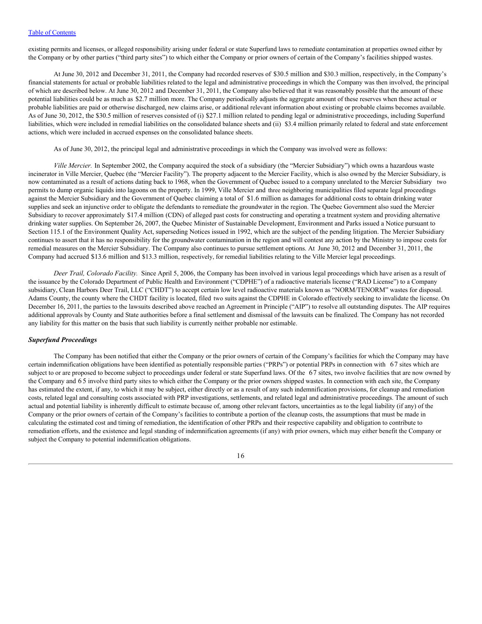existing permits and licenses, or alleged responsibility arising under federal or state Superfund laws to remediate contamination at properties owned either by the Company or by other parties ("third party sites") to which either the Company or prior owners of certain of the Company's facilities shipped wastes.

At June 30, 2012 and December 31, 2011, the Company had recorded reserves of \$30.5 million and \$30.3 million, respectively, in the Company's financial statements for actual or probable liabilities related to the legal and administrative proceedings in which the Company was then involved, the principal of which are described below. At June 30, 2012 and December 31, 2011, the Company also believed that it was reasonably possible that the amount of these potential liabilities could be as much as \$2.7 million more. The Company periodically adjusts the aggregate amount of these reserves when these actual or probable liabilities are paid or otherwise discharged, new claims arise, or additional relevant information about existing or probable claims becomes available. As of June 30, 2012, the \$30.5 million of reserves consisted of (i) \$27.1 million related to pending legal or administrative proceedings, including Superfund liabilities, which were included in remedial liabilities on the consolidated balance sheets and (ii) \$3.4 million primarily related to federal and state enforcement actions, which were included in accrued expenses on the consolidated balance sheets.

As of June 30, 2012, the principal legal and administrative proceedings in which the Company was involved were as follows:

*Ville Mercier.* In September 2002, the Company acquired the stock of a subsidiary (the "Mercier Subsidiary") which owns a hazardous waste incinerator in Ville Mercier, Quebec (the "Mercier Facility"). The property adjacent to the Mercier Facility, which is also owned by the Mercier Subsidiary, is now contaminated as a result of actions dating back to 1968, when the Government of Quebec issued to a company unrelated to the Mercier Subsidiary two permits to dump organic liquids into lagoons on the property. In 1999, Ville Mercier and three neighboring municipalities filed separate legal proceedings against the Mercier Subsidiary and the Government of Quebec claiming a total of \$1.6 million as damages for additional costs to obtain drinking water supplies and seek an injunctive order to obligate the defendants to remediate the groundwater in the region. The Quebec Government also sued the Mercier Subsidiary to recover approximately \$17.4 million (CDN) of alleged past costs for constructing and operating a treatment system and providing alternative drinking water supplies. On September 26, 2007, the Quebec Minister of Sustainable Development, Environment and Parks issued a Notice pursuant to Section 115.1 of the Environment Quality Act, superseding Notices issued in 1992, which are the subject of the pending litigation. The Mercier Subsidiary continues to assert that it has no responsibility for the groundwater contamination in the region and will contest any action by the Ministry to impose costs for remedial measures on the Mercier Subsidiary. The Company also continues to pursue settlement options. At June 30, 2012 and December 31, 2011, the Company had accrued \$13.6 million and \$13.3 million, respectively, for remedial liabilities relating to the Ville Mercier legal proceedings.

*Deer Trail, Colorado Facility.* Since April 5, 2006, the Company has been involved in various legal proceedings which have arisen as a result of the issuance by the Colorado Department of Public Health and Environment ("CDPHE") of a radioactive materials license ("RAD License") to a Company subsidiary, Clean Harbors Deer Trail, LLC ("CHDT") to accept certain low level radioactive materials known as "NORM/TENORM" wastes for disposal. Adams County, the county where the CHDT facility is located, filed two suits against the CDPHE in Colorado effectively seeking to invalidate the license. On December 16, 2011, the parties to the lawsuits described above reached an Agreement in Principle ("AIP") to resolve all outstanding disputes. The AIP requires additional approvals by County and State authorities before a final settlement and dismissal of the lawsuits can be finalized. The Company has not recorded any liability for this matter on the basis that such liability is currently neither probable nor estimable.

#### *Superfund Proceedings*

The Company has been notified that either the Company or the prior owners of certain of the Company's facilities for which the Company may have certain indemnification obligations have been identified as potentially responsible parties ("PRPs") or potential PRPs in connection with 67 sites which are subject to or are proposed to become subject to proceedings under federal or state Superfund laws. Of the 67 sites, two involve facilities that are now owned by the Company and 6 5 involve third party sites to which either the Company or the prior owners shipped wastes. In connection with each site, the Company has estimated the extent, if any, to which it may be subject, either directly or as a result of any such indemnification provisions, for cleanup and remediation costs, related legal and consulting costs associated with PRP investigations, settlements, and related legal and administrative proceedings. The amount of such actual and potential liability is inherently difficult to estimate because of, among other relevant factors, uncertainties as to the legal liability (if any) of the Company or the prior owners of certain of the Company's facilities to contribute a portion of the cleanup costs, the assumptions that must be made in calculating the estimated cost and timing of remediation, the identification of other PRPs and their respective capability and obligation to contribute to remediation efforts, and the existence and legal standing of indemnification agreements (if any) with prior owners, which may either benefit the Company or subject the Company to potential indemnification obligations.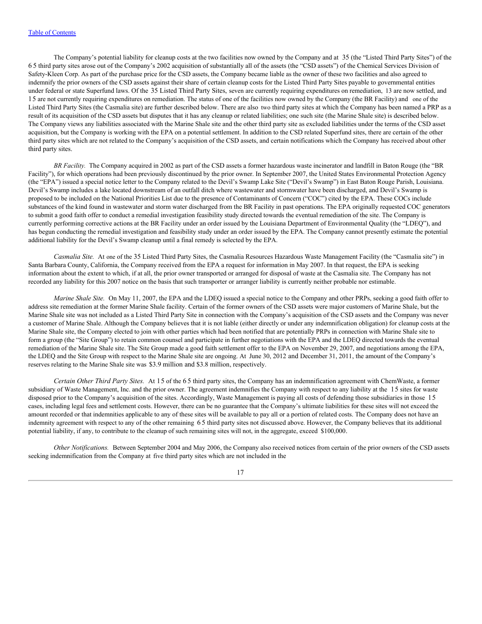The Company's potential liability for cleanup costs at the two facilities now owned by the Company and at 35 (the "Listed Third Party Sites") of the 6 5 third party sites arose out of the Company's 2002 acquisition of substantially all of the assets (the "CSD assets") of the Chemical Services Division of Safety-Kleen Corp. As part of the purchase price for the CSD assets, the Company became liable as the owner of these two facilities and also agreed to indemnify the prior owners of the CSD assets against their share of certain cleanup costs for the Listed Third Party Sites payable to governmental entities under federal or state Superfund laws. Of the 35 Listed Third Party Sites, seven are currently requiring expenditures on remediation, 13 are now settled, and 15 are not currently requiring expenditures on remediation. The status of one of the facilities now owned by the Company (the BR Facility) and one of the Listed Third Party Sites (the Casmalia site) are further described below. There are also two third party sites at which the Company has been named a PRP as a result of its acquisition of the CSD assets but disputes that it has any cleanup or related liabilities; one such site (the Marine Shale site) is described below. The Company views any liabilities associated with the Marine Shale site and the other third party site as excluded liabilities under the terms of the CSD asset acquisition, but the Company is working with the EPA on a potential settlement. In addition to the CSD related Superfund sites, there are certain of the other third party sites which are not related to the Company's acquisition of the CSD assets, and certain notifications which the Company has received about other third party sites.

*BR Facility.* The Company acquired in 2002 as part of the CSD assets a former hazardous waste incinerator and landfill in Baton Rouge (the "BR Facility"), for which operations had been previously discontinued by the prior owner. In September 2007, the United States Environmental Protection Agency (the "EPA") issued a special notice letter to the Company related to the Devil's Swamp Lake Site ("Devil's Swamp") in East Baton Rouge Parish, Louisiana. Devil's Swamp includes a lake located downstream of an outfall ditch where wastewater and stormwater have been discharged, and Devil's Swamp is proposed to be included on the National Priorities List due to the presence of Contaminants of Concern ("COC") cited by the EPA. These COCs include substances of the kind found in wastewater and storm water discharged from the BR Facility in past operations. The EPA originally requested COC generators to submit a good faith offer to conduct a remedial investigation feasibility study directed towards the eventual remediation of the site. The Company is currently performing corrective actions at the BR Facility under an order issued by the Louisiana Department of Environmental Quality (the "LDEQ"), and has begun conducting the remedial investigation and feasibility study under an order issued by the EPA. The Company cannot presently estimate the potential additional liability for the Devil's Swamp cleanup until a final remedy is selected by the EPA.

*Casmalia Site.* At one of the 35 Listed Third Party Sites, the Casmalia Resources Hazardous Waste Management Facility (the "Casmalia site") in Santa Barbara County, California, the Company received from the EPA a request for information in May 2007. In that request, the EPA is seeking information about the extent to which, if at all, the prior owner transported or arranged for disposal of waste at the Casmalia site. The Company has not recorded any liability for this 2007 notice on the basis that such transporter or arranger liability is currently neither probable nor estimable.

*Marine Shale Site.* On May 11, 2007, the EPA and the LDEQ issued a special notice to the Company and other PRPs, seeking a good faith offer to address site remediation at the former Marine Shale facility. Certain of the former owners of the CSD assets were major customers of Marine Shale, but the Marine Shale site was not included as a Listed Third Party Site in connection with the Company's acquisition of the CSD assets and the Company was never a customer of Marine Shale. Although the Company believes that it is not liable (either directly or under any indemnification obligation) for cleanup costs at the Marine Shale site, the Company elected to join with other parties which had been notified that are potentially PRPs in connection with Marine Shale site to form a group (the "Site Group") to retain common counsel and participate in further negotiations with the EPA and the LDEQ directed towards the eventual remediation of the Marine Shale site. The Site Group made a good faith settlement offer to the EPA on November 29, 2007, and negotiations among the EPA, the LDEQ and the Site Group with respect to the Marine Shale site are ongoing. At June 30, 2012 and December 31, 2011, the amount of the Company's reserves relating to the Marine Shale site was \$3.9 million and \$3.8 million, respectively.

*Certain Other Third Party Sites.* At 15 of the 6 5 third party sites, the Company has an indemnification agreement with ChemWaste, a former subsidiary of Waste Management, Inc. and the prior owner. The agreement indemnifies the Company with respect to any liability at the 15 sites for waste disposed prior to the Company's acquisition of the sites. Accordingly, Waste Management is paying all costs of defending those subsidiaries in those 15 cases, including legal fees and settlement costs. However, there can be no guarantee that the Company's ultimate liabilities for these sites will not exceed the amount recorded or that indemnities applicable to any of these sites will be available to pay all or a portion of related costs. The Company does not have an indemnity agreement with respect to any of the other remaining 6 5 third party sites not discussed above. However, the Company believes that its additional potential liability, if any, to contribute to the cleanup of such remaining sites will not, in the aggregate, exceed \$100,000.

*Other Notifications.* Between September 2004 and May 2006, the Company also received notices from certain of the prior owners of the CSD assets seeking indemnification from the Company at five third party sites which are not included in the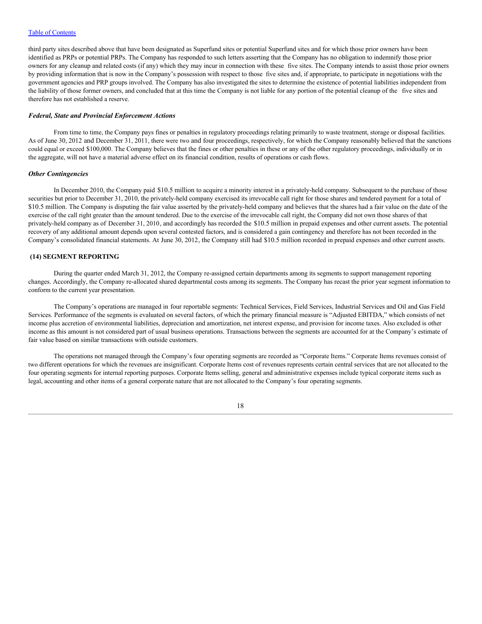third party sites described above that have been designated as Superfund sites or potential Superfund sites and for which those prior owners have been identified as PRPs or potential PRPs. The Company has responded to such letters asserting that the Company has no obligation to indemnify those prior owners for any cleanup and related costs (if any) which they may incur in connection with these five sites. The Company intends to assist those prior owners by providing information that is now in the Company's possession with respect to those five sites and, if appropriate, to participate in negotiations with the government agencies and PRP groups involved. The Company has also investigated the sites to determine the existence of potential liabilities independent from the liability of those former owners, and concluded that at this time the Company is not liable for any portion of the potential cleanup of the five sites and therefore has not established a reserve.

#### *Federal, State and Provincial Enforcement Actions*

From time to time, the Company pays fines or penalties in regulatory proceedings relating primarily to waste treatment, storage or disposal facilities. As of June 30, 2012 and December 31, 2011, there were two and four proceedings, respectively, for which the Company reasonably believed that the sanctions could equal or exceed \$100,000. The Company believes that the fines or other penalties in these or any of the other regulatory proceedings, individually or in the aggregate, will not have a material adverse effect on its financial condition, results of operations or cash flows.

#### *Other Contingencies*

In December 2010, the Company paid \$10.5 million to acquire a minority interest in a privately-held company. Subsequent to the purchase of those securities but prior to December 31, 2010, the privately-held company exercised its irrevocable call right for those shares and tendered payment for a total of \$10.5 million. The Company is disputing the fair value asserted by the privately-held company and believes that the shares had a fair value on the date of the exercise of the call right greater than the amount tendered. Due to the exercise of the irrevocable call right, the Company did not own those shares of that privately-held company as of December 31, 2010, and accordingly has recorded the \$10.5 million in prepaid expenses and other current assets. The potential recovery of any additional amount depends upon several contested factors, and is considered a gain contingency and therefore has not been recorded in the Company's consolidated financial statements. At June 30, 2012, the Company still had \$10.5 million recorded in prepaid expenses and other current assets.

### **(14) SEGMENT REPORTING**

During the quarter ended March 31, 2012, the Company re-assigned certain departments among its segments to support management reporting changes. Accordingly, the Company re-allocated shared departmental costs among its segments. The Company has recast the prior year segment information to conform to the current year presentation.

The Company's operations are managed in four reportable segments: Technical Services, Field Services, Industrial Services and Oil and Gas Field Services. Performance of the segments is evaluated on several factors, of which the primary financial measure is "Adjusted EBITDA," which consists of net income plus accretion of environmental liabilities, depreciation and amortization, net interest expense, and provision for income taxes. Also excluded is other income as this amount is not considered part of usual business operations. Transactions between the segments are accounted for at the Company's estimate of fair value based on similar transactions with outside customers.

The operations not managed through the Company's four operating segments are recorded as "Corporate Items." Corporate Items revenues consist of two different operations for which the revenues are insignificant. Corporate Items cost of revenues represents certain central services that are not allocated to the four operating segments for internal reporting purposes. Corporate Items selling, general and administrative expenses include typical corporate items such as legal, accounting and other items of a general corporate nature that are not allocated to the Company's four operating segments.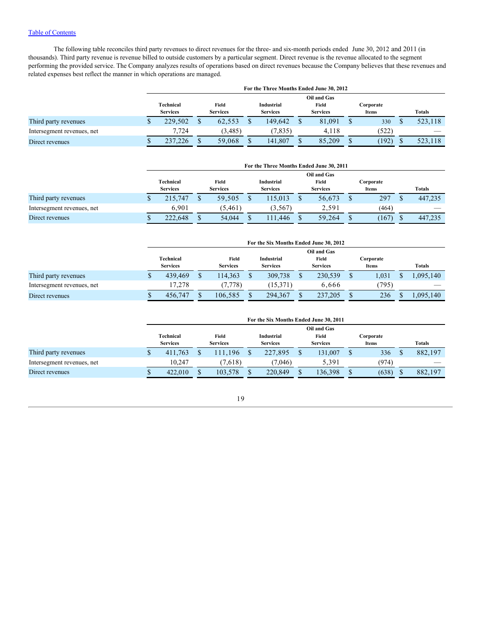### [Table of Contents](#page-0-0)

The following table reconciles third party revenues to direct revenues for the three- and six-month periods ended June 30, 2012 and 2011 (in thousands). Third party revenue is revenue billed to outside customers by a particular segment. Direct revenue is the revenue allocated to the segment performing the provided service. The Company analyzes results of operations based on direct revenues because the Company believes that these revenues and related expenses best reflect the manner in which operations are managed.

|                            | For the Three Months Ended June 30, 2012 |  |                 |                               |          |  |                          |   |                    |  |               |  |
|----------------------------|------------------------------------------|--|-----------------|-------------------------------|----------|--|--------------------------|---|--------------------|--|---------------|--|
|                            | Oil and Gas                              |  |                 |                               |          |  |                          |   |                    |  |               |  |
|                            | Technical<br>Field<br><b>Services</b>    |  | <b>Services</b> | Industrial<br><b>Services</b> |          |  | Field<br><b>Services</b> |   | Corporate<br>Items |  | <b>Totals</b> |  |
| Third party revenues       | 229,502                                  |  | 62.553          |                               | 149.642  |  | 81,091                   |   | 330                |  | 523,118       |  |
| Intersegment revenues, net | 7.724                                    |  | (3.485)         |                               | (7, 835) |  | 4.118                    |   | (522)              |  |               |  |
| Direct revenues            | 237,226                                  |  | 59,068          |                               | 141,807  |  | 85,209                   | S | (192)              |  | 523.118       |  |

|                            | For the Three Months Ended June 30, 2011 |             |                          |  |                               |  |                          |                    |       |  |               |  |  |
|----------------------------|------------------------------------------|-------------|--------------------------|--|-------------------------------|--|--------------------------|--------------------|-------|--|---------------|--|--|
|                            |                                          | Oil and Gas |                          |  |                               |  |                          |                    |       |  |               |  |  |
|                            | Technical<br><b>Services</b>             |             | Field<br><b>Services</b> |  | Industrial<br><b>Services</b> |  | Field<br><b>Services</b> | Corporate<br>Items |       |  | <b>Totals</b> |  |  |
| Third party revenues       | 215,747                                  |             | 59.505                   |  | 115.013                       |  | 56,673                   |                    | 297   |  | 447,235       |  |  |
| Intersegment revenues, net | 6.901                                    |             | (5, 461)                 |  | (3,567)                       |  | 2.591                    |                    | (464) |  |               |  |  |
| Direct revenues            | 222,648                                  |             | 54,044                   |  | 111.446                       |  | 59,264                   | S                  | (167) |  | 447,235       |  |  |

|                            |                              | For the Six Months Ended June 30, 2012 |                          |          |                               |           |                          |         |  |       |  |           |           |  |               |
|----------------------------|------------------------------|----------------------------------------|--------------------------|----------|-------------------------------|-----------|--------------------------|---------|--|-------|--|-----------|-----------|--|---------------|
|                            |                              | Oil and Gas                            |                          |          |                               |           |                          |         |  |       |  |           |           |  |               |
|                            | Technical<br><b>Services</b> |                                        | Field<br><b>Services</b> |          | Industrial<br><b>Services</b> |           | Field<br><b>Services</b> |         |  | Items |  |           | Corporate |  | <b>Totals</b> |
| Third party revenues       |                              | 439,469                                |                          | 114.363  |                               | 309,738   |                          | 230,539 |  | 1,031 |  | 1,095,140 |           |  |               |
| Intersegment revenues, net |                              | 17.278                                 |                          | (7, 778) |                               | (15, 371) |                          | 6.666   |  | (795) |  |           |           |  |               |
| Direct revenues            |                              | 456,747                                |                          | 106,585  |                               | 294.367   |                          | 237,205 |  | 236   |  | .095.140  |           |  |               |

|                            | For the Six Months Ended June 30, 2011 |  |                 |                 |         |                 |         |       |           |  |               |  |
|----------------------------|----------------------------------------|--|-----------------|-----------------|---------|-----------------|---------|-------|-----------|--|---------------|--|
|                            | Oil and Gas                            |  |                 |                 |         |                 |         |       |           |  |               |  |
|                            | Technical<br>Field                     |  |                 | Industrial      |         |                 | Field   |       | Corporate |  |               |  |
|                            | <b>Services</b>                        |  | <b>Services</b> | <b>Services</b> |         | <b>Services</b> |         | Items |           |  | <b>Totals</b> |  |
| Third party revenues       | 411.763                                |  | 111.196         |                 | 227,895 |                 | 131,007 |       | 336       |  | 882,197       |  |
| Intersegment revenues, net | 10.247                                 |  | (7,618)         |                 | (7.046) |                 | 5.391   |       | (974)     |  |               |  |
| Direct revenues            | 422,010                                |  | 103,578         |                 | 220,849 |                 | 136,398 |       | (638)     |  | 882,197       |  |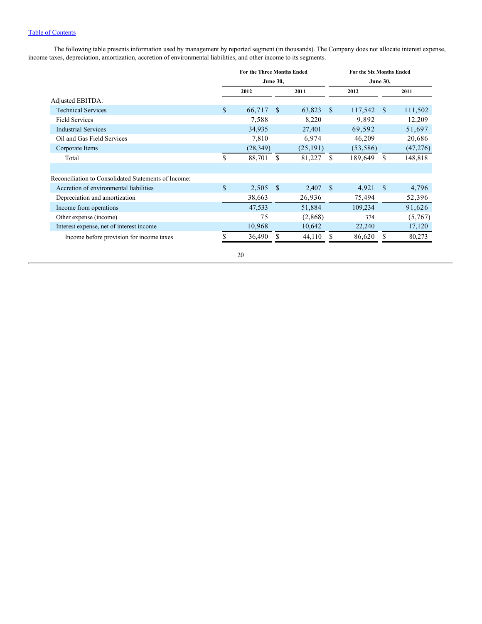# [Table of Contents](#page-0-0)

The following table presents information used by management by reported segment (in thousands). The Company does not allocate interest expense, income taxes, depreciation, amortization, accretion of environmental liabilities, and other income to its segments.

|                                                      |    | <b>For the Three Months Ended</b> |                 |           | <b>For the Six Months Ended</b> |              |                 |          |  |  |
|------------------------------------------------------|----|-----------------------------------|-----------------|-----------|---------------------------------|--------------|-----------------|----------|--|--|
|                                                      |    |                                   | <b>June 30,</b> |           |                                 |              | <b>June 30,</b> |          |  |  |
|                                                      |    | 2012                              |                 | 2011      |                                 | 2012         |                 | 2011     |  |  |
| Adjusted EBITDA:                                     |    |                                   |                 |           |                                 |              |                 |          |  |  |
| <b>Technical Services</b>                            | \$ | 66,717                            | -S              | 63,823    | -S                              | $117,542$ \$ |                 | 111,502  |  |  |
| <b>Field Services</b>                                |    | 7,588                             |                 | 8,220     |                                 | 9,892        |                 | 12,209   |  |  |
| <b>Industrial Services</b>                           |    | 34,935                            |                 | 27,401    |                                 | 69,592       |                 | 51,697   |  |  |
| Oil and Gas Field Services                           |    | 7,810                             |                 | 6,974     |                                 | 46,209       |                 | 20,686   |  |  |
| Corporate Items                                      |    | (28, 349)                         |                 | (25, 191) |                                 | (53, 586)    |                 | (47,276) |  |  |
| Total                                                | \$ | 88,701                            | \$              | 81,227    | \$.                             | 189,649      | S               | 148,818  |  |  |
|                                                      |    |                                   |                 |           |                                 |              |                 |          |  |  |
| Reconciliation to Consolidated Statements of Income: |    |                                   |                 |           |                                 |              |                 |          |  |  |
| Accretion of environmental liabilities               | \$ | 2,505                             | -S              | 2,407     | $\mathcal{S}$                   | 4,921        | -S              | 4,796    |  |  |
| Depreciation and amortization                        |    | 38,663                            |                 | 26,936    |                                 | 75,494       |                 | 52,396   |  |  |
| Income from operations                               |    | 47,533                            |                 | 51,884    |                                 | 109,234      |                 | 91,626   |  |  |
| Other expense (income)                               |    | 75                                |                 | (2,868)   |                                 | 374          |                 | (5,767)  |  |  |
| Interest expense, net of interest income             |    | 10,968                            |                 | 10,642    |                                 | 22,240       |                 | 17,120   |  |  |
| Income before provision for income taxes             | S  | 36,490                            | <b>S</b>        | 44,110    | <b>S</b>                        | 86,620       | \$.             | 80,273   |  |  |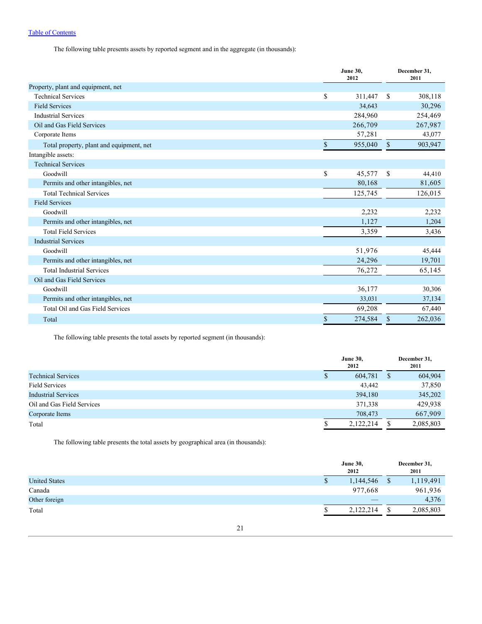The following table presents assets by reported segment and in the aggregate (in thousands):

|                                          | <b>June 30,</b><br>2012 |               | December 31,<br>2011 |
|------------------------------------------|-------------------------|---------------|----------------------|
| Property, plant and equipment, net       |                         |               |                      |
| <b>Technical Services</b>                | \$<br>311,447           | \$            | 308,118              |
| <b>Field Services</b>                    | 34,643                  |               | 30,296               |
| <b>Industrial Services</b>               | 284,960                 |               | 254,469              |
| Oil and Gas Field Services               | 266,709                 |               | 267,987              |
| Corporate Items                          | 57,281                  |               | 43,077               |
| Total property, plant and equipment, net | \$<br>955,040           | $\mathbb{S}$  | 903,947              |
| Intangible assets:                       |                         |               |                      |
| <b>Technical Services</b>                |                         |               |                      |
| Goodwill                                 | \$<br>45,577            | <sup>\$</sup> | 44,410               |
| Permits and other intangibles, net       | 80,168                  |               | 81,605               |
| <b>Total Technical Services</b>          | 125,745                 |               | 126,015              |
| <b>Field Services</b>                    |                         |               |                      |
| Goodwill                                 | 2,232                   |               | 2,232                |
| Permits and other intangibles, net       | 1,127                   |               | 1,204                |
| <b>Total Field Services</b>              | 3,359                   |               | 3,436                |
| <b>Industrial Services</b>               |                         |               |                      |
| Goodwill                                 | 51,976                  |               | 45,444               |
| Permits and other intangibles, net       | 24,296                  |               | 19,701               |
| <b>Total Industrial Services</b>         | 76,272                  |               | 65,145               |
| Oil and Gas Field Services               |                         |               |                      |
| Goodwill                                 | 36,177                  |               | 30,306               |
| Permits and other intangibles, net       | 33,031                  |               | 37,134               |
| Total Oil and Gas Field Services         | 69,208                  |               | 67,440               |
| Total                                    | \$<br>274,584           | \$            | 262,036              |

The following table presents the total assets by reported segment (in thousands):

|                            |   | <b>June 30,</b><br>2012 |   | December 31,<br>2011 |
|----------------------------|---|-------------------------|---|----------------------|
| <b>Technical Services</b>  | S | 604,781                 | S | 604,904              |
| <b>Field Services</b>      |   | 43,442                  |   | 37,850               |
| <b>Industrial Services</b> |   | 394,180                 |   | 345,202              |
| Oil and Gas Field Services |   | 371,338                 |   | 429,938              |
| Corporate Items            |   | 708,473                 |   | 667,909              |
| Total                      |   | 2,122,214               |   | 2,085,803            |

The following table presents the total assets by geographical area (in thousands):

|                      | <b>June 30,</b><br>2012  | December 31,<br>2011 |
|----------------------|--------------------------|----------------------|
| <b>United States</b> | \$<br>1,144,546          | 1,119,491            |
| Canada               | 977,668                  | 961,936              |
| Other foreign        | $\overline{\phantom{a}}$ | 4,376                |
| Total                | 2,122,214                | 2,085,803            |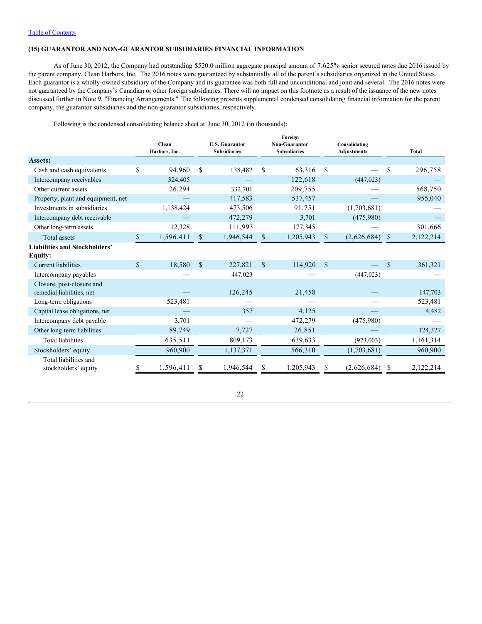# **(15) GUARANTOR AND NON-GUARANTOR SUBSIDIARIES FINANCIAL INFORMATION**

As of June 30, 2012, the Company had outstanding \$520.0 million aggregate principal amount of 7.625% senior secured notes due 2016 issued by the parent company, Clean Harbors, Inc. The 2016 notes were guaranteed by substantially all of the parent's subsidiaries organized in the United States. Each guarantor is a wholly-owned subsidiary of the Company and its guarantee was both full and unconditional and joint and several. The 2016 notes were not guaranteed by the Company's Canadian or other foreign subsidiaries. There will no impact on this footnote as a result of the issuance of the new notes discussed further in Note 9, "Financing Arrangements." The following presents supplemental condensed consolidating financial information for the parent company, the guarantor subsidiaries and the non-guarantor subsidiaries, respectively.

Following is the condensed consolidating balance sheet at June 30, 2012 (in thousands):

|                                                        |     | Foreign                |              |                                              |              |                                             |               |                                     |               |           |
|--------------------------------------------------------|-----|------------------------|--------------|----------------------------------------------|--------------|---------------------------------------------|---------------|-------------------------------------|---------------|-----------|
|                                                        |     | Clean<br>Harbors, Inc. |              | <b>U.S. Guarantor</b><br><b>Subsidiaries</b> |              | <b>Non-Guarantor</b><br><b>Subsidiaries</b> |               | Consolidating<br><b>Adjustments</b> |               | Total     |
| <b>Assets:</b>                                         |     |                        |              |                                              |              |                                             |               |                                     |               |           |
| Cash and cash equivalents                              | S   | 94,960                 | \$.          | 138,482                                      | \$.          | 63,316                                      | <sup>\$</sup> |                                     | \$            | 296,758   |
| Intercompany receivables                               |     | 324,405                |              |                                              |              | 122,618                                     |               | (447, 023)                          |               |           |
| Other current assets                                   |     | 26,294                 |              | 332,701                                      |              | 209,755                                     |               |                                     |               | 568,750   |
| Property, plant and equipment, net                     |     |                        |              | 417,583                                      |              | 537,457                                     |               |                                     |               | 955,040   |
| Investments in subsidiaries                            |     | 1,138,424              |              | 473,506                                      |              | 91,751                                      |               | (1,703,681)                         |               |           |
| Intercompany debt receivable                           |     |                        |              | 472,279                                      |              | 3,701                                       |               | (475,980)                           |               |           |
| Other long-term assets                                 |     | 12,328                 |              | 111,993                                      |              | 177,345                                     |               |                                     |               | 301,666   |
| Total assets                                           | \$  | 1,596,411              | \$           | 1,946,544                                    | \$           | 1,205,943                                   | \$            | (2,626,684)                         | <sup>\$</sup> | 2,122,214 |
| <b>Liabilities and Stockholders'</b>                   |     |                        |              |                                              |              |                                             |               |                                     |               |           |
| <b>Equity:</b>                                         |     |                        |              |                                              |              |                                             |               |                                     |               |           |
| <b>Current liabilities</b>                             | \$. | 18,580                 | $\mathbb{S}$ | 227,821                                      | $\mathbb{S}$ | 114,920                                     | $\mathbb{S}$  |                                     | \$            | 361,321   |
| Intercompany payables                                  |     |                        |              | 447,023                                      |              |                                             |               | (447, 023)                          |               |           |
| Closure, post-closure and<br>remedial liabilities, net |     |                        |              | 126,245                                      |              | 21,458                                      |               |                                     |               | 147,703   |
| Long-term obligations                                  |     | 523,481                |              |                                              |              |                                             |               |                                     |               | 523,481   |
| Capital lease obligations, net                         |     |                        |              | 357                                          |              | 4,125                                       |               |                                     |               | 4,482     |
| Intercompany debt payable                              |     | 3,701                  |              |                                              |              | 472,279                                     |               | (475,980)                           |               |           |
| Other long-term liabilities                            |     | 89,749                 |              | 7,727                                        |              | 26,851                                      |               |                                     |               | 124,327   |
| <b>Total liabilities</b>                               |     | 635,511                |              | 809,173                                      |              | 639,633                                     |               | (923,003)                           |               | 1,161,314 |
| Stockholders' equity                                   |     | 960,900                |              | 1,137,371                                    |              | 566,310                                     |               | (1,703,681)                         |               | 960,900   |
| Total liabilities and<br>stockholders' equity          |     | 1,596,411              | S            | 1,946,544                                    | S.           | 1,205,943                                   | \$.           | (2,626,684)                         |               | 2,122,214 |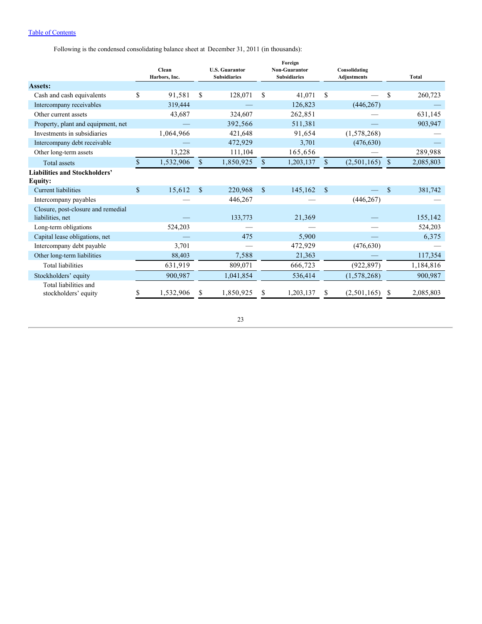# [Table of Contents](#page-0-0)

Following is the condensed consolidating balance sheet at December 31, 2011 (in thousands):

|                                                        |              | Clean<br>Harbors, Inc. | <b>U.S. Guarantor</b><br><b>Subsidiaries</b> |           | Foreign<br><b>Non-Guarantor</b><br><b>Subsidiaries</b> |           | Consolidating<br><b>Adjustments</b> |             |              | Total     |
|--------------------------------------------------------|--------------|------------------------|----------------------------------------------|-----------|--------------------------------------------------------|-----------|-------------------------------------|-------------|--------------|-----------|
| Assets:                                                |              |                        |                                              |           |                                                        |           |                                     |             |              |           |
| Cash and cash equivalents                              | \$           | 91,581                 | <sup>\$</sup>                                | 128,071   | S                                                      | 41.071    | \$                                  |             | \$           | 260,723   |
| Intercompany receivables                               |              | 319,444                |                                              |           |                                                        | 126,823   |                                     | (446, 267)  |              |           |
| Other current assets                                   |              | 43,687                 |                                              | 324,607   |                                                        | 262,851   |                                     |             |              | 631,145   |
| Property, plant and equipment, net                     |              |                        |                                              | 392,566   |                                                        | 511,381   |                                     |             |              | 903,947   |
| Investments in subsidiaries                            |              | 1,064,966              |                                              | 421,648   |                                                        | 91,654    |                                     | (1,578,268) |              |           |
| Intercompany debt receivable                           |              |                        |                                              | 472,929   |                                                        | 3,701     |                                     | (476, 630)  |              |           |
| Other long-term assets                                 |              | 13,228                 |                                              | 111,104   |                                                        | 165,656   |                                     |             |              | 289,988   |
| <b>Total</b> assets                                    |              | 1,532,906              |                                              | 1,850,925 | <sup>S</sup>                                           | 1,203,137 | \$                                  | (2,501,165) | <sup>S</sup> | 2,085,803 |
| <b>Liabilities and Stockholders'</b><br>Equity:        |              |                        |                                              |           |                                                        |           |                                     |             |              |           |
| <b>Current liabilities</b>                             | $\mathbf{s}$ | 15,612                 | <sup>\$</sup>                                | 220,968   | $\mathbb{S}$                                           | 145,162   | $\mathbb{S}$                        |             | $\mathbb{S}$ | 381,742   |
| Intercompany payables                                  |              |                        |                                              | 446,267   |                                                        |           |                                     | (446, 267)  |              |           |
| Closure, post-closure and remedial<br>liabilities, net |              |                        |                                              | 133,773   |                                                        | 21,369    |                                     |             |              | 155,142   |
| Long-term obligations                                  |              | 524,203                |                                              |           |                                                        |           |                                     |             |              | 524,203   |
| Capital lease obligations, net                         |              |                        |                                              | 475       |                                                        | 5,900     |                                     |             |              | 6,375     |
| Intercompany debt payable                              |              | 3,701                  |                                              |           |                                                        | 472,929   |                                     | (476, 630)  |              |           |
| Other long-term liabilities                            |              | 88,403                 |                                              | 7,588     |                                                        | 21,363    |                                     |             |              | 117,354   |
| <b>Total liabilities</b>                               |              | 631,919                |                                              | 809,071   |                                                        | 666,723   |                                     | (922, 897)  |              | 1,184,816 |
| Stockholders' equity                                   |              | 900,987                |                                              | 1,041,854 |                                                        | 536,414   |                                     | (1,578,268) |              | 900,987   |
| Total liabilities and<br>stockholders' equity          |              | 1,532,906              |                                              | 1,850,925 | \$                                                     | 1,203,137 | S                                   | (2,501,165) |              | 2,085,803 |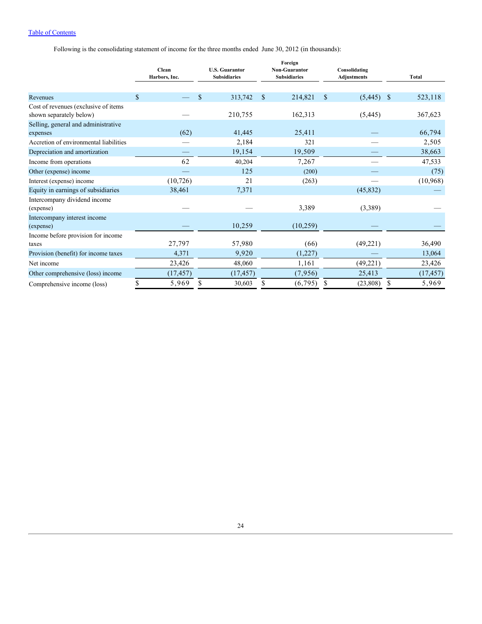Following is the consolidating statement of income for the three months ended June 30, 2012 (in thousands):

|                                                                 | Clean<br>Harbors, Inc. |           | <b>U.S. Guarantor</b><br><b>Subsidiaries</b> |           |              | Foreign<br><b>Non-Guarantor</b><br><b>Subsidiaries</b> | Consolidating<br><b>Adjustments</b> |    | Total     |  |
|-----------------------------------------------------------------|------------------------|-----------|----------------------------------------------|-----------|--------------|--------------------------------------------------------|-------------------------------------|----|-----------|--|
|                                                                 |                        |           |                                              |           |              |                                                        |                                     |    |           |  |
| Revenues                                                        | $\mathbb{S}$           |           | \$                                           | 313,742   | $\mathbb{S}$ | 214,821                                                | \$<br>(5, 445)                      | -S | 523,118   |  |
| Cost of revenues (exclusive of items<br>shown separately below) |                        |           |                                              | 210,755   |              | 162,313                                                | (5, 445)                            |    | 367,623   |  |
| Selling, general and administrative                             |                        |           |                                              |           |              |                                                        |                                     |    |           |  |
| expenses                                                        |                        | (62)      |                                              | 41,445    |              | 25,411                                                 |                                     |    | 66,794    |  |
| Accretion of environmental liabilities                          |                        |           |                                              | 2,184     |              | 321                                                    |                                     |    | 2,505     |  |
| Depreciation and amortization                                   |                        |           |                                              | 19,154    |              | 19,509                                                 |                                     |    | 38,663    |  |
| Income from operations                                          |                        | 62        |                                              | 40,204    |              | 7,267                                                  |                                     |    | 47,533    |  |
| Other (expense) income                                          |                        |           |                                              | 125       |              | (200)                                                  |                                     |    | (75)      |  |
| Interest (expense) income                                       |                        | (10, 726) |                                              | 21        |              | (263)                                                  |                                     |    | (10,968)  |  |
| Equity in earnings of subsidiaries                              |                        | 38,461    |                                              | 7,371     |              |                                                        | (45, 832)                           |    |           |  |
| Intercompany dividend income<br>(expense)                       |                        |           |                                              |           |              | 3,389                                                  | (3,389)                             |    |           |  |
| Intercompany interest income                                    |                        |           |                                              |           |              |                                                        |                                     |    |           |  |
| (expense)                                                       |                        |           |                                              | 10,259    |              | (10,259)                                               |                                     |    |           |  |
| Income before provision for income                              |                        |           |                                              |           |              |                                                        |                                     |    |           |  |
| taxes                                                           |                        | 27,797    |                                              | 57,980    |              | (66)                                                   | (49,221)                            |    | 36,490    |  |
| Provision (benefit) for income taxes                            |                        | 4,371     |                                              | 9,920     |              | (1,227)                                                |                                     |    | 13,064    |  |
| Net income                                                      |                        | 23,426    |                                              | 48,060    |              | 1,161                                                  | (49, 221)                           |    | 23,426    |  |
| Other comprehensive (loss) income                               |                        | (17, 457) |                                              | (17, 457) |              | (7,956)                                                | 25,413                              |    | (17, 457) |  |
| Comprehensive income (loss)                                     | \$                     | 5,969     |                                              | 30,603    | \$           | (6, 795)                                               | \$<br>(23, 808)                     | S  | 5,969     |  |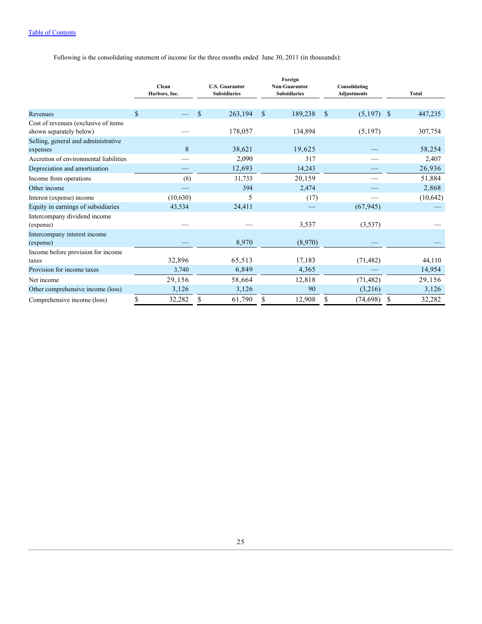Following is the consolidating statement of income for the three months ended June 30, 2011 (in thousands):

|                                                                 |              | Clean<br>Harbors, Inc. |              | <b>U.S. Guarantor</b><br><b>Subsidiaries</b> |               | Foreign<br><b>Non-Guarantor</b><br><b>Subsidiaries</b> |              | Consolidating<br><b>Adjustments</b> |   | <b>Total</b> |
|-----------------------------------------------------------------|--------------|------------------------|--------------|----------------------------------------------|---------------|--------------------------------------------------------|--------------|-------------------------------------|---|--------------|
|                                                                 |              |                        |              |                                              |               |                                                        |              |                                     |   |              |
| Revenues                                                        | $\mathbb{S}$ |                        | $\mathbb{S}$ | 263,194                                      | <sup>\$</sup> | 189,238                                                | $\mathbb{S}$ | $(5,197)$ \$                        |   | 447,235      |
| Cost of revenues (exclusive of items<br>shown separately below) |              |                        |              | 178,057                                      |               | 134,894                                                |              | (5,197)                             |   | 307,754      |
| Selling, general and administrative<br>expenses                 |              | 8                      |              | 38,621                                       |               | 19,625                                                 |              |                                     |   | 58,254       |
| Accretion of environmental liabilities                          |              |                        |              | 2,090                                        |               | 317                                                    |              |                                     |   | 2,407        |
| Depreciation and amortization                                   |              |                        |              | 12,693                                       |               | 14,243                                                 |              |                                     |   | 26,936       |
| Income from operations                                          |              | (8)                    |              | 31,733                                       |               | 20,159                                                 |              |                                     |   | 51,884       |
| Other income                                                    |              |                        |              | 394                                          |               | 2,474                                                  |              |                                     |   | 2,868        |
| Interest (expense) income                                       |              | (10,630)               |              | 5                                            |               | (17)                                                   |              |                                     |   | (10, 642)    |
| Equity in earnings of subsidiaries                              |              | 43,534                 |              | 24,411                                       |               |                                                        |              | (67, 945)                           |   |              |
| Intercompany dividend income<br>(expense)                       |              |                        |              |                                              |               | 3,537                                                  |              | (3,537)                             |   |              |
| Intercompany interest income<br>(expense)                       |              |                        |              | 8,970                                        |               | (8,970)                                                |              |                                     |   |              |
| Income before provision for income<br>taxes                     |              | 32,896                 |              | 65,513                                       |               | 17,183                                                 |              | (71, 482)                           |   | 44,110       |
| Provision for income taxes                                      |              | 3,740                  |              | 6,849                                        |               | 4,365                                                  |              |                                     |   | 14,954       |
| Net income                                                      |              | 29,156                 |              | 58,664                                       |               | 12,818                                                 |              | (71, 482)                           |   | 29,156       |
| Other comprehensive income (loss)                               |              | 3,126                  |              | 3,126                                        |               | 90                                                     |              | (3,216)                             |   | 3,126        |
| Comprehensive income (loss)                                     | \$           | 32,282                 | \$           | 61,790                                       | \$            | 12,908                                                 | \$           | (74, 698)                           | S | 32,282       |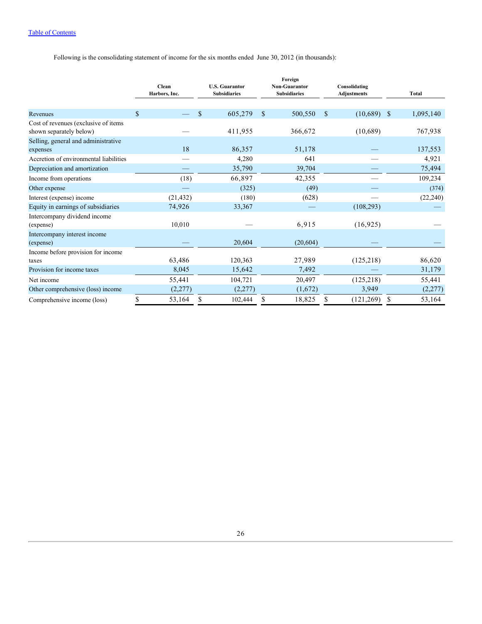Following is the consolidating statement of income for the six months ended June 30, 2012 (in thousands):

|                                                                 |              | Clean<br>Harbors, Inc. |              | <b>U.S. Guarantor</b><br><b>Subsidiaries</b> |              | Foreign<br><b>Non-Guarantor</b><br><b>Subsidiaries</b> |               | Consolidating<br><b>Adjustments</b> |    | Total     |
|-----------------------------------------------------------------|--------------|------------------------|--------------|----------------------------------------------|--------------|--------------------------------------------------------|---------------|-------------------------------------|----|-----------|
| Revenues                                                        | $\mathbb{S}$ |                        | $\mathbb{S}$ | 605,279                                      | $\mathbb{S}$ | 500,550                                                | <sup>\$</sup> | (10,689)                            | -S | 1,095,140 |
| Cost of revenues (exclusive of items<br>shown separately below) |              |                        |              | 411,955                                      |              | 366,672                                                |               | (10,689)                            |    | 767,938   |
| Selling, general and administrative<br>expenses                 |              | 18                     |              | 86,357                                       |              | 51,178                                                 |               |                                     |    | 137,553   |
| Accretion of environmental liabilities                          |              |                        |              | 4,280                                        |              | 641                                                    |               |                                     |    | 4,921     |
| Depreciation and amortization                                   |              |                        |              | 35,790                                       |              | 39,704                                                 |               |                                     |    | 75,494    |
| Income from operations                                          |              | (18)                   |              | 66,897                                       |              | 42,355                                                 |               |                                     |    | 109,234   |
| Other expense                                                   |              |                        |              | (325)                                        |              | (49)                                                   |               |                                     |    | (374)     |
| Interest (expense) income                                       |              | (21, 432)              |              | (180)                                        |              | (628)                                                  |               |                                     |    | (22, 240) |
| Equity in earnings of subsidiaries                              |              | 74,926                 |              | 33,367                                       |              |                                                        |               | (108, 293)                          |    |           |
| Intercompany dividend income<br>(expense)                       |              | 10,010                 |              |                                              |              | 6,915                                                  |               | (16, 925)                           |    |           |
| Intercompany interest income<br>(expense)                       |              |                        |              | 20,604                                       |              | (20,604)                                               |               |                                     |    |           |
| Income before provision for income<br>taxes                     |              | 63,486                 |              | 120,363                                      |              | 27,989                                                 |               | (125, 218)                          |    | 86,620    |
| Provision for income taxes                                      |              | 8,045                  |              | 15,642                                       |              | 7,492                                                  |               |                                     |    | 31,179    |
| Net income                                                      |              | 55,441                 |              | 104,721                                      |              | 20,497                                                 |               | (125, 218)                          |    | 55,441    |
| Other comprehensive (loss) income                               |              | (2,277)                |              | (2,277)                                      |              | (1,672)                                                |               | 3,949                               |    | (2,277)   |
| Comprehensive income (loss)                                     | \$           | 53,164                 | \$           | 102,444                                      | \$           | 18,825                                                 | \$            | (121, 269)                          | S  | 53,164    |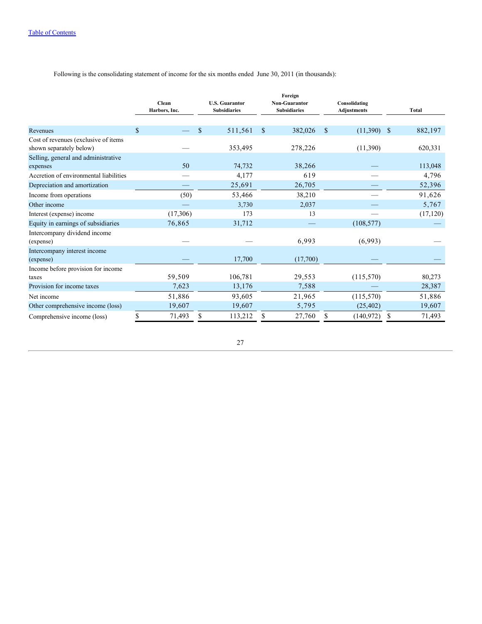Following is the consolidating statement of income for the six months ended June 30, 2011 (in thousands):

|                                                                 |              |                        |                                              |              | Foreign                                     |              |                                     |               |           |
|-----------------------------------------------------------------|--------------|------------------------|----------------------------------------------|--------------|---------------------------------------------|--------------|-------------------------------------|---------------|-----------|
|                                                                 |              | Clean<br>Harbors, Inc. | <b>U.S. Guarantor</b><br><b>Subsidiaries</b> |              | <b>Non-Guarantor</b><br><b>Subsidiaries</b> |              | Consolidating<br><b>Adjustments</b> |               | Total     |
|                                                                 |              |                        |                                              |              |                                             |              |                                     |               |           |
| Revenues                                                        | $\mathbb{S}$ |                        | \$<br>511,561                                | <sup>S</sup> | 382,026                                     | $\mathbb{S}$ | $(11,390)$ \$                       |               | 882,197   |
| Cost of revenues (exclusive of items<br>shown separately below) |              |                        | 353,495                                      |              | 278,226                                     |              | (11,390)                            |               | 620,331   |
| Selling, general and administrative                             |              |                        |                                              |              |                                             |              |                                     |               |           |
| expenses                                                        |              | 50                     | 74,732                                       |              | 38,266                                      |              |                                     |               | 113,048   |
| Accretion of environmental liabilities                          |              |                        | 4,177                                        |              | 619                                         |              |                                     |               | 4,796     |
| Depreciation and amortization                                   |              |                        | 25,691                                       |              | 26,705                                      |              |                                     |               | 52,396    |
| Income from operations                                          |              | (50)                   | 53,466                                       |              | 38,210                                      |              |                                     |               | 91,626    |
| Other income                                                    |              |                        | 3,730                                        |              | 2,037                                       |              |                                     |               | 5,767     |
| Interest (expense) income                                       |              | (17,306)               | 173                                          |              | 13                                          |              |                                     |               | (17, 120) |
| Equity in earnings of subsidiaries                              |              | 76,865                 | 31,712                                       |              |                                             |              | (108, 577)                          |               |           |
| Intercompany dividend income<br>(expense)                       |              |                        |                                              |              | 6,993                                       |              | (6,993)                             |               |           |
| Intercompany interest income                                    |              |                        |                                              |              |                                             |              |                                     |               |           |
| (expense)                                                       |              |                        | 17,700                                       |              | (17,700)                                    |              |                                     |               |           |
| Income before provision for income<br>taxes                     |              | 59,509                 | 106,781                                      |              | 29,553                                      |              | (115,570)                           |               | 80,273    |
| Provision for income taxes                                      |              | 7,623                  | 13,176                                       |              | 7,588                                       |              |                                     |               | 28,387    |
| Net income                                                      |              | 51,886                 | 93,605                                       |              | 21,965                                      |              | (115,570)                           |               | 51,886    |
| Other comprehensive income (loss)                               |              | 19,607                 | 19,607                                       |              | 5,795                                       |              | (25, 402)                           |               | 19,607    |
| Comprehensive income (loss)                                     | \$           | 71,493                 | \$<br>113,212                                | \$           | 27,760                                      | \$           | (140, 972)                          | <sup>\$</sup> | 71,493    |
|                                                                 |              |                        |                                              |              |                                             |              |                                     |               |           |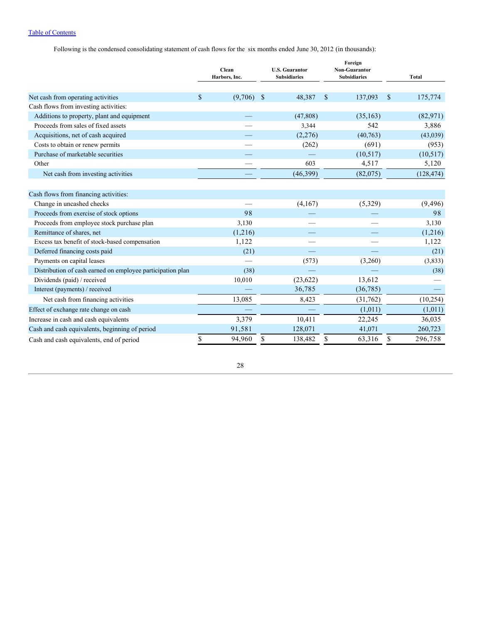Following is the condensed consolidating statement of cash flows for the six months ended June 30, 2012 (in thousands):

|                                                            | Clean<br>Harbors, Inc.        | <b>U.S. Guarantor</b><br><b>Subsidiaries</b> | Foreign<br>Non-Guarantor<br><b>Subsidiaries</b> | Total                    |
|------------------------------------------------------------|-------------------------------|----------------------------------------------|-------------------------------------------------|--------------------------|
| Net cash from operating activities                         | <sup>\$</sup><br>$(9,706)$ \$ | 48,387                                       | 137,093<br>$\mathbb{S}$                         | <sup>\$</sup><br>175,774 |
| Cash flows from investing activities:                      |                               |                                              |                                                 |                          |
| Additions to property, plant and equipment                 |                               | (47,808)                                     | (35, 163)                                       | (82,971)                 |
| Proceeds from sales of fixed assets                        |                               | 3,344                                        | 542                                             | 3,886                    |
| Acquisitions, net of cash acquired                         |                               | (2,276)                                      | (40, 763)                                       | (43,039)                 |
| Costs to obtain or renew permits                           |                               | (262)                                        | (691)                                           | (953)                    |
| Purchase of marketable securities                          |                               |                                              | (10,517)                                        | (10, 517)                |
| Other                                                      |                               | 603                                          | 4,517                                           | 5,120                    |
| Net cash from investing activities                         |                               | (46, 399)                                    | (82,075)                                        | (128, 474)               |
| Cash flows from financing activities:                      |                               |                                              |                                                 |                          |
| Change in uncashed checks                                  |                               | (4,167)                                      | (5,329)                                         | (9, 496)                 |
| Proceeds from exercise of stock options                    | 98                            |                                              |                                                 | 98                       |
| Proceeds from employee stock purchase plan                 | 3,130                         |                                              |                                                 | 3,130                    |
| Remittance of shares, net                                  | (1,216)                       |                                              |                                                 | (1,216)                  |
| Excess tax benefit of stock-based compensation             | 1,122                         |                                              |                                                 | 1,122                    |
| Deferred financing costs paid                              | (21)                          |                                              |                                                 | (21)                     |
| Payments on capital leases                                 |                               | (573)                                        | (3,260)                                         | (3,833)                  |
| Distribution of cash earned on employee participation plan | (38)                          |                                              |                                                 | (38)                     |
| Dividends (paid) / received                                | 10,010                        | (23, 622)                                    | 13,612                                          |                          |
| Interest (payments) / received                             |                               | 36,785                                       | (36, 785)                                       |                          |
| Net cash from financing activities                         | 13,085                        | 8,423                                        | (31,762)                                        | (10, 254)                |
| Effect of exchange rate change on cash                     |                               |                                              | (1,011)                                         | (1,011)                  |
| Increase in cash and cash equivalents                      | 3,379                         | 10,411                                       | 22,245                                          | 36,035                   |
| Cash and cash equivalents, beginning of period             | 91,581                        | 128,071                                      | 41,071                                          | 260,723                  |
| Cash and cash equivalents, end of period                   | \$<br>94,960                  | \$<br>138,482                                | \$<br>63,316                                    | \$<br>296,758            |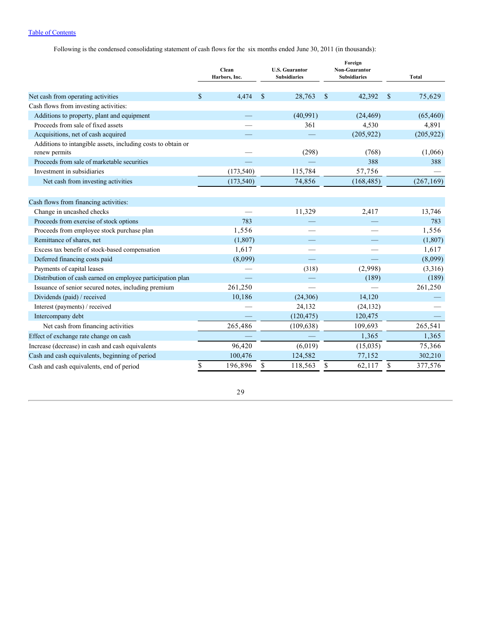Following is the condensed consolidating statement of cash flows for the six months ended June 30, 2011 (in thousands):

<span id="page-31-0"></span>

|                                                                               |               | Clean<br>Harbors, Inc. |             | <b>U.S. Guarantor</b><br><b>Subsidiaries</b> |               | Foreign<br>Non-Guarantor<br><b>Subsidiaries</b> | <b>Total</b>  |
|-------------------------------------------------------------------------------|---------------|------------------------|-------------|----------------------------------------------|---------------|-------------------------------------------------|---------------|
| Net cash from operating activities                                            | <sup>\$</sup> | 4,474                  | $\mathbf S$ | 28,763                                       | $\mathcal{S}$ | 42,392                                          | \$<br>75,629  |
| Cash flows from investing activities:                                         |               |                        |             |                                              |               |                                                 |               |
| Additions to property, plant and equipment                                    |               |                        |             | (40,991)                                     |               | (24, 469)                                       | (65, 460)     |
| Proceeds from sale of fixed assets                                            |               |                        |             | 361                                          |               | 4,530                                           | 4,891         |
| Acquisitions, net of cash acquired                                            |               |                        |             |                                              |               | (205, 922)                                      | (205, 922)    |
| Additions to intangible assets, including costs to obtain or<br>renew permits |               |                        |             | (298)                                        |               | (768)                                           | (1,066)       |
| Proceeds from sale of marketable securities                                   |               |                        |             |                                              |               | 388                                             | 388           |
| Investment in subsidiaries                                                    |               | (173, 540)             |             | 115,784                                      |               | 57,756                                          |               |
| Net cash from investing activities                                            |               | (173, 540)             |             | 74,856                                       |               | (168, 485)                                      | (267, 169)    |
| Cash flows from financing activities:                                         |               |                        |             |                                              |               |                                                 |               |
| Change in uncashed checks                                                     |               |                        |             | 11,329                                       |               | 2,417                                           | 13,746        |
| Proceeds from exercise of stock options                                       |               | 783                    |             |                                              |               |                                                 | 783           |
| Proceeds from employee stock purchase plan                                    |               | 1,556                  |             |                                              |               |                                                 | 1,556         |
| Remittance of shares, net                                                     |               | (1,807)                |             |                                              |               |                                                 | (1,807)       |
| Excess tax benefit of stock-based compensation                                |               | 1,617                  |             |                                              |               |                                                 | 1,617         |
| Deferred financing costs paid                                                 |               | (8,099)                |             |                                              |               |                                                 | (8,099)       |
| Payments of capital leases                                                    |               |                        |             | (318)                                        |               | (2,998)                                         | (3,316)       |
| Distribution of cash earned on employee participation plan                    |               |                        |             |                                              |               | (189)                                           | (189)         |
| Issuance of senior secured notes, including premium                           |               | 261,250                |             |                                              |               |                                                 | 261,250       |
| Dividends (paid) / received                                                   |               | 10,186                 |             | (24, 306)                                    |               | 14,120                                          |               |
| Interest (payments) / received                                                |               |                        |             | 24,132                                       |               | (24, 132)                                       |               |
| Intercompany debt                                                             |               |                        |             | (120, 475)                                   |               | 120,475                                         |               |
| Net cash from financing activities                                            |               | 265,486                |             | (109, 638)                                   |               | 109,693                                         | 265,541       |
| Effect of exchange rate change on cash                                        |               |                        |             |                                              |               | 1,365                                           | 1,365         |
| Increase (decrease) in cash and cash equivalents                              |               | 96,420                 |             | (6,019)                                      |               | (15,035)                                        | 75,366        |
| Cash and cash equivalents, beginning of period                                |               | 100,476                |             | 124,582                                      |               | 77,152                                          | 302,210       |
| Cash and cash equivalents, end of period                                      | \$            | 196,896                | \$          | 118,563                                      | \$            | 62,117                                          | \$<br>377,576 |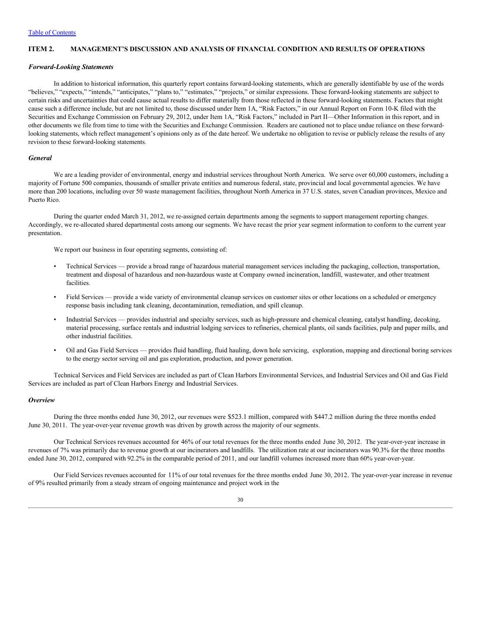### **ITEM 2. MANAGEMENT'S DISCUSSION AND ANALYSIS OF FINANCIAL CONDITION AND RESULTS OF OPERATIONS**

#### *Forward-Looking Statements*

In addition to historical information, this quarterly report contains forward-looking statements, which are generally identifiable by use of the words "believes," "expects," "intends," "anticipates," "plans to," "estimates," "projects," or similar expressions. These forward-looking statements are subject to certain risks and uncertainties that could cause actual results to differ materially from those reflected in these forward-looking statements. Factors that might cause such a difference include, but are not limited to, those discussed under Item 1A, "Risk Factors," in our Annual Report on Form 10-K filed with the Securities and Exchange Commission on February 29, 2012, under Item 1A, "Risk Factors," included in Part II—Other Information in this report, and in other documents we file from time to time with the Securities and Exchange Commission. Readers are cautioned not to place undue reliance on these forwardlooking statements, which reflect management's opinions only as of the date hereof. We undertake no obligation to revise or publicly release the results of any revision to these forward-looking statements.

#### *General*

We are a leading provider of environmental, energy and industrial services throughout North America. We serve over 60,000 customers, including a majority of Fortune 500 companies, thousands of smaller private entities and numerous federal, state, provincial and local governmental agencies. We have more than 200 locations, including over 50 waste management facilities, throughout North America in 37 U.S. states, seven Canadian provinces, Mexico and Puerto Rico.

During the quarter ended March 31, 2012, we re-assigned certain departments among the segments to support management reporting changes. Accordingly, we re-allocated shared departmental costs among our segments. We have recast the prior year segment information to conform to the current year presentation.

We report our business in four operating segments, consisting of:

- Technical Services provide a broad range of hazardous material management services including the packaging, collection, transportation, treatment and disposal of hazardous and non-hazardous waste at Company owned incineration, landfill, wastewater, and other treatment facilities.
- Field Services provide a wide variety of environmental cleanup services on customer sites or other locations on a scheduled or emergency response basis including tank cleaning, decontamination, remediation, and spill cleanup.
- Industrial Services provides industrial and specialty services, such as high-pressure and chemical cleaning, catalyst handling, decoking, material processing, surface rentals and industrial lodging services to refineries, chemical plants, oil sands facilities, pulp and paper mills, and other industrial facilities.
- Oil and Gas Field Services provides fluid handling, fluid hauling, down hole servicing, exploration, mapping and directional boring services to the energy sector serving oil and gas exploration, production, and power generation.

Technical Services and Field Services are included as part of Clean Harbors Environmental Services, and Industrial Services and Oil and Gas Field Services are included as part of Clean Harbors Energy and Industrial Services.

#### *Overview*

During the three months ended June 30, 2012, our revenues were \$523.1 million, compared with \$447.2 million during the three months ended June 30, 2011. The year-over-year revenue growth was driven by growth across the majority of our segments.

Our Technical Services revenues accounted for 46% of our total revenues for the three months ended June 30, 2012. The year-over-year increase in revenues of 7% was primarily due to revenue growth at our incinerators and landfills. The utilization rate at our incinerators was 90.3% for the three months ended June 30, 2012, compared with 92.2% in the comparable period of 2011, and our landfill volumes increased more than 60% year-over-year.

Our Field Services revenues accounted for 11% of our total revenues for the three months ended June 30, 2012. The year-over-year increase in revenue of 9% resulted primarily from a steady stream of ongoing maintenance and project work in the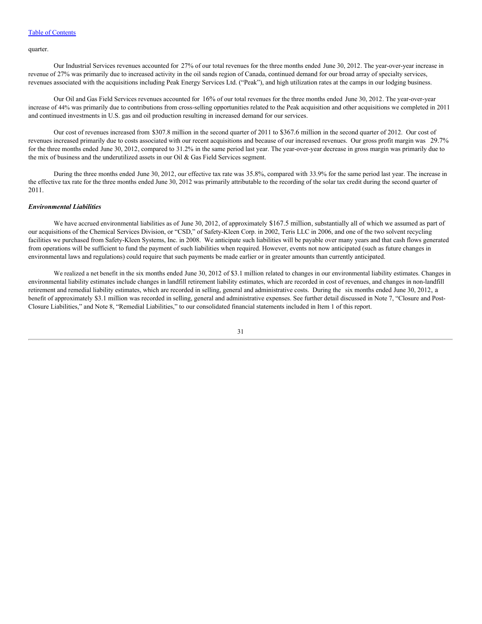quarter.

Our Industrial Services revenues accounted for 27% of our total revenues for the three months ended June 30, 2012. The year-over-year increase in revenue of 27% was primarily due to increased activity in the oil sands region of Canada, continued demand for our broad array of specialty services, revenues associated with the acquisitions including Peak Energy Services Ltd. ("Peak"), and high utilization rates at the camps in our lodging business.

Our Oil and Gas Field Services revenues accounted for 16% of our total revenues for the three months ended June 30, 2012. The year-over-year increase of 44% was primarily due to contributions from cross-selling opportunities related to the Peak acquisition and other acquisitions we completed in 2011 and continued investments in U.S. gas and oil production resulting in increased demand for our services.

Our cost of revenues increased from \$307.8 million in the second quarter of 2011 to \$367.6 million in the second quarter of 2012. Our cost of revenues increased primarily due to costs associated with our recent acquisitions and because of our increased revenues. Our gross profit margin was 29.7% for the three months ended June 30, 2012, compared to 31.2% in the same period last year. The year-over-year decrease in gross margin was primarily due to the mix of business and the underutilized assets in our Oil & Gas Field Services segment.

During the three months ended June 30, 2012, our effective tax rate was 35.8%, compared with 33.9% for the same period last year. The increase in the effective tax rate for the three months ended June 30, 2012 was primarily attributable to the recording of the solar tax credit during the second quarter of 2011.

### *Environmental Liabilities*

We have accrued environmental liabilities as of June 30, 2012, of approximately \$167.5 million, substantially all of which we assumed as part of our acquisitions of the Chemical Services Division, or "CSD," of Safety-Kleen Corp. in 2002, Teris LLC in 2006, and one of the two solvent recycling facilities we purchased from Safety-Kleen Systems, Inc. in 2008. We anticipate such liabilities will be payable over many years and that cash flows generated from operations will be sufficient to fund the payment of such liabilities when required. However, events not now anticipated (such as future changes in environmental laws and regulations) could require that such payments be made earlier or in greater amounts than currently anticipated.

We realized a net benefit in the six months ended June 30, 2012 of \$3.1 million related to changes in our environmental liability estimates. Changes in environmental liability estimates include changes in landfill retirement liability estimates, which are recorded in cost of revenues, and changes in non-landfill retirement and remedial liability estimates, which are recorded in selling, general and administrative costs. During the six months ended June 30, 2012, a benefit of approximately \$3.1 million was recorded in selling, general and administrative expenses. See further detail discussed in Note 7, "Closure and Post-Closure Liabilities," and Note 8, "Remedial Liabilities," to our consolidated financial statements included in Item 1 of this report.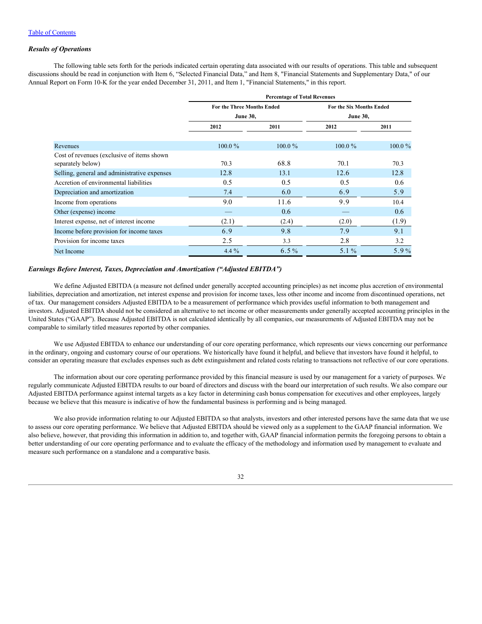#### *Results of Operations*

The following table sets forth for the periods indicated certain operating data associated with our results of operations. This table and subsequent discussions should be read in conjunction with Item 6, "Selected Financial Data," and Item 8, "Financial Statements and Supplementary Data," of our Annual Report on Form 10-K for the year ended December 31, 2011, and Item 1, "Financial Statements," in this report.

|                                                                 |                                                      | <b>Percentage of Total Revenues</b> |                                                    |           |  |  |  |  |  |  |  |
|-----------------------------------------------------------------|------------------------------------------------------|-------------------------------------|----------------------------------------------------|-----------|--|--|--|--|--|--|--|
|                                                                 | <b>For the Three Months Ended</b><br><b>June 30,</b> |                                     | <b>For the Six Months Ended</b><br><b>June 30,</b> |           |  |  |  |  |  |  |  |
|                                                                 | 2012                                                 | 2011                                | 2012                                               | 2011      |  |  |  |  |  |  |  |
| Revenues                                                        | $100.0\%$                                            | $100.0\%$                           | $100.0\%$                                          | $100.0\%$ |  |  |  |  |  |  |  |
| Cost of revenues (exclusive of items shown<br>separately below) | 70.3                                                 | 68.8                                | 70.1                                               | 70.3      |  |  |  |  |  |  |  |
| Selling, general and administrative expenses                    | 12.8                                                 | 13.1                                | 12.6                                               | 12.8      |  |  |  |  |  |  |  |
| Accretion of environmental liabilities                          | 0.5                                                  | 0.5                                 | 0.5                                                | 0.6       |  |  |  |  |  |  |  |
| Depreciation and amortization                                   | 7.4                                                  | 6.0                                 | 6.9                                                | 5.9       |  |  |  |  |  |  |  |
| Income from operations                                          | 9.0                                                  | 11.6                                | 9.9                                                | 10.4      |  |  |  |  |  |  |  |
| Other (expense) income                                          |                                                      | 0.6                                 |                                                    | 0.6       |  |  |  |  |  |  |  |
| Interest expense, net of interest income                        | (2.1)                                                | (2.4)                               | (2.0)                                              | (1.9)     |  |  |  |  |  |  |  |
| Income before provision for income taxes                        | 6.9                                                  | 9.8                                 | 7.9                                                | 9.1       |  |  |  |  |  |  |  |
| Provision for income taxes                                      | 2.5                                                  | 3.3                                 | 2.8                                                | 3.2       |  |  |  |  |  |  |  |
| Net Income                                                      | 4.4 $\%$                                             | $6.5\%$                             | 5.1 $%$                                            | $5.9\%$   |  |  |  |  |  |  |  |

### *Earnings Before Interest, Taxes, Depreciation and Amortization ("Adjusted EBITDA")*

We define Adjusted EBITDA (a measure not defined under generally accepted accounting principles) as net income plus accretion of environmental liabilities, depreciation and amortization, net interest expense and provision for income taxes, less other income and income from discontinued operations, net of tax. Our management considers Adjusted EBITDA to be a measurement of performance which provides useful information to both management and investors. Adjusted EBITDA should not be considered an alternative to net income or other measurements under generally accepted accounting principles in the United States ("GAAP"). Because Adjusted EBITDA is not calculated identically by all companies, our measurements of Adjusted EBITDA may not be comparable to similarly titled measures reported by other companies.

We use Adjusted EBITDA to enhance our understanding of our core operating performance, which represents our views concerning our performance in the ordinary, ongoing and customary course of our operations. We historically have found it helpful, and believe that investors have found it helpful, to consider an operating measure that excludes expenses such as debt extinguishment and related costs relating to transactions not reflective of our core operations.

The information about our core operating performance provided by this financial measure is used by our management for a variety of purposes. We regularly communicate Adjusted EBITDA results to our board of directors and discuss with the board our interpretation of such results. We also compare our Adjusted EBITDA performance against internal targets as a key factor in determining cash bonus compensation for executives and other employees, largely because we believe that this measure is indicative of how the fundamental business is performing and is being managed.

We also provide information relating to our Adjusted EBITDA so that analysts, investors and other interested persons have the same data that we use to assess our core operating performance. We believe that Adjusted EBITDA should be viewed only as a supplement to the GAAP financial information. We also believe, however, that providing this information in addition to, and together with, GAAP financial information permits the foregoing persons to obtain a better understanding of our core operating performance and to evaluate the efficacy of the methodology and information used by management to evaluate and measure such performance on a standalone and a comparative basis.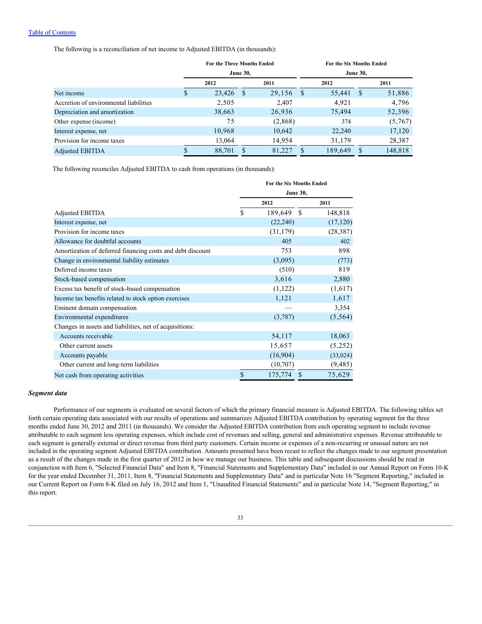The following is a reconciliation of net income to Adjusted EBITDA (in thousands):

|                                        |   | <b>For the Three Months Ended</b> |                 |         |          | <b>For the Six Months Ended</b> |                 |         |
|----------------------------------------|---|-----------------------------------|-----------------|---------|----------|---------------------------------|-----------------|---------|
|                                        |   |                                   | <b>June 30,</b> |         |          |                                 | <b>June 30,</b> |         |
|                                        |   | 2012                              |                 | 2011    |          | 2012                            |                 | 2011    |
| Net income                             | S | 23,426                            | S               | 29,156  | -S       | 55,441                          | -S              | 51,886  |
| Accretion of environmental liabilities |   | 2,505                             |                 | 2,407   |          | 4,921                           |                 | 4,796   |
| Depreciation and amortization          |   | 38,663                            |                 | 26,936  |          | 75,494                          |                 | 52,396  |
| Other expense (income)                 |   | 75                                |                 | (2,868) |          | 374                             |                 | (5,767) |
| Interest expense, net                  |   | 10,968                            |                 | 10,642  |          | 22,240                          |                 | 17,120  |
| Provision for income taxes             |   | 13,064                            |                 | 14,954  |          | 31,179                          |                 | 28,387  |
| <b>Adjusted EBITDA</b>                 |   | 88,701                            | <b>S</b>        | 81,227  | <b>S</b> | 189.649                         | <sup>\$</sup>   | 148.818 |

The following reconciles Adjusted EBITDA to cash from operations (in thousands):

|                                                            | <b>For the Six Months Ended</b> |           |
|------------------------------------------------------------|---------------------------------|-----------|
|                                                            | <b>June 30,</b>                 |           |
|                                                            | 2012                            | 2011      |
| Adjusted EBITDA                                            | \$<br>189,649 \$                | 148,818   |
| Interest expense, net                                      | (22, 240)                       | (17, 120) |
| Provision for income taxes                                 | (31, 179)                       | (28, 387) |
| Allowance for doubtful accounts                            | 405                             | 402       |
| Amortization of deferred financing costs and debt discount | 753                             | 898       |
| Change in environmental liability estimates                | (3,095)                         | (773)     |
| Deferred income taxes                                      | (510)                           | 819       |
| Stock-based compensation                                   | 3,616                           | 2,880     |
| Excess tax benefit of stock-based compensation             | (1,122)                         | (1,617)   |
| Income tax benefits related to stock option exercises      | 1,121                           | 1,617     |
| Eminent domain compensation                                |                                 | 3,354     |
| Environmental expenditures                                 | (3,787)                         | (5, 564)  |
| Changes in assets and liabilities, net of acquisitions:    |                                 |           |
| Accounts receivable                                        | 54,117                          | 18,063    |
| Other current assets                                       | 15,657                          | (5,252)   |
| Accounts payable                                           | (16,904)                        | (33, 024) |
| Other current and long-term liabilities                    | (10,707)                        | (9, 485)  |
| Net cash from operating activities                         | \$<br><sup>\$</sup><br>175,774  | 75,629    |

### *Segment data*

Performance of our segments is evaluated on several factors of which the primary financial measure is Adjusted EBITDA. The following tables set forth certain operating data associated with our results of operations and summarizes Adjusted EBITDA contribution by operating segment for the three months ended June 30, 2012 and 2011 (in thousands). We consider the Adjusted EBITDA contribution from each operating segment to include revenue attributable to each segment less operating expenses, which include cost of revenues and selling, general and administrative expenses. Revenue attributable to each segment is generally external or direct revenue from third party customers. Certain income or expenses of a non-recurring or unusual nature are not included in the operating segment Adjusted EBITDA contribution. Amounts presented have been recast to reflect the changes made to our segment presentation as a result of the changes made in the first quarter of 2012 in how we manage our business. This table and subsequent discussions should be read in conjunction with Item 6, "Selected Financial Data" and Item 8, "Financial Statements and Supplementary Data" included in our Annual Report on Form 10-K for the year ended December 31, 2011, Item 8, "Financial Statements and Supplementary Data" and in particular Note 16 "Segment Reporting," included in our Current Report on Form 8-K filed on July 16, 2012 and Item 1, "Unaudited Financial Statements" and in particular Note 14, "Segment Reporting," in this report.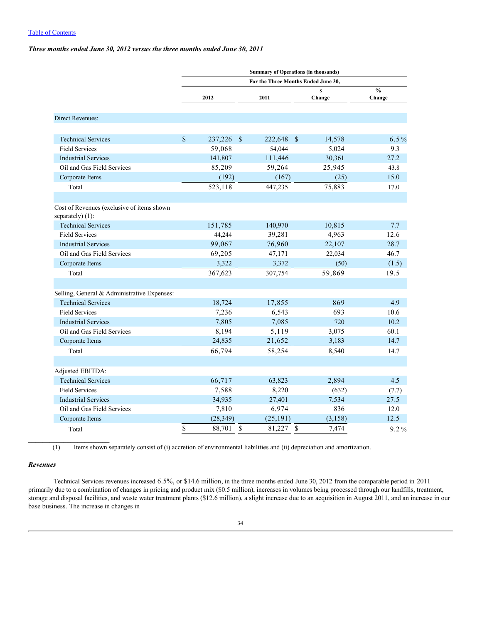### *Three months ended June 30, 2012 versus the three months ended June 30, 2011*

|                                                                |                           |           |                             | <b>Summary of Operations (in thousands)</b> |                         |
|----------------------------------------------------------------|---------------------------|-----------|-----------------------------|---------------------------------------------|-------------------------|
|                                                                |                           |           |                             | For the Three Months Ended June 30,         |                         |
|                                                                |                           | 2012      | 2011                        | $\mathbf{s}$<br>Change                      | $\frac{0}{0}$<br>Change |
|                                                                |                           |           |                             |                                             |                         |
| <b>Direct Revenues:</b>                                        |                           |           |                             |                                             |                         |
| <b>Technical Services</b>                                      | $\boldsymbol{\mathsf{S}}$ | 237,226   | $\mathcal{S}$<br>222,648 \$ | 14,578                                      | $6.5\%$                 |
| <b>Field Services</b>                                          |                           | 59,068    | 54,044                      | 5,024                                       | 9.3                     |
| <b>Industrial Services</b>                                     |                           | 141,807   | 111,446                     | 30,361                                      | 27.2                    |
| Oil and Gas Field Services                                     |                           | 85,209    | 59,264                      | 25,945                                      | 43.8                    |
| Corporate Items                                                |                           | (192)     | (167)                       | (25)                                        | 15.0                    |
| Total                                                          |                           | 523,118   | 447,235                     | 75,883                                      | 17.0                    |
|                                                                |                           |           |                             |                                             |                         |
| Cost of Revenues (exclusive of items shown<br>separately) (1): |                           |           |                             |                                             |                         |
| <b>Technical Services</b>                                      |                           | 151,785   | 140,970                     | 10,815                                      | 7.7                     |
| <b>Field Services</b>                                          |                           | 44,244    | 39,281                      | 4,963                                       | 12.6                    |
| <b>Industrial Services</b>                                     |                           | 99,067    | 76,960                      | 22,107                                      | 28.7                    |
| Oil and Gas Field Services                                     |                           | 69,205    | 47,171                      | 22,034                                      | 46.7                    |
| Corporate Items                                                |                           | 3,322     | 3,372                       | (50)                                        | (1.5)                   |
| Total                                                          |                           | 367,623   | 307,754                     | 59,869                                      | 19.5                    |
| Selling, General & Administrative Expenses:                    |                           |           |                             |                                             |                         |
| <b>Technical Services</b>                                      |                           | 18,724    | 17,855                      | 869                                         | 4.9                     |
| <b>Field Services</b>                                          |                           | 7,236     | 6,543                       | 693                                         | 10.6                    |
| <b>Industrial Services</b>                                     |                           | 7,805     | 7,085                       | 720                                         | 10.2                    |
| Oil and Gas Field Services                                     |                           | 8,194     | 5,119                       | 3,075                                       | 60.1                    |
| Corporate Items                                                |                           | 24,835    | 21,652                      | 3,183                                       | 14.7                    |
| Total                                                          |                           | 66,794    | 58,254                      | 8,540                                       | 14.7                    |
|                                                                |                           |           |                             |                                             |                         |
| Adjusted EBITDA:                                               |                           |           |                             |                                             |                         |
| <b>Technical Services</b>                                      |                           | 66,717    | 63,823                      | 2,894                                       | 4.5                     |
| <b>Field Services</b>                                          |                           | 7,588     | 8,220                       | (632)                                       | (7.7)                   |
| <b>Industrial Services</b>                                     |                           | 34,935    | 27,401                      | 7,534                                       | 27.5                    |
| Oil and Gas Field Services                                     |                           | 7,810     | 6,974                       | 836                                         | 12.0                    |
| Corporate Items                                                |                           | (28, 349) | (25, 191)                   | (3,158)                                     | 12.5                    |
| Total                                                          | \$                        | 88,701    | <sup>\$</sup><br>81,227 \$  | 7,474                                       | $9.2\%$                 |

(1) Items shown separately consist of (i) accretion of environmental liabilities and (ii) depreciation and amortization.

### *Revenues*

Technical Services revenues increased 6.5%, or \$14.6 million, in the three months ended June 30, 2012 from the comparable period in 2011 primarily due to a combination of changes in pricing and product mix (\$0.5 million), increases in volumes being processed through our landfills, treatment, storage and disposal facilities, and waste water treatment plants (\$12.6 million), a slight increase due to an acquisition in August 2011, and an increase in our base business. The increase in changes in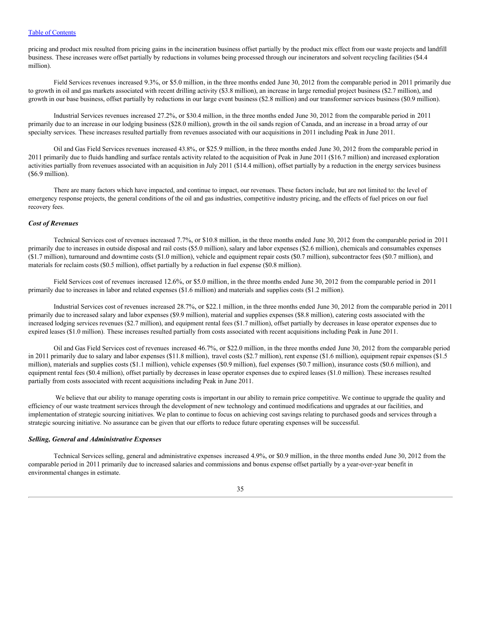pricing and product mix resulted from pricing gains in the incineration business offset partially by the product mix effect from our waste projects and landfill business. These increases were offset partially by reductions in volumes being processed through our incinerators and solvent recycling facilities (\$4.4 million).

Field Services revenues increased 9.3%, or \$5.0 million, in the three months ended June 30, 2012 from the comparable period in 2011 primarily due to growth in oil and gas markets associated with recent drilling activity (\$3.8 million), an increase in large remedial project business (\$2.7 million), and growth in our base business, offset partially by reductions in our large event business (\$2.8 million) and our transformer services business (\$0.9 million).

Industrial Services revenues increased 27.2%, or \$30.4 million, in the three months ended June 30, 2012 from the comparable period in 2011 primarily due to an increase in our lodging business (\$28.0 million), growth in the oil sands region of Canada, and an increase in a broad array of our specialty services. These increases resulted partially from revenues associated with our acquisitions in 2011 including Peak in June 2011.

Oil and Gas Field Services revenues increased 43.8%, or \$25.9 million, in the three months ended June 30, 2012 from the comparable period in 2011 primarily due to fluids handling and surface rentals activity related to the acquisition of Peak in June 2011 (\$16.7 million) and increased exploration activities partially from revenues associated with an acquisition in July 2011 (\$14.4 million), offset partially by a reduction in the energy services business (\$6.9 million).

There are many factors which have impacted, and continue to impact, our revenues. These factors include, but are not limited to: the level of emergency response projects, the general conditions of the oil and gas industries, competitive industry pricing, and the effects of fuel prices on our fuel recovery fees.

### *Cost of Revenues*

Technical Services cost of revenues increased 7.7%, or \$10.8 million, in the three months ended June 30, 2012 from the comparable period in 2011 primarily due to increases in outside disposal and rail costs (\$5.0 million), salary and labor expenses (\$2.6 million), chemicals and consumables expenses (\$1.7 million), turnaround and downtime costs (\$1.0 million), vehicle and equipment repair costs (\$0.7 million), subcontractor fees (\$0.7 million), and materials for reclaim costs (\$0.5 million), offset partially by a reduction in fuel expense (\$0.8 million).

Field Services cost of revenues increased 12.6%, or \$5.0 million, in the three months ended June 30, 2012 from the comparable period in 2011 primarily due to increases in labor and related expenses (\$1.6 million) and materials and supplies costs (\$1.2 million).

Industrial Services cost of revenues increased 28.7%, or \$22.1 million, in the three months ended June 30, 2012 from the comparable period in 2011 primarily due to increased salary and labor expenses (\$9.9 million), material and supplies expenses (\$8.8 million), catering costs associated with the increased lodging services revenues (\$2.7 million), and equipment rental fees (\$1.7 million), offset partially by decreases in lease operator expenses due to expired leases (\$1.0 million). These increases resulted partially from costs associated with recent acquisitions including Peak in June 2011.

Oil and Gas Field Services cost of revenues increased 46.7%, or \$22.0 million, in the three months ended June 30, 2012 from the comparable period in 2011 primarily due to salary and labor expenses (\$11.8 million), travel costs (\$2.7 million), rent expense (\$1.6 million), equipment repair expenses (\$1.5 million), materials and supplies costs (\$1.1 million), vehicle expenses (\$0.9 million), fuel expenses (\$0.7 million), insurance costs (\$0.6 million), and equipment rental fees (\$0.4 million), offset partially by decreases in lease operator expenses due to expired leases (\$1.0 million). These increases resulted partially from costs associated with recent acquisitions including Peak in June 2011.

 We believe that our ability to manage operating costs is important in our ability to remain price competitive. We continue to upgrade the quality and efficiency of our waste treatment services through the development of new technology and continued modifications and upgrades at our facilities, and implementation of strategic sourcing initiatives. We plan to continue to focus on achieving cost savings relating to purchased goods and services through a strategic sourcing initiative. No assurance can be given that our efforts to reduce future operating expenses will be successful.

# *Selling, General and Administrative Expenses*

Technical Services selling, general and administrative expenses increased 4.9%, or \$0.9 million, in the three months ended June 30, 2012 from the comparable period in 2011 primarily due to increased salaries and commissions and bonus expense offset partially by a year-over-year benefit in environmental changes in estimate.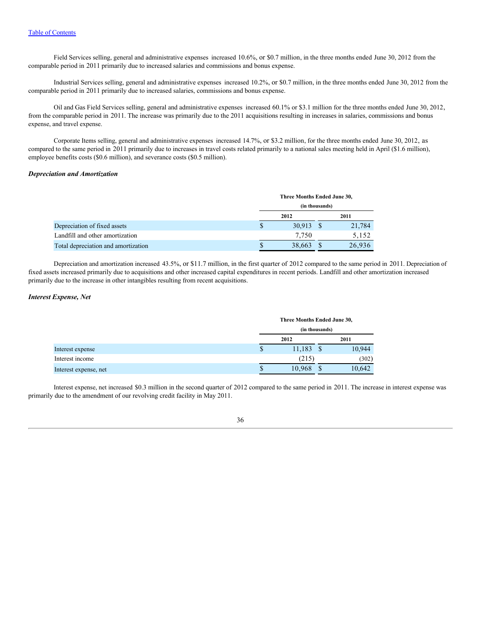Field Services selling, general and administrative expenses increased 10.6%, or \$0.7 million, in the three months ended June 30, 2012 from the comparable period in 2011 primarily due to increased salaries and commissions and bonus expense.

Industrial Services selling, general and administrative expenses increased 10.2%, or \$0.7 million, in the three months ended June 30, 2012 from the comparable period in 2011 primarily due to increased salaries, commissions and bonus expense.

Oil and Gas Field Services selling, general and administrative expenses increased 60.1% or \$3.1 million for the three months ended June 30, 2012, from the comparable period in 2011. The increase was primarily due to the 2011 acquisitions resulting in increases in salaries, commissions and bonus expense, and travel expense.

Corporate Items selling, general and administrative expenses increased 14.7%, or \$3.2 million, for the three months ended June 30, 2012, as compared to the same period in 2011 primarily due to increases in travel costs related primarily to a national sales meeting held in April (\$1.6 million), employee benefits costs (\$0.6 million), and severance costs (\$0.5 million).

### *Depreciation and Amortization*

|                                     |   | Three Months Ended June 30, |        |
|-------------------------------------|---|-----------------------------|--------|
|                                     |   | (in thousands)              |        |
|                                     |   | 2012                        | 2011   |
| Depreciation of fixed assets        | S | $30,913$ \$                 | 21,784 |
| Landfill and other amortization     |   | 7.750                       | 5,152  |
| Total depreciation and amortization | S | 38,663                      | 26,936 |

Depreciation and amortization increased 43.5%, or \$11.7 million, in the first quarter of 2012 compared to the same period in 2011. Depreciation of fixed assets increased primarily due to acquisitions and other increased capital expenditures in recent periods. Landfill and other amortization increased primarily due to the increase in other intangibles resulting from recent acquisitions.

#### *Interest Expense, Net*

|                       |    |                | Three Months Ended June 30, |        |
|-----------------------|----|----------------|-----------------------------|--------|
|                       |    | (in thousands) |                             |        |
|                       |    | 2012           |                             | 2011   |
| Interest expense      | S  | $11,183$ \$    |                             | 10,944 |
| Interest income       |    | (215)          |                             | (302)  |
| Interest expense, net | \$ | 10,968         |                             | 10,642 |

Interest expense, net increased \$0.3 million in the second quarter of 2012 compared to the same period in 2011. The increase in interest expense was primarily due to the amendment of our revolving credit facility in May 2011.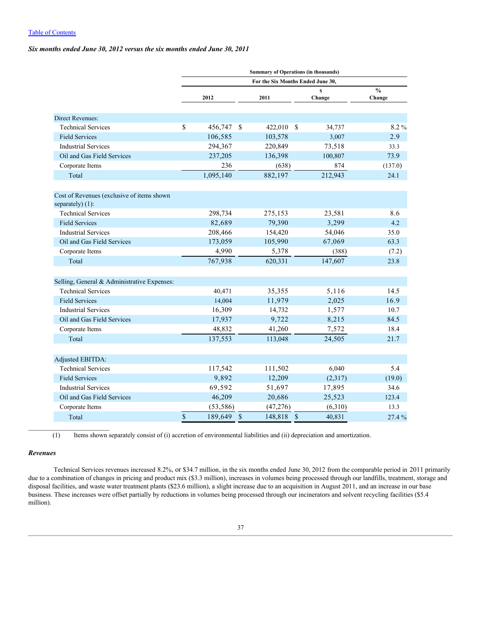#### *Six months ended June 30, 2012 versus the six months ended June 30, 2011*

|                                                                |                           |            |              | <b>Summary of Operations (in thousands)</b><br>For the Six Months Ended June 30. |             |                         |
|----------------------------------------------------------------|---------------------------|------------|--------------|----------------------------------------------------------------------------------|-------------|-------------------------|
|                                                                |                           | 2012       |              | 2011                                                                             | s<br>Change | $\frac{0}{0}$<br>Change |
| <b>Direct Revenues:</b>                                        |                           |            |              |                                                                                  |             |                         |
| <b>Technical Services</b>                                      | $\mathbb{S}$              | 456,747    | <sup>S</sup> | 422,010 \$                                                                       | 34,737      | 8.2%                    |
| <b>Field Services</b>                                          |                           | 106,585    |              | 103,578                                                                          | 3,007       | 2.9                     |
| <b>Industrial Services</b>                                     |                           | 294,367    |              | 220,849                                                                          | 73,518      | 33.3                    |
| Oil and Gas Field Services                                     |                           | 237,205    |              | 136,398                                                                          | 100,807     | 73.9                    |
| Corporate Items                                                |                           | 236        |              | (638)                                                                            | 874         | (137.0)                 |
| Total                                                          |                           | 1,095,140  |              | 882,197                                                                          | 212,943     | 24.1                    |
| Cost of Revenues (exclusive of items shown<br>separately) (1): |                           |            |              |                                                                                  |             |                         |
| <b>Technical Services</b>                                      |                           | 298,734    |              | 275,153                                                                          | 23,581      | 8.6                     |
| <b>Field Services</b>                                          |                           | 82,689     |              | 79,390                                                                           | 3,299       | 4.2                     |
| <b>Industrial Services</b>                                     |                           | 208,466    |              | 154,420                                                                          | 54,046      | 35.0                    |
| Oil and Gas Field Services                                     |                           | 173,059    |              | 105,990                                                                          | 67,069      | 63.3                    |
| Corporate Items                                                |                           | 4,990      |              | 5,378                                                                            | (388)       | (7.2)                   |
| Total                                                          |                           | 767,938    |              | 620,331                                                                          | 147,607     | 23.8                    |
| Selling, General & Administrative Expenses:                    |                           |            |              |                                                                                  |             |                         |
| <b>Technical Services</b>                                      |                           | 40,471     |              | 35,355                                                                           | 5,116       | 14.5                    |
| <b>Field Services</b>                                          |                           | 14,004     |              | 11,979                                                                           | 2,025       | 16.9                    |
| <b>Industrial Services</b>                                     |                           | 16,309     |              | 14,732                                                                           | 1,577       | 10.7                    |
| Oil and Gas Field Services                                     |                           | 17,937     |              | 9,722                                                                            | 8,215       | 84.5                    |
| Corporate Items                                                |                           | 48,832     |              | 41,260                                                                           | 7,572       | 18.4                    |
| Total                                                          |                           | 137,553    |              | 113,048                                                                          | 24,505      | 21.7                    |
| <b>Adjusted EBITDA:</b>                                        |                           |            |              |                                                                                  |             |                         |
| <b>Technical Services</b>                                      |                           | 117,542    |              | 111,502                                                                          | 6.040       | 5.4                     |
| <b>Field Services</b>                                          |                           | 9,892      |              | 12,209                                                                           | (2,317)     | (19.0)                  |
| <b>Industrial Services</b>                                     |                           | 69,592     |              | 51,697                                                                           | 17,895      | 34.6                    |
| Oil and Gas Field Services                                     |                           | 46,209     |              | 20,686                                                                           | 25,523      | 123.4                   |
| Corporate Items                                                |                           | (53, 586)  |              | (47,276)                                                                         | (6,310)     | 13.3                    |
| Total                                                          | $\boldsymbol{\mathsf{S}}$ | 189.649 \$ |              | 148,818 \$                                                                       | 40,831      | 27.4 %                  |

(1) Items shown separately consist of (i) accretion of environmental liabilities and (ii) depreciation and amortization.

#### *Revenues*

Technical Services revenues increased 8.2%, or \$34.7 million, in the six months ended June 30, 2012 from the comparable period in 2011 primarily due to a combination of changes in pricing and product mix (\$3.3 million), increases in volumes being processed through our landfills, treatment, storage and disposal facilities, and waste water treatment plants (\$23.6 million), a slight increase due to an acquisition in August 2011, and an increase in our base business. These increases were offset partially by reductions in volumes being processed through our incinerators and solvent recycling facilities (\$5.4 million).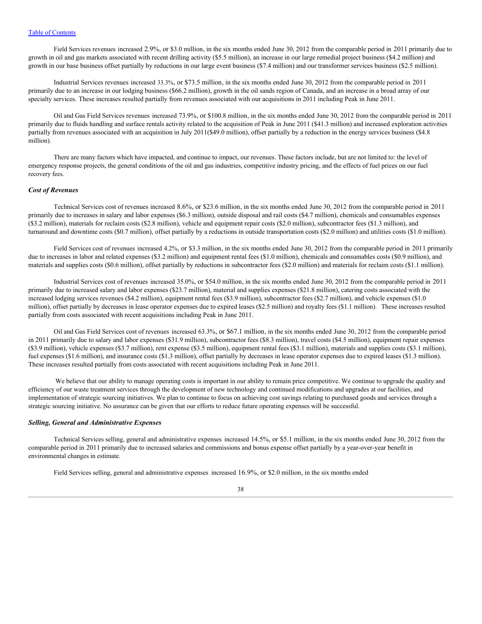Field Services revenues increased 2.9%, or \$3.0 million, in the six months ended June 30, 2012 from the comparable period in 2011 primarily due to growth in oil and gas markets associated with recent drilling activity (\$5.5 million), an increase in our large remedial project business (\$4.2 million) and growth in our base business offset partially by reductions in our large event business (\$7.4 million) and our transformer services business (\$2.5 million).

Industrial Services revenues increased 33.3%, or \$73.5 million, in the six months ended June 30, 2012 from the comparable period in 2011 primarily due to an increase in our lodging business (\$66.2 million), growth in the oil sands region of Canada, and an increase in a broad array of our specialty services. These increases resulted partially from revenues associated with our acquisitions in 2011 including Peak in June 2011.

Oil and Gas Field Services revenues increased 73.9%, or \$100.8 million, in the six months ended June 30, 2012 from the comparable period in 2011 primarily due to fluids handling and surface rentals activity related to the acquisition of Peak in June 2011 (\$41.3 million) and increased exploration activities partially from revenues associated with an acquisition in July 2011(\$49.0 million), offset partially by a reduction in the energy services business (\$4.8 million).

There are many factors which have impacted, and continue to impact, our revenues. These factors include, but are not limited to: the level of emergency response projects, the general conditions of the oil and gas industries, competitive industry pricing, and the effects of fuel prices on our fuel recovery fees.

### *Cost of Revenues*

Technical Services cost of revenues increased 8.6%, or \$23.6 million, in the six months ended June 30, 2012 from the comparable period in 2011 primarily due to increases in salary and labor expenses (\$6.3 million), outside disposal and rail costs (\$4.7 million), chemicals and consumables expenses (\$3.2 million), materials for reclaim costs (\$2.8 million), vehicle and equipment repair costs (\$2.0 million), subcontractor fees (\$1.3 million), and turnaround and downtime costs (\$0.7 million), offset partially by a reductions in outside transportation costs (\$2.0 million) and utilities costs (\$1.0 million).

Field Services cost of revenues increased 4.2%, or \$3.3 million, in the six months ended June 30, 2012 from the comparable period in 2011 primarily due to increases in labor and related expenses (\$3.2 million) and equipment rental fees (\$1.0 million), chemicals and consumables costs (\$0.9 million), and materials and supplies costs (\$0.6 million), offset partially by reductions in subcontractor fees (\$2.0 million) and materials for reclaim costs (\$1.1 million).

Industrial Services cost of revenues increased 35.0%, or \$54.0 million, in the six months ended June 30, 2012 from the comparable period in 2011 primarily due to increased salary and labor expenses (\$23.7 million), material and supplies expenses (\$21.8 million), catering costs associated with the increased lodging services revenues (\$4.2 million), equipment rental fees (\$3.9 million), subcontractor fees (\$2.7 million), and vehicle expenses (\$1.0 million), offset partially by decreases in lease operator expenses due to expired leases (\$2.5 million) and royalty fees (\$1.1 million). These increases resulted partially from costs associated with recent acquisitions including Peak in June 2011.

Oil and Gas Field Services cost of revenues increased 63.3%, or \$67.1 million, in the six months ended June 30, 2012 from the comparable period in 2011 primarily due to salary and labor expenses (\$31.9 million), subcontractor fees (\$8.3 million), travel costs (\$4.5 million), equipment repair expenses (\$3.9 million), vehicle expenses (\$3.7 million), rent expense (\$3.5 million), equipment rental fees (\$3.1 million), materials and supplies costs (\$3.1 million), fuel expenses (\$1.6 million), and insurance costs (\$1.3 million), offset partially by decreases in lease operator expenses due to expired leases (\$1.3 million). These increases resulted partially from costs associated with recent acquisitions including Peak in June 2011.

 We believe that our ability to manage operating costs is important in our ability to remain price competitive. We continue to upgrade the quality and efficiency of our waste treatment services through the development of new technology and continued modifications and upgrades at our facilities, and implementation of strategic sourcing initiatives. We plan to continue to focus on achieving cost savings relating to purchased goods and services through a strategic sourcing initiative. No assurance can be given that our efforts to reduce future operating expenses will be successful.

#### *Selling, General and Administrative Expenses*

Technical Services selling, general and administrative expenses increased 14.5%, or \$5.1 million, in the six months ended June 30, 2012 from the comparable period in 2011 primarily due to increased salaries and commissions and bonus expense offset partially by a year-over-year benefit in environmental changes in estimate.

Field Services selling, general and administrative expenses increased 16.9%, or \$2.0 million, in the six months ended

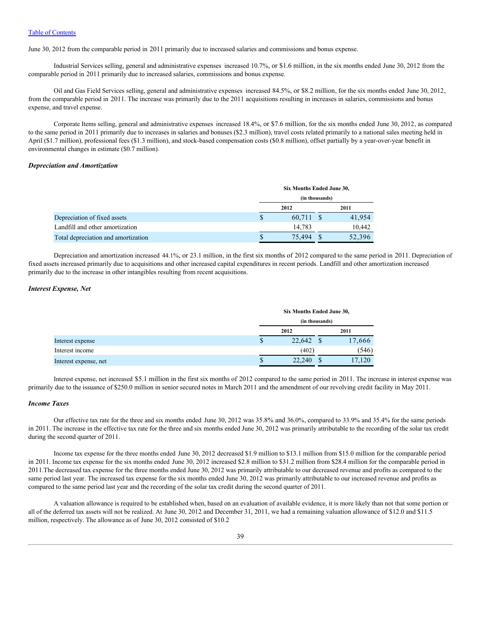June 30, 2012 from the comparable period in 2011 primarily due to increased salaries and commissions and bonus expense.

Industrial Services selling, general and administrative expenses increased 10.7%, or \$1.6 million, in the six months ended June 30, 2012 from the comparable period in 2011 primarily due to increased salaries, commissions and bonus expense.

Oil and Gas Field Services selling, general and administrative expenses increased 84.5%, or \$8.2 million, for the six months ended June 30, 2012, from the comparable period in 2011. The increase was primarily due to the 2011 acquisitions resulting in increases in salaries, commissions and bonus expense, and travel expense.

Corporate Items selling, general and administrative expenses increased 18.4%, or \$7.6 million, for the six months ended June 30, 2012, as compared to the same period in 2011 primarily due to increases in salaries and bonuses (\$2.3 million), travel costs related primarily to a national sales meeting held in April (\$1.7 million), professional fees (\$1.3 million), and stock-based compensation costs (\$0.8 million), offset partially by a year-over-year benefit in environmental changes in estimate (\$0.7 million).

#### *Depreciation and Amortization*

|                                     |      | Six Months Ended June 30,<br>(in thousands) |  |        |  |  |
|-------------------------------------|------|---------------------------------------------|--|--------|--|--|
|                                     |      |                                             |  |        |  |  |
|                                     | 2012 |                                             |  | 2011   |  |  |
| Depreciation of fixed assets        | S    | 60.711                                      |  | 41,954 |  |  |
| Landfill and other amortization     |      | 14.783                                      |  | 10,442 |  |  |
| Total depreciation and amortization | S    | 75.494                                      |  | 52,396 |  |  |

Depreciation and amortization increased 44.1%, or 23.1 million, in the first six months of 2012 compared to the same period in 2011. Depreciation of fixed assets increased primarily due to acquisitions and other increased capital expenditures in recent periods. Landfill and other amortization increased primarily due to the increase in other intangibles resulting from recent acquisitions.

### *Interest Expense, Net*

|                       | Six Months Ended June 30, |           |   |        |  |  |
|-----------------------|---------------------------|-----------|---|--------|--|--|
|                       | (in thousands)            |           |   |        |  |  |
|                       | 2012                      |           |   |        |  |  |
| Interest expense      | S                         | 22,642 \$ |   | 17,666 |  |  |
| Interest income       |                           | (402)     |   | (546)  |  |  |
| Interest expense, net | <b>S</b>                  | 22,240    | S | 17,120 |  |  |

Interest expense, net increased \$5.1 million in the first six months of 2012 compared to the same period in 2011. The increase in interest expense was primarily due to the issuance of \$250.0 million in senior secured notes in March 2011 and the amendment of our revolving credit facility in May 2011.

### *Income Taxes*

Our effective tax rate for the three and six months ended June 30, 2012 was 35.8% and 36.0%, compared to 33.9% and 35.4% for the same periods in 2011. The increase in the effective tax rate for the three and six months ended June 30, 2012 was primarily attributable to the recording of the solar tax credit during the second quarter of 2011.

Income tax expense for the three months ended June 30, 2012 decreased \$1.9 million to \$13.1 million from \$15.0 million for the comparable period in 2011. Income tax expense for the six months ended June 30, 2012 increased \$2.8 million to \$31.2 million from \$28.4 million for the comparable period in 2011.The decreased tax expense for the three months ended June 30, 2012 was primarily attributable to our decreased revenue and profits as compared to the same period last year. The increased tax expense for the six months ended June 30, 2012 was primarily attributable to our increased revenue and profits as compared to the same period last year and the recording of the solar tax credit during the second quarter of 2011.

A valuation allowance is required to be established when, based on an evaluation of available evidence, it is more likely than not that some portion or all of the deferred tax assets will not be realized. At June 30, 2012 and December 31, 2011, we had a remaining valuation allowance of \$12.0 and \$11.5 million, respectively. The allowance as of June 30, 2012 consisted of \$10.2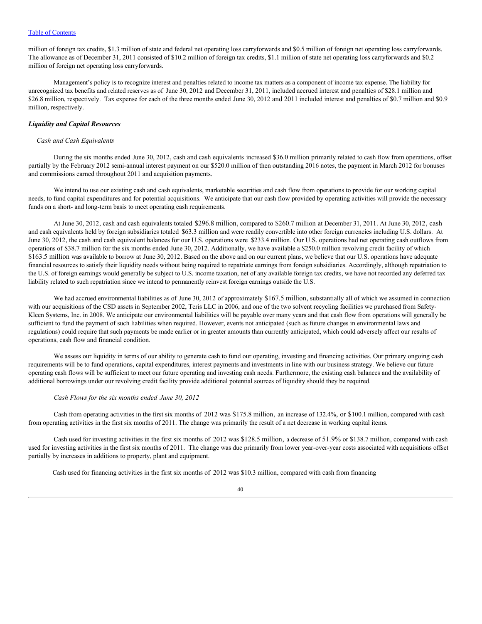million of foreign tax credits, \$1.3 million of state and federal net operating loss carryforwards and \$0.5 million of foreign net operating loss carryforwards. The allowance as of December 31, 2011 consisted of \$10.2 million of foreign tax credits, \$1.1 million of state net operating loss carryforwards and \$0.2 million of foreign net operating loss carryforwards.

Management's policy is to recognize interest and penalties related to income tax matters as a component of income tax expense. The liability for unrecognized tax benefits and related reserves as of June 30, 2012 and December 31, 2011, included accrued interest and penalties of \$28.1 million and \$26.8 million, respectively. Tax expense for each of the three months ended June 30, 2012 and 2011 included interest and penalties of \$0.7 million and \$0.9 million, respectively.

#### *Liquidity and Capital Resources*

#### *Cash and Cash Equivalents*

During the six months ended June 30, 2012, cash and cash equivalents increased \$36.0 million primarily related to cash flow from operations, offset partially by the February 2012 semi-annual interest payment on our \$520.0 million of then outstanding 2016 notes, the payment in March 2012 for bonuses and commissions earned throughout 2011 and acquisition payments.

We intend to use our existing cash and cash equivalents, marketable securities and cash flow from operations to provide for our working capital needs, to fund capital expenditures and for potential acquisitions. We anticipate that our cash flow provided by operating activities will provide the necessary funds on a short- and long-term basis to meet operating cash requirements.

At June 30, 2012, cash and cash equivalents totaled \$296.8 million, compared to \$260.7 million at December 31, 2011. At June 30, 2012, cash and cash equivalents held by foreign subsidiaries totaled \$63.3 million and were readily convertible into other foreign currencies including U.S. dollars. At June 30, 2012, the cash and cash equivalent balances for our U.S. operations were \$233.4 million. Our U.S. operations had net operating cash outflows from operations of \$38.7 million for the six months ended June 30, 2012. Additionally, we have available a \$250.0 million revolving credit facility of which \$163.5 million was available to borrow at June 30, 2012. Based on the above and on our current plans, we believe that our U.S. operations have adequate financial resources to satisfy their liquidity needs without being required to repatriate earnings from foreign subsidiaries. Accordingly, although repatriation to the U.S. of foreign earnings would generally be subject to U.S. income taxation, net of any available foreign tax credits, we have not recorded any deferred tax liability related to such repatriation since we intend to permanently reinvest foreign earnings outside the U.S.

We had accrued environmental liabilities as of June 30, 2012 of approximately \$167.5 million, substantially all of which we assumed in connection with our acquisitions of the CSD assets in September 2002, Teris LLC in 2006, and one of the two solvent recycling facilities we purchased from Safety-Kleen Systems, Inc. in 2008. We anticipate our environmental liabilities will be payable over many years and that cash flow from operations will generally be sufficient to fund the payment of such liabilities when required. However, events not anticipated (such as future changes in environmental laws and regulations) could require that such payments be made earlier or in greater amounts than currently anticipated, which could adversely affect our results of operations, cash flow and financial condition.

We assess our liquidity in terms of our ability to generate cash to fund our operating, investing and financing activities. Our primary ongoing cash requirements will be to fund operations, capital expenditures, interest payments and investments in line with our business strategy. We believe our future operating cash flows will be sufficient to meet our future operating and investing cash needs. Furthermore, the existing cash balances and the availability of additional borrowings under our revolving credit facility provide additional potential sources of liquidity should they be required.

### *Cash Flows for the six months ended June 30, 2012*

Cash from operating activities in the first six months of 2012 was \$175.8 million, an increase of 132.4%, or \$100.1 million, compared with cash from operating activities in the first six months of 2011. The change was primarily the result of a net decrease in working capital items.

Cash used for investing activities in the first six months of 2012 was \$128.5 million, a decrease of 51.9% or \$138.7 million, compared with cash used for investing activities in the first six months of 2011. The change was due primarily from lower year-over-year costs associated with acquisitions offset partially by increases in additions to property, plant and equipment.

Cash used for financing activities in the first six months of 2012 was \$10.3 million, compared with cash from financing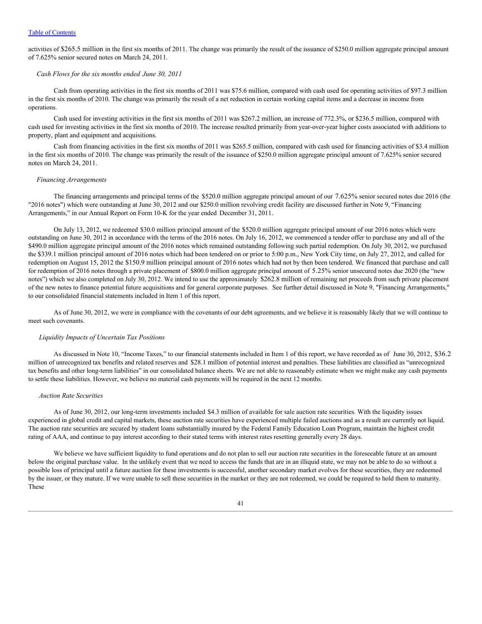activities of \$265.5 million in the first six months of 2011. The change was primarily the result of the issuance of \$250.0 million aggregate principal amount of 7.625% senior secured notes on March 24, 2011.

#### *Cash Flows for the six months ended June 30, 2011*

Cash from operating activities in the first six months of 2011 was \$75.6 million, compared with cash used for operating activities of \$97.3 million in the first six months of 2010. The change was primarily the result of a net reduction in certain working capital items and a decrease in income from operations.

Cash used for investing activities in the first six months of 2011 was \$267.2 million, an increase of 772.3%, or \$236.5 million, compared with cash used for investing activities in the first six months of 2010. The increase resulted primarily from year-over-year higher costs associated with additions to property, plant and equipment and acquisitions.

Cash from financing activities in the first six months of 2011 was \$265.5 million, compared with cash used for financing activities of \$3.4 million in the first six months of 2010. The change was primarily the result of the issuance of \$250.0 million aggregate principal amount of 7.625% senior secured notes on March 24, 2011.

#### *Financing Arrangements*

The financing arrangements and principal terms of the \$520.0 million aggregate principal amount of our 7.625% senior secured notes due 2016 (the "2016 notes") which were outstanding at June 30, 2012 and our \$250.0 million revolving credit facility are discussed further in Note 9, "Financing Arrangements," in our Annual Report on Form 10-K for the year ended December 31, 2011.

On July 13, 2012, we redeemed \$30.0 million principal amount of the \$520.0 million aggregate principal amount of our 2016 notes which were outstanding on June 30, 2012 in accordance with the terms of the 2016 notes. On July 16, 2012, we commenced a tender offer to purchase any and all of the \$490.0 million aggregate principal amount of the 2016 notes which remained outstanding following such partial redemption. On July 30, 2012, we purchased the \$339.1 million principal amount of 2016 notes which had been tendered on or prior to 5:00 p.m., New York City time, on July 27, 2012, and called for redemption on August 15, 2012 the \$150.9 million principal amount of 2016 notes which had not by then been tendered. We financed that purchase and call for redemption of 2016 notes through a private placement of \$800.0 million aggregate principal amount of 5.25% senior unsecured notes due 2020 (the "new notes") which we also completed on July 30, 2012. We intend to use the approximately \$262.8 million of remaining net proceeds from such private placement of the new notes to finance potential future acquisitions and for general corporate purposes. See further detail discussed in Note 9, "Financing Arrangements," to our consolidated financial statements included in Item 1 of this report.

As of June 30, 2012, we were in compliance with the covenants of our debt agreements, and we believe it is reasonably likely that we will continue to meet such covenants.

### *Liquidity Impacts of Uncertain Tax Positions*

As discussed in Note 10, "Income Taxes," to our financial statements included in Item 1 of this report, we have recorded as of June 30, 2012, \$36.2 million of unrecognized tax benefits and related reserves and \$28.1 million of potential interest and penalties. These liabilities are classified as "unrecognized tax benefits and other long-term liabilities" in our consolidated balance sheets. We are not able to reasonably estimate when we might make any cash payments to settle these liabilities. However, we believe no material cash payments will be required in the next 12 months.

#### *Auction Rate Securities*

As of June 30, 2012, our long-term investments included \$4.3 million of available for sale auction rate securities. With the liquidity issues experienced in global credit and capital markets, these auction rate securities have experienced multiple failed auctions and as a result are currently not liquid. The auction rate securities are secured by student loans substantially insured by the Federal Family Education Loan Program, maintain the highest credit rating of AAA, and continue to pay interest according to their stated terms with interest rates resetting generally every 28 days.

We believe we have sufficient liquidity to fund operations and do not plan to sell our auction rate securities in the foreseeable future at an amount below the original purchase value. In the unlikely event that we need to access the funds that are in an illiquid state, we may not be able to do so without a possible loss of principal until a future auction for these investments is successful, another secondary market evolves for these securities, they are redeemed by the issuer, or they mature. If we were unable to sell these securities in the market or they are not redeemed, we could be required to hold them to maturity. These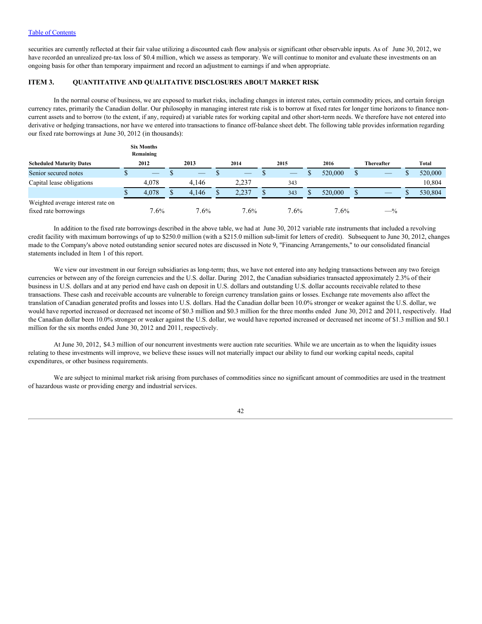<span id="page-44-0"></span>securities are currently reflected at their fair value utilizing a discounted cash flow analysis or significant other observable inputs. As of June 30, 2012, we have recorded an unrealized pre-tax loss of \$0.4 million, which we assess as temporary. We will continue to monitor and evaluate these investments on an ongoing basis for other than temporary impairment and record an adjustment to earnings if and when appropriate.

### **ITEM 3. QUANTITATIVE AND QUALITATIVE DISCLOSURES ABOUT MARKET RISK**

In the normal course of business, we are exposed to market risks, including changes in interest rates, certain commodity prices, and certain foreign currency rates, primarily the Canadian dollar. Our philosophy in managing interest rate risk is to borrow at fixed rates for longer time horizons to finance noncurrent assets and to borrow (to the extent, if any, required) at variable rates for working capital and other short-term needs. We therefore have not entered into derivative or hedging transactions, nor have we entered into transactions to finance off-balance sheet debt. The following table provides information regarding our fixed rate borrowings at June 30, 2012 (in thousands):

|                                                            | <b>Six Months</b><br>Remaining |                          |       |      |         |            |              |
|------------------------------------------------------------|--------------------------------|--------------------------|-------|------|---------|------------|--------------|
| <b>Scheduled Maturity Dates</b>                            | 2012                           | 2013                     | 2014  | 2015 | 2016    | Thereafter | <b>Total</b> |
| Senior secured notes                                       | $-$                            | $\overline{\phantom{a}}$ | $-$   |      | 520,000 |            | 520,000      |
| Capital lease obligations                                  | 4.078                          | 4.146                    | 2.237 | 343  |         |            | 10.804       |
|                                                            | 4.078                          | 4.146                    | 2.237 | 343  | 520,000 | __         | 530,804      |
| Weighted average interest rate on<br>fixed rate borrowings | 7.6%                           | 7.6%                     | 7.6%  | 7.6% | 7.6%    | $-$ %      |              |

In addition to the fixed rate borrowings described in the above table, we had at June 30, 2012 variable rate instruments that included a revolving credit facility with maximum borrowings of up to \$250.0 million (with a \$215.0 million sub-limit for letters of credit). Subsequent to June 30, 2012, changes made to the Company's above noted outstanding senior secured notes are discussed in Note 9, "Financing Arrangements," to our consolidated financial statements included in Item 1 of this report.

We view our investment in our foreign subsidiaries as long-term; thus, we have not entered into any hedging transactions between any two foreign currencies or between any of the foreign currencies and the U.S. dollar. During 2012, the Canadian subsidiaries transacted approximately 2.3% of their business in U.S. dollars and at any period end have cash on deposit in U.S. dollars and outstanding U.S. dollar accounts receivable related to these transactions. These cash and receivable accounts are vulnerable to foreign currency translation gains or losses. Exchange rate movements also affect the translation of Canadian generated profits and losses into U.S. dollars. Had the Canadian dollar been 10.0% stronger or weaker against the U.S. dollar, we would have reported increased or decreased net income of \$0.3 million and \$0.3 million for the three months ended June 30, 2012 and 2011, respectively. Had the Canadian dollar been 10.0% stronger or weaker against the U.S. dollar, we would have reported increased or decreased net income of \$1.3 million and \$0.1 million for the six months ended June 30, 2012 and 2011, respectively.

At June 30, 2012, \$4.3 million of our noncurrent investments were auction rate securities. While we are uncertain as to when the liquidity issues relating to these investments will improve, we believe these issues will not materially impact our ability to fund our working capital needs, capital expenditures, or other business requirements.

We are subject to minimal market risk arising from purchases of commodities since no significant amount of commodities are used in the treatment of hazardous waste or providing energy and industrial services.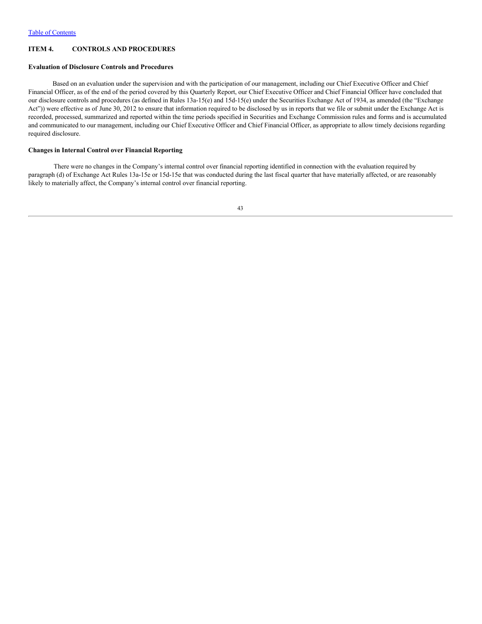### <span id="page-45-0"></span>**ITEM 4. CONTROLS AND PROCEDURES**

### **Evaluation of Disclosure Controls and Procedures**

Based on an evaluation under the supervision and with the participation of our management, including our Chief Executive Officer and Chief Financial Officer, as of the end of the period covered by this Quarterly Report, our Chief Executive Officer and Chief Financial Officer have concluded that our disclosure controls and procedures (as defined in Rules 13a-15(e) and 15d-15(e) under the Securities Exchange Act of 1934, as amended (the "Exchange Act")) were effective as of June 30, 2012 to ensure that information required to be disclosed by us in reports that we file or submit under the Exchange Act is recorded, processed, summarized and reported within the time periods specified in Securities and Exchange Commission rules and forms and is accumulated and communicated to our management, including our Chief Executive Officer and Chief Financial Officer, as appropriate to allow timely decisions regarding required disclosure.

### **Changes in Internal Control over Financial Reporting**

There were no changes in the Company's internal control over financial reporting identified in connection with the evaluation required by paragraph (d) of Exchange Act Rules 13a-15e or 15d-15e that was conducted during the last fiscal quarter that have materially affected, or are reasonably likely to materially affect, the Company's internal control over financial reporting.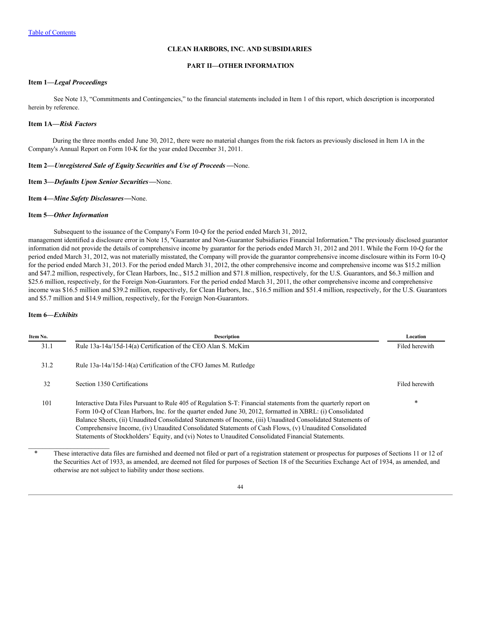### **PART II—OTHER INFORMATION**

#### <span id="page-46-0"></span>**Item 1—***Legal Proceedings*

See Note 13, "Commitments and Contingencies," to the financial statements included in Item 1 of this report, which description is incorporated herein by reference.

#### **Item 1A—***Risk Factors*

During the three months ended June 30, 2012, there were no material changes from the risk factors as previously disclosed in Item 1A in the Company's Annual Report on Form 10-K for the year ended December 31, 2011.

#### **Item 2—***Unregistered Sale of Equity Securities and Use of Proceeds* **—**None.

#### **Item 3—***Defaults Upon Senior Securities***—**None.

#### **Item 4—***Mine Safety Disclosures***—**None.

#### **Item 5—***Other Information*

Subsequent to the issuance of the Company's Form 10-Q for the period ended March 31, 2012,

management identified a disclosure error in Note 15, ''Guarantor and Non-Guarantor Subsidiaries Financial Information.'' The previously disclosed guarantor information did not provide the details of comprehensive income by guarantor for the periods ended March 31, 2012 and 2011. While the Form 10-Q for the period ended March 31, 2012, was not materially misstated, the Company will provide the guarantor comprehensive income disclosure within its Form 10-Q for the period ended March 31, 2013. For the period ended March 31, 2012, the other comprehensive income and comprehensive income was \$15.2 million and \$47.2 million, respectively, for Clean Harbors, Inc., \$15.2 million and \$71.8 million, respectively, for the U.S. Guarantors, and \$6.3 million and \$25.6 million, respectively, for the Foreign Non-Guarantors. For the period ended March 31, 2011, the other comprehensive income and comprehensive income was \$16.5 million and \$39.2 million, respectively, for Clean Harbors, Inc., \$16.5 million and \$51.4 million, respectively, for the U.S. Guarantors and \$5.7 million and \$14.9 million, respectively, for the Foreign Non-Guarantors.

#### **Item 6—***Exhibits*

| Item No. | <b>Description</b>                                                                                                                                                                                                                                                                                                                                                                                                                                                                                                                                            |                |  |  |  |  |
|----------|---------------------------------------------------------------------------------------------------------------------------------------------------------------------------------------------------------------------------------------------------------------------------------------------------------------------------------------------------------------------------------------------------------------------------------------------------------------------------------------------------------------------------------------------------------------|----------------|--|--|--|--|
| 31.1     | Rule 13a-14a/15d-14(a) Certification of the CEO Alan S. McKim                                                                                                                                                                                                                                                                                                                                                                                                                                                                                                 | Filed herewith |  |  |  |  |
| 31.2     | Rule 13a-14a/15d-14(a) Certification of the CFO James M. Rutledge                                                                                                                                                                                                                                                                                                                                                                                                                                                                                             |                |  |  |  |  |
| 32       | Section 1350 Certifications                                                                                                                                                                                                                                                                                                                                                                                                                                                                                                                                   | Filed herewith |  |  |  |  |
| 101      | Interactive Data Files Pursuant to Rule 405 of Regulation S-T: Financial statements from the quarterly report on<br>Form 10-Q of Clean Harbors, Inc. for the quarter ended June 30, 2012, formatted in XBRL: (i) Consolidated<br>Balance Sheets, (ii) Unaudited Consolidated Statements of Income, (iii) Unaudited Consolidated Statements of<br>Comprehensive Income, (iv) Unaudited Consolidated Statements of Cash Flows, (v) Unaudited Consolidated<br>Statements of Stockholders' Equity, and (vi) Notes to Unaudited Consolidated Financial Statements. | $\ast$         |  |  |  |  |

These interactive data files are furnished and deemed not filed or part of a registration statement or prospectus for purposes of Sections 11 or 12 of the Securities Act of 1933, as amended, are deemed not filed for purposes of Section 18 of the Securities Exchange Act of 1934, as amended, and otherwise are not subject to liability under those sections.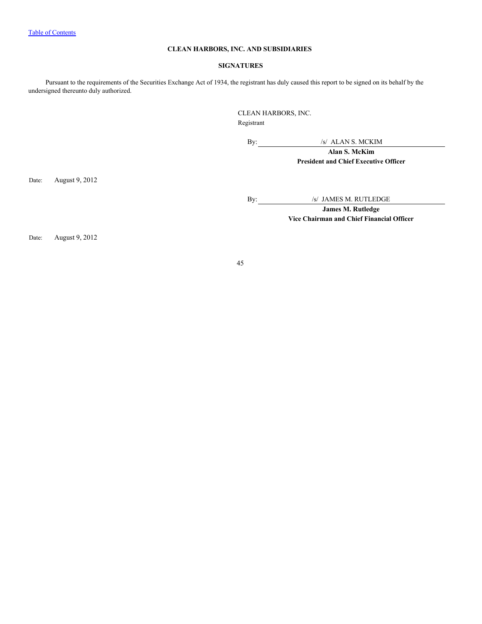### **SIGNATURES**

<span id="page-47-0"></span>Pursuant to the requirements of the Securities Exchange Act of 1934, the registrant has duly caused this report to be signed on its behalf by the undersigned thereunto duly authorized.

CLEAN HARBORS, INC.

Registrant

By: /s/ ALAN S. MCKIM

**Alan S. McKim President and Chief Executive Officer**

Date: August 9, 2012

By: /s/ JAMES M. RUTLEDGE

**James M. Rutledge Vice Chairman and Chief Financial Officer**

Date: August 9, 2012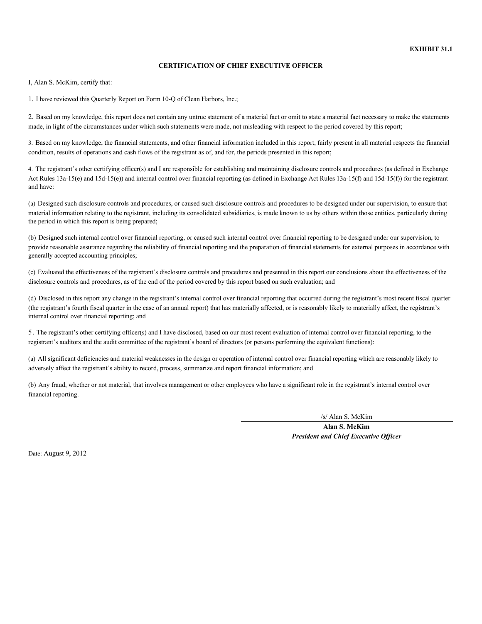# **CERTIFICATION OF CHIEF EXECUTIVE OFFICER**

I, Alan S. McKim, certify that:

1. I have reviewed this Quarterly Report on Form 10-Q of Clean Harbors, Inc.;

2. Based on my knowledge, this report does not contain any untrue statement of a material fact or omit to state a material fact necessary to make the statements made, in light of the circumstances under which such statements were made, not misleading with respect to the period covered by this report;

3. Based on my knowledge, the financial statements, and other financial information included in this report, fairly present in all material respects the financial condition, results of operations and cash flows of the registrant as of, and for, the periods presented in this report;

4. The registrant's other certifying officer(s) and I are responsible for establishing and maintaining disclosure controls and procedures (as defined in Exchange Act Rules 13a-15(e) and 15d-15(e)) and internal control over financial reporting (as defined in Exchange Act Rules 13a-15(f) and 15d-15(f)) for the registrant and have:

(a) Designed such disclosure controls and procedures, or caused such disclosure controls and procedures to be designed under our supervision, to ensure that material information relating to the registrant, including its consolidated subsidiaries, is made known to us by others within those entities, particularly during the period in which this report is being prepared;

(b) Designed such internal control over financial reporting, or caused such internal control over financial reporting to be designed under our supervision, to provide reasonable assurance regarding the reliability of financial reporting and the preparation of financial statements for external purposes in accordance with generally accepted accounting principles;

(c) Evaluated the effectiveness of the registrant's disclosure controls and procedures and presented in this report our conclusions about the effectiveness of the disclosure controls and procedures, as of the end of the period covered by this report based on such evaluation; and

(d) Disclosed in this report any change in the registrant's internal control over financial reporting that occurred during the registrant's most recent fiscal quarter (the registrant's fourth fiscal quarter in the case of an annual report) that has materially affected, or is reasonably likely to materially affect, the registrant's internal control over financial reporting; and

5. The registrant's other certifying officer(s) and I have disclosed, based on our most recent evaluation of internal control over financial reporting, to the registrant's auditors and the audit committee of the registrant's board of directors (or persons performing the equivalent functions):

(a) All significant deficiencies and material weaknesses in the design or operation of internal control over financial reporting which are reasonably likely to adversely affect the registrant's ability to record, process, summarize and report financial information; and

(b) Any fraud, whether or not material, that involves management or other employees who have a significant role in the registrant's internal control over financial reporting.

/s/ Alan S. McKim

**Alan S. McKim** *President and Chief Executive Officer*

Date: August 9, 2012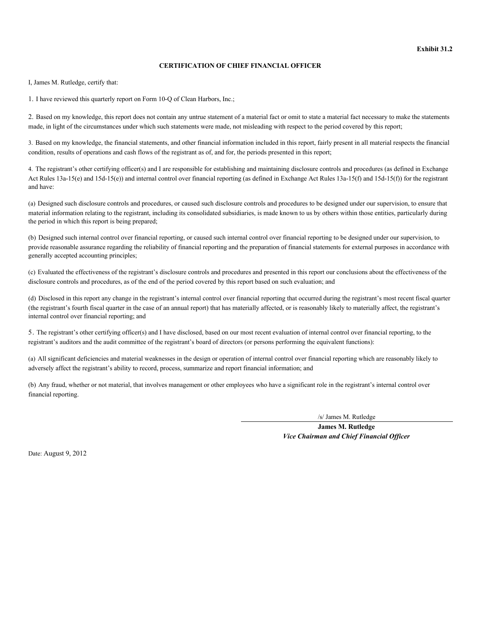### **CERTIFICATION OF CHIEF FINANCIAL OFFICER**

I, James M. Rutledge, certify that:

1. I have reviewed this quarterly report on Form 10-Q of Clean Harbors, Inc.;

2. Based on my knowledge, this report does not contain any untrue statement of a material fact or omit to state a material fact necessary to make the statements made, in light of the circumstances under which such statements were made, not misleading with respect to the period covered by this report;

3. Based on my knowledge, the financial statements, and other financial information included in this report, fairly present in all material respects the financial condition, results of operations and cash flows of the registrant as of, and for, the periods presented in this report;

4. The registrant's other certifying officer(s) and I are responsible for establishing and maintaining disclosure controls and procedures (as defined in Exchange Act Rules 13a-15(e) and 15d-15(e)) and internal control over financial reporting (as defined in Exchange Act Rules 13a-15(f) and 15d-15(f)) for the registrant and have:

(a) Designed such disclosure controls and procedures, or caused such disclosure controls and procedures to be designed under our supervision, to ensure that material information relating to the registrant, including its consolidated subsidiaries, is made known to us by others within those entities, particularly during the period in which this report is being prepared;

(b) Designed such internal control over financial reporting, or caused such internal control over financial reporting to be designed under our supervision, to provide reasonable assurance regarding the reliability of financial reporting and the preparation of financial statements for external purposes in accordance with generally accepted accounting principles;

(c) Evaluated the effectiveness of the registrant's disclosure controls and procedures and presented in this report our conclusions about the effectiveness of the disclosure controls and procedures, as of the end of the period covered by this report based on such evaluation; and

(d) Disclosed in this report any change in the registrant's internal control over financial reporting that occurred during the registrant's most recent fiscal quarter (the registrant's fourth fiscal quarter in the case of an annual report) that has materially affected, or is reasonably likely to materially affect, the registrant's internal control over financial reporting; and

5. The registrant's other certifying officer(s) and I have disclosed, based on our most recent evaluation of internal control over financial reporting, to the registrant's auditors and the audit committee of the registrant's board of directors (or persons performing the equivalent functions):

(a) All significant deficiencies and material weaknesses in the design or operation of internal control over financial reporting which are reasonably likely to adversely affect the registrant's ability to record, process, summarize and report financial information; and

(b) Any fraud, whether or not material, that involves management or other employees who have a significant role in the registrant's internal control over financial reporting.

/s/ James M. Rutledge

**James M. Rutledge** *Vice Chairman and Chief Financial Officer*

Date: August 9, 2012